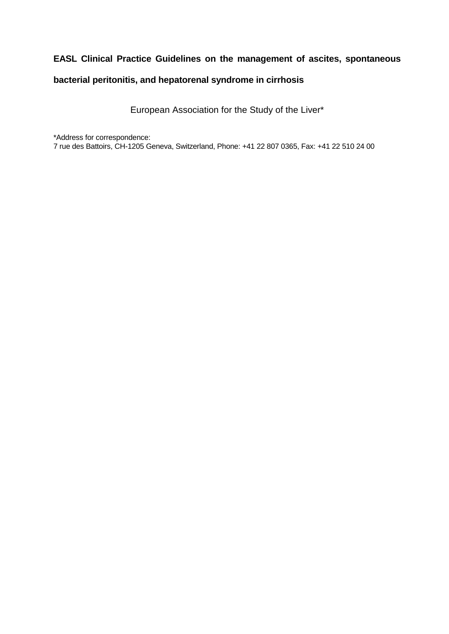# **EASL Clinical Practice Guidelines on the management of ascites, spontaneous**

# **bacterial peritonitis, and hepatorenal syndrome in cirrhosis**

European Association for the Study of the Liver\*

\*Address for correspondence:

7 rue des Battoirs, CH-1205 Geneva, Switzerland, Phone: +41 22 807 0365, Fax: +41 22 510 24 00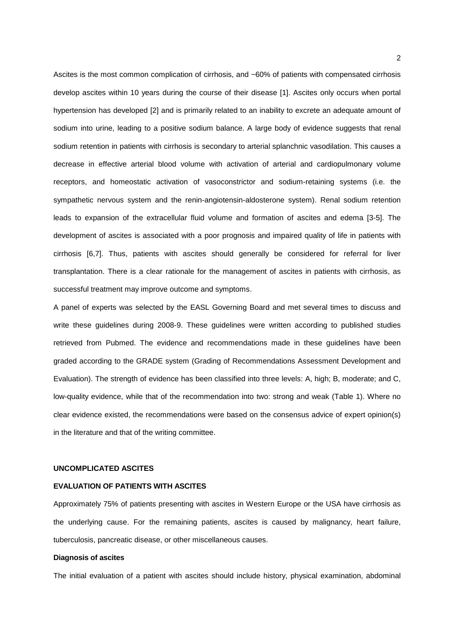Ascites is the most common complication of cirrhosis, and ~60% of patients with compensated cirrhosis develop ascites within 10 years during the course of their disease [1]. Ascites only occurs when portal hypertension has developed [2] and is primarily related to an inability to excrete an adequate amount of sodium into urine, leading to a positive sodium balance. A large body of evidence suggests that renal sodium retention in patients with cirrhosis is secondary to arterial splanchnic vasodilation. This causes a decrease in effective arterial blood volume with activation of arterial and cardiopulmonary volume receptors, and homeostatic activation of vasoconstrictor and sodium-retaining systems (i.e. the sympathetic nervous system and the renin-angiotensin-aldosterone system). Renal sodium retention leads to expansion of the extracellular fluid volume and formation of ascites and edema [3-5]. The development of ascites is associated with a poor prognosis and impaired quality of life in patients with cirrhosis [6,7]. Thus, patients with ascites should generally be considered for referral for liver transplantation. There is a clear rationale for the management of ascites in patients with cirrhosis, as successful treatment may improve outcome and symptoms.

A panel of experts was selected by the EASL Governing Board and met several times to discuss and write these guidelines during 2008-9. These guidelines were written according to published studies retrieved from Pubmed. The evidence and recommendations made in these guidelines have been graded according to the GRADE system (Grading of Recommendations Assessment Development and Evaluation). The strength of evidence has been classified into three levels: A, high; B, moderate; and C, low-quality evidence, while that of the recommendation into two: strong and weak (Table 1). Where no clear evidence existed, the recommendations were based on the consensus advice of expert opinion(s) in the literature and that of the writing committee.

# **UNCOMPLICATED ASCITES**

### **EVALUATION OF PATIENTS WITH ASCITES**

Approximately 75% of patients presenting with ascites in Western Europe or the USA have cirrhosis as the underlying cause. For the remaining patients, ascites is caused by malignancy, heart failure, tuberculosis, pancreatic disease, or other miscellaneous causes.

# **Diagnosis of ascites**

The initial evaluation of a patient with ascites should include history, physical examination, abdominal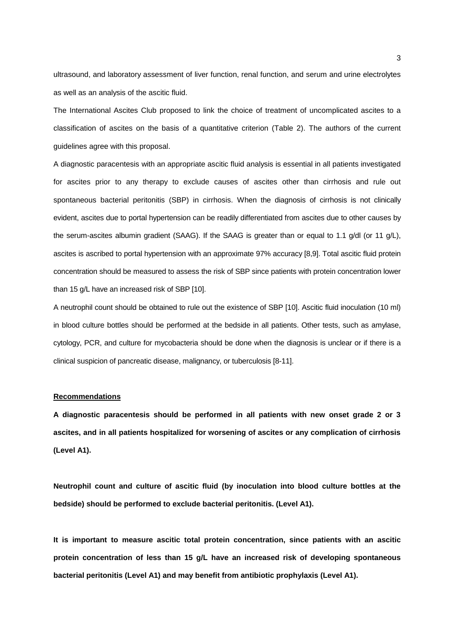ultrasound, and laboratory assessment of liver function, renal function, and serum and urine electrolytes as well as an analysis of the ascitic fluid.

The International Ascites Club proposed to link the choice of treatment of uncomplicated ascites to a classification of ascites on the basis of a quantitative criterion (Table 2). The authors of the current guidelines agree with this proposal.

A diagnostic paracentesis with an appropriate ascitic fluid analysis is essential in all patients investigated for ascites prior to any therapy to exclude causes of ascites other than cirrhosis and rule out spontaneous bacterial peritonitis (SBP) in cirrhosis. When the diagnosis of cirrhosis is not clinically evident, ascites due to portal hypertension can be readily differentiated from ascites due to other causes by the serum-ascites albumin gradient (SAAG). If the SAAG is greater than or equal to 1.1 g/dl (or 11 g/L), ascites is ascribed to portal hypertension with an approximate 97% accuracy [8,9]. Total ascitic fluid protein concentration should be measured to assess the risk of SBP since patients with protein concentration lower than 15 g/L have an increased risk of SBP [10].

A neutrophil count should be obtained to rule out the existence of SBP [10]. Ascitic fluid inoculation (10 ml) in blood culture bottles should be performed at the bedside in all patients. Other tests, such as amylase, cytology, PCR, and culture for mycobacteria should be done when the diagnosis is unclear or if there is a clinical suspicion of pancreatic disease, malignancy, or tuberculosis [8-11].

#### **Recommendations**

**A diagnostic paracentesis should be performed in all patients with new onset grade 2 or 3 ascites, and in all patients hospitalized for worsening of ascites or any complication of cirrhosis (Level A1).**

**Neutrophil count and culture of ascitic fluid (by inoculation into blood culture bottles at the bedside) should be performed to exclude bacterial peritonitis. (Level A1).**

**It is important to measure ascitic total protein concentration, since patients with an ascitic protein concentration of less than 15 g/L have an increased risk of developing spontaneous bacterial peritonitis (Level A1) and may benefit from antibiotic prophylaxis (Level A1).**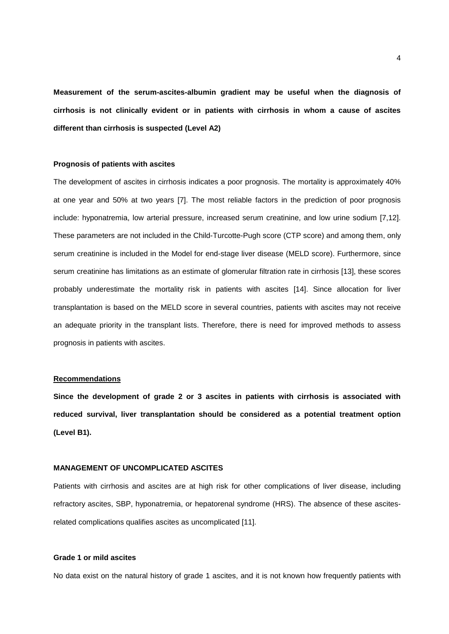**Measurement of the serum-ascites-albumin gradient may be useful when the diagnosis of cirrhosis is not clinically evident or in patients with cirrhosis in whom a cause of ascites different than cirrhosis is suspected (Level A2)**

# **Prognosis of patients with ascites**

The development of ascites in cirrhosis indicates a poor prognosis. The mortality is approximately 40% at one year and 50% at two years [7]. The most reliable factors in the prediction of poor prognosis include: hyponatremia, low arterial pressure, increased serum creatinine, and low urine sodium [7,12]. These parameters are not included in the Child-Turcotte-Pugh score (CTP score) and among them, only serum creatinine is included in the Model for end-stage liver disease (MELD score). Furthermore, since serum creatinine has limitations as an estimate of glomerular filtration rate in cirrhosis [13], these scores probably underestimate the mortality risk in patients with ascites [14]. Since allocation for liver transplantation is based on the MELD score in several countries, patients with ascites may not receive an adequate priority in the transplant lists. Therefore, there is need for improved methods to assess prognosis in patients with ascites.

# **Recommendations**

**Since the development of grade 2 or 3 ascites in patients with cirrhosis is associated with reduced survival, liver transplantation should be considered as a potential treatment option (Level B1).**

# **MANAGEMENT OF UNCOMPLICATED ASCITES**

Patients with cirrhosis and ascites are at high risk for other complications of liver disease, including refractory ascites, SBP, hyponatremia, or hepatorenal syndrome (HRS). The absence of these ascitesrelated complications qualifies ascites as uncomplicated [11].

# **Grade 1 or mild ascites**

No data exist on the natural history of grade 1 ascites, and it is not known how frequently patients with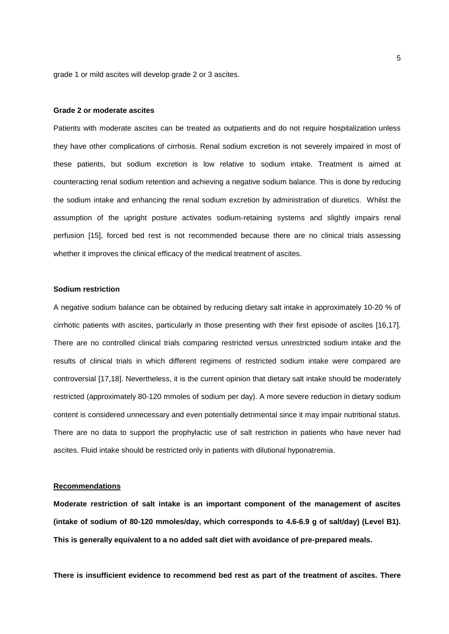grade 1 or mild ascites will develop grade 2 or 3 ascites.

### **Grade 2 or moderate ascites**

Patients with moderate ascites can be treated as outpatients and do not require hospitalization unless they have other complications of cirrhosis. Renal sodium excretion is not severely impaired in most of these patients, but sodium excretion is low relative to sodium intake. Treatment is aimed at counteracting renal sodium retention and achieving a negative sodium balance. This is done by reducing the sodium intake and enhancing the renal sodium excretion by administration of diuretics. Whilst the assumption of the upright posture activates sodium-retaining systems and slightly impairs renal perfusion [15], forced bed rest is not recommended because there are no clinical trials assessing whether it improves the clinical efficacy of the medical treatment of ascites.

#### **Sodium restriction**

A negative sodium balance can be obtained by reducing dietary salt intake in approximately 10-20 % of cirrhotic patients with ascites, particularly in those presenting with their first episode of ascites [16,17]. There are no controlled clinical trials comparing restricted versus unrestricted sodium intake and the results of clinical trials in which different regimens of restricted sodium intake were compared are controversial [17,18]. Nevertheless, it is the current opinion that dietary salt intake should be moderately restricted (approximately 80-120 mmoles of sodium per day). A more severe reduction in dietary sodium content is considered unnecessary and even potentially detrimental since it may impair nutritional status. There are no data to support the prophylactic use of salt restriction in patients who have never had ascites. Fluid intake should be restricted only in patients with dilutional hyponatremia.

#### **Recommendations**

**Moderate restriction of salt intake is an important component of the management of ascites (intake of sodium of 80-120 mmoles/day, which corresponds to 4.6-6.9 g of salt/day) (Level B1). This is generally equivalent to a no added salt diet with avoidance of pre-prepared meals.**

**There is insufficient evidence to recommend bed rest as part of the treatment of ascites. There**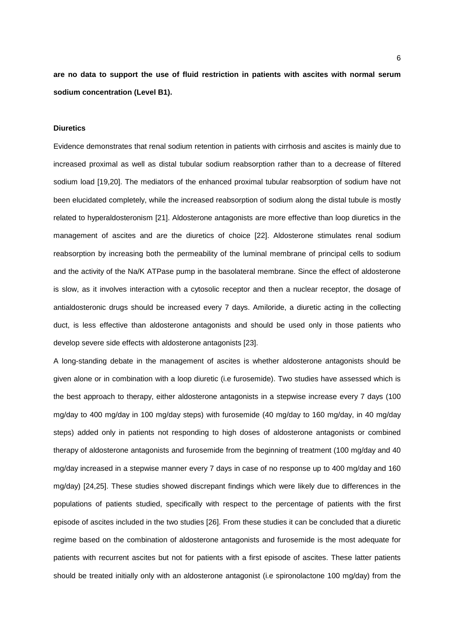**are no data to support the use of fluid restriction in patients with ascites with normal serum sodium concentration (Level B1).**

### **Diuretics**

Evidence demonstrates that renal sodium retention in patients with cirrhosis and ascites is mainly due to increased proximal as well as distal tubular sodium reabsorption rather than to a decrease of filtered sodium load [19,20]. The mediators of the enhanced proximal tubular reabsorption of sodium have not been elucidated completely, while the increased reabsorption of sodium along the distal tubule is mostly related to hyperaldosteronism [21]. Aldosterone antagonists are more effective than loop diuretics in the management of ascites and are the diuretics of choice [22]. Aldosterone stimulates renal sodium reabsorption by increasing both the permeability of the luminal membrane of principal cells to sodium and the activity of the Na/K ATPase pump in the basolateral membrane. Since the effect of aldosterone is slow, as it involves interaction with a cytosolic receptor and then a nuclear receptor, the dosage of antialdosteronic drugs should be increased every 7 days. Amiloride, a diuretic acting in the collecting duct, is less effective than aldosterone antagonists and should be used only in those patients who develop severe side effects with aldosterone antagonists [23].

A long-standing debate in the management of ascites is whether aldosterone antagonists should be given alone or in combination with a loop diuretic (i.e furosemide). Two studies have assessed which is the best approach to therapy, either aldosterone antagonists in a stepwise increase every 7 days (100 mg/day to 400 mg/day in 100 mg/day steps) with furosemide (40 mg/day to 160 mg/day, in 40 mg/day steps) added only in patients not responding to high doses of aldosterone antagonists or combined therapy of aldosterone antagonists and furosemide from the beginning of treatment (100 mg/day and 40 mg/day increased in a stepwise manner every 7 days in case of no response up to 400 mg/day and 160 mg/day) [24,25]. These studies showed discrepant findings which were likely due to differences in the populations of patients studied, specifically with respect to the percentage of patients with the first episode of ascites included in the two studies [26]. From these studies it can be concluded that a diuretic regime based on the combination of aldosterone antagonists and furosemide is the most adequate for patients with recurrent ascites but not for patients with a first episode of ascites. These latter patients should be treated initially only with an aldosterone antagonist (i.e spironolactone 100 mg/day) from the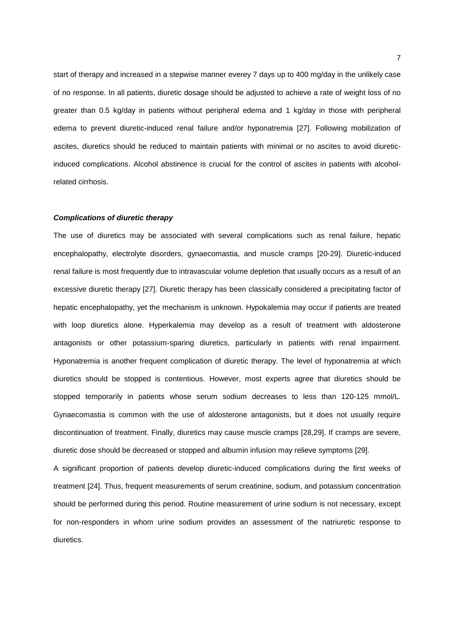start of therapy and increased in a stepwise manner everey 7 days up to 400 mg/day in the unlikely case of no response. In all patients, diuretic dosage should be adjusted to achieve a rate of weight loss of no greater than 0.5 kg/day in patients without peripheral edema and 1 kg/day in those with peripheral edema to prevent diuretic-induced renal failure and/or hyponatremia [27]. Following mobilization of ascites, diuretics should be reduced to maintain patients with minimal or no ascites to avoid diureticinduced complications. Alcohol abstinence is crucial for the control of ascites in patients with alcoholrelated cirrhosis.

### *Complications of diuretic therapy*

The use of diuretics may be associated with several complications such as renal failure, hepatic encephalopathy, electrolyte disorders, gynaecomastia, and muscle cramps [20-29]. Diuretic-induced renal failure is most frequently due to intravascular volume depletion that usually occurs as a result of an excessive diuretic therapy [27]. Diuretic therapy has been classically considered a precipitating factor of hepatic encephalopathy, yet the mechanism is unknown. Hypokalemia may occur if patients are treated with loop diuretics alone. Hyperkalemia may develop as a result of treatment with aldosterone antagonists or other potassium-sparing diuretics, particularly in patients with renal impairment. Hyponatremia is another frequent complication of diuretic therapy. The level of hyponatremia at which diuretics should be stopped is contentious. However, most experts agree that diuretics should be stopped temporarily in patients whose serum sodium decreases to less than 120-125 mmol/L. Gynaecomastia is common with the use of aldosterone antagonists, but it does not usually require discontinuation of treatment. Finally, diuretics may cause muscle cramps [28,29]. If cramps are severe, diuretic dose should be decreased or stopped and albumin infusion may relieve symptoms [29].

A significant proportion of patients develop diuretic-induced complications during the first weeks of treatment [24]. Thus, frequent measurements of serum creatinine, sodium, and potassium concentration should be performed during this period. Routine measurement of urine sodium is not necessary, except for non-responders in whom urine sodium provides an assessment of the natriuretic response to diuretics.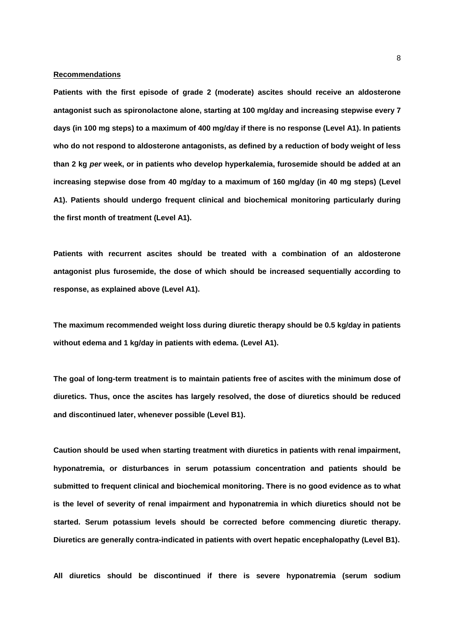# **Recommendations**

**Patients with the first episode of grade 2 (moderate) ascites should receive an aldosterone antagonist such as spironolactone alone, starting at 100 mg/day and increasing stepwise every 7 days (in 100 mg steps) to a maximum of 400 mg/day if there is no response (Level A1). In patients who do not respond to aldosterone antagonists, as defined by a reduction of body weight of less than 2 kg** *per* **week, or in patients who develop hyperkalemia, furosemide should be added at an increasing stepwise dose from 40 mg/day to a maximum of 160 mg/day (in 40 mg steps) (Level A1). Patients should undergo frequent clinical and biochemical monitoring particularly during the first month of treatment (Level A1).**

**Patients with recurrent ascites should be treated with a combination of an aldosterone antagonist plus furosemide, the dose of which should be increased sequentially according to response, as explained above (Level A1).** 

**The maximum recommended weight loss during diuretic therapy should be 0.5 kg/day in patients without edema and 1 kg/day in patients with edema. (Level A1).**

**The goal of long-term treatment is to maintain patients free of ascites with the minimum dose of diuretics. Thus, once the ascites has largely resolved, the dose of diuretics should be reduced and discontinued later, whenever possible (Level B1).**

**Caution should be used when starting treatment with diuretics in patients with renal impairment, hyponatremia, or disturbances in serum potassium concentration and patients should be submitted to frequent clinical and biochemical monitoring. There is no good evidence as to what is the level of severity of renal impairment and hyponatremia in which diuretics should not be started. Serum potassium levels should be corrected before commencing diuretic therapy. Diuretics are generally contra-indicated in patients with overt hepatic encephalopathy (Level B1).**

**All diuretics should be discontinued if there is severe hyponatremia (serum sodium**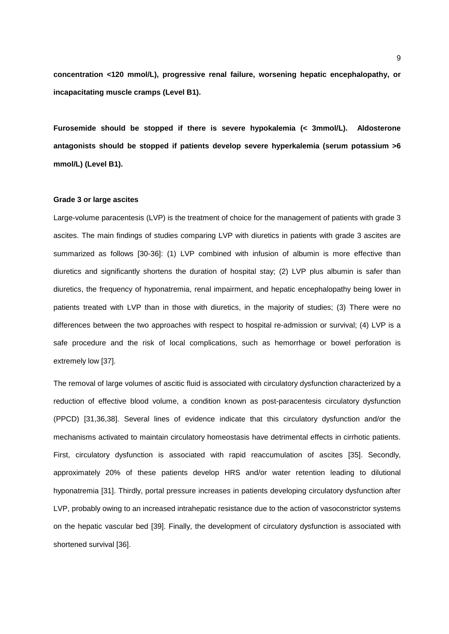**concentration <120 mmol/L), progressive renal failure, worsening hepatic encephalopathy, or incapacitating muscle cramps (Level B1).** 

**Furosemide should be stopped if there is severe hypokalemia (< 3mmol/L). Aldosterone antagonists should be stopped if patients develop severe hyperkalemia (serum potassium >6 mmol/L) (Level B1).**

#### **Grade 3 or large ascites**

Large-volume paracentesis (LVP) is the treatment of choice for the management of patients with grade 3 ascites. The main findings of studies comparing LVP with diuretics in patients with grade 3 ascites are summarized as follows [30-36]: (1) LVP combined with infusion of albumin is more effective than diuretics and significantly shortens the duration of hospital stay; (2) LVP plus albumin is safer than diuretics, the frequency of hyponatremia, renal impairment, and hepatic encephalopathy being lower in patients treated with LVP than in those with diuretics, in the majority of studies; (3) There were no differences between the two approaches with respect to hospital re-admission or survival; (4) LVP is a safe procedure and the risk of local complications, such as hemorrhage or bowel perforation is extremely low [37].

The removal of large volumes of ascitic fluid is associated with circulatory dysfunction characterized by a reduction of effective blood volume, a condition known as post-paracentesis circulatory dysfunction (PPCD) [31,36,38]. Several lines of evidence indicate that this circulatory dysfunction and/or the mechanisms activated to maintain circulatory homeostasis have detrimental effects in cirrhotic patients. First, circulatory dysfunction is associated with rapid reaccumulation of ascites [35]. Secondly, approximately 20% of these patients develop HRS and/or water retention leading to dilutional hyponatremia [31]. Thirdly, portal pressure increases in patients developing circulatory dysfunction after LVP, probably owing to an increased intrahepatic resistance due to the action of vasoconstrictor systems on the hepatic vascular bed [39]. Finally, the development of circulatory dysfunction is associated with shortened survival [36].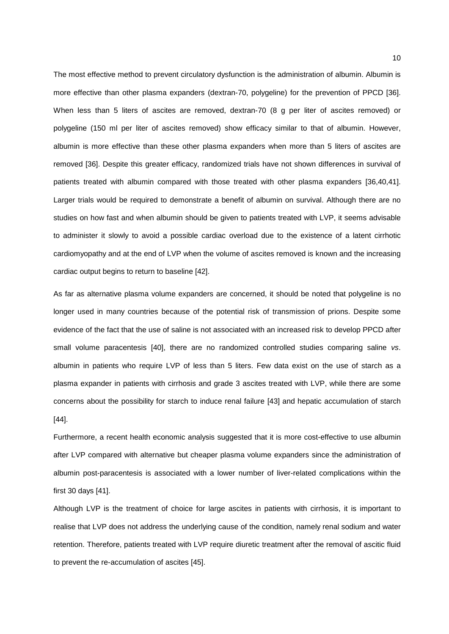The most effective method to prevent circulatory dysfunction is the administration of albumin. Albumin is more effective than other plasma expanders (dextran-70, polygeline) for the prevention of PPCD [36]. When less than 5 liters of ascites are removed, dextran-70 (8 g per liter of ascites removed) or polygeline (150 ml per liter of ascites removed) show efficacy similar to that of albumin. However, albumin is more effective than these other plasma expanders when more than 5 liters of ascites are removed [36]. Despite this greater efficacy, randomized trials have not shown differences in survival of patients treated with albumin compared with those treated with other plasma expanders [36,40,41]. Larger trials would be required to demonstrate a benefit of albumin on survival. Although there are no studies on how fast and when albumin should be given to patients treated with LVP, it seems advisable to administer it slowly to avoid a possible cardiac overload due to the existence of a latent cirrhotic cardiomyopathy and at the end of LVP when the volume of ascites removed is known and the increasing cardiac output begins to return to baseline [42].

As far as alternative plasma volume expanders are concerned, it should be noted that polygeline is no longer used in many countries because of the potential risk of transmission of prions. Despite some evidence of the fact that the use of saline is not associated with an increased risk to develop PPCD after small volume paracentesis [40], there are no randomized controlled studies comparing saline *vs*. albumin in patients who require LVP of less than 5 liters. Few data exist on the use of starch as a plasma expander in patients with cirrhosis and grade 3 ascites treated with LVP, while there are some concerns about the possibility for starch to induce renal failure [43] and hepatic accumulation of starch [44].

Furthermore, a recent health economic analysis suggested that it is more cost-effective to use albumin after LVP compared with alternative but cheaper plasma volume expanders since the administration of albumin post-paracentesis is associated with a lower number of liver-related complications within the first 30 days [41].

Although LVP is the treatment of choice for large ascites in patients with cirrhosis, it is important to realise that LVP does not address the underlying cause of the condition, namely renal sodium and water retention. Therefore, patients treated with LVP require diuretic treatment after the removal of ascitic fluid to prevent the re-accumulation of ascites [45].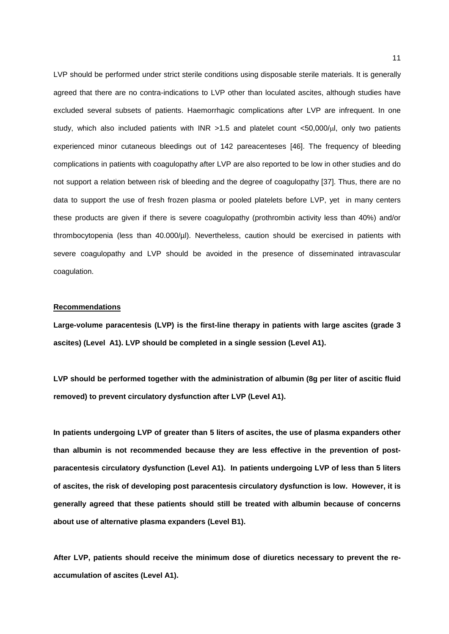LVP should be performed under strict sterile conditions using disposable sterile materials. It is generally agreed that there are no contra-indications to LVP other than loculated ascites, although studies have excluded several subsets of patients. Haemorrhagic complications after LVP are infrequent. In one study, which also included patients with INR >1.5 and platelet count <50,000/µl, only two patients experienced minor cutaneous bleedings out of 142 pareacenteses [46]. The frequency of bleeding complications in patients with coagulopathy after LVP are also reported to be low in other studies and do not support a relation between risk of bleeding and the degree of coagulopathy [37]. Thus, there are no data to support the use of fresh frozen plasma or pooled platelets before LVP, yet in many centers these products are given if there is severe coagulopathy (prothrombin activity less than 40%) and/or thrombocytopenia (less than 40.000/µl). Nevertheless, caution should be exercised in patients with severe coagulopathy and LVP should be avoided in the presence of disseminated intravascular coagulation.

# **Recommendations**

**Large-volume paracentesis (LVP) is the first-line therapy in patients with large ascites (grade 3 ascites) (Level A1). LVP should be completed in a single session (Level A1).**

**LVP should be performed together with the administration of albumin (8g per liter of ascitic fluid removed) to prevent circulatory dysfunction after LVP (Level A1).**

**In patients undergoing LVP of greater than 5 liters of ascites, the use of plasma expanders other than albumin is not recommended because they are less effective in the prevention of postparacentesis circulatory dysfunction (Level A1). In patients undergoing LVP of less than 5 liters of ascites, the risk of developing post paracentesis circulatory dysfunction is low. However, it is generally agreed that these patients should still be treated with albumin because of concerns about use of alternative plasma expanders (Level B1).**

**After LVP, patients should receive the minimum dose of diuretics necessary to prevent the reaccumulation of ascites (Level A1).**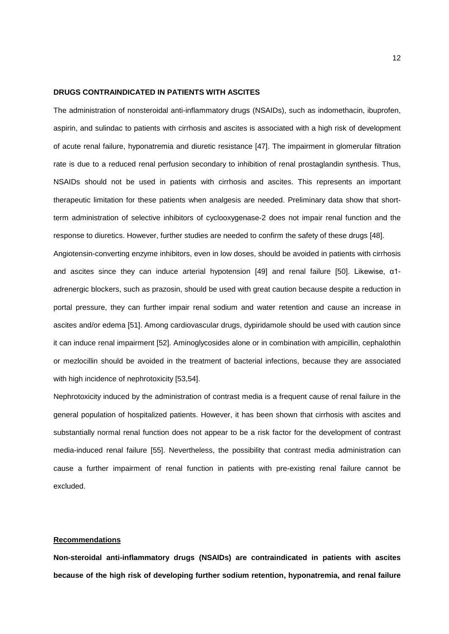### **DRUGS CONTRAINDICATED IN PATIENTS WITH ASCITES**

The administration of nonsteroidal anti-inflammatory drugs (NSAIDs), such as indomethacin, ibuprofen, aspirin, and sulindac to patients with cirrhosis and ascites is associated with a high risk of development of acute renal failure, hyponatremia and diuretic resistance [47]. The impairment in glomerular filtration rate is due to a reduced renal perfusion secondary to inhibition of renal prostaglandin synthesis. Thus, NSAIDs should not be used in patients with cirrhosis and ascites. This represents an important therapeutic limitation for these patients when analgesis are needed. Preliminary data show that shortterm administration of selective inhibitors of cyclooxygenase-2 does not impair renal function and the response to diuretics. However, further studies are needed to confirm the safety of these drugs [48]. Angiotensin-converting enzyme inhibitors, even in low doses, should be avoided in patients with cirrhosis and ascites since they can induce arterial hypotension [49] and renal failure [50]. Likewise, α1 adrenergic blockers, such as prazosin, should be used with great caution because despite a reduction in portal pressure, they can further impair renal sodium and water retention and cause an increase in ascites and/or edema [51]. Among cardiovascular drugs, dypiridamole should be used with caution since it can induce renal impairment [52]. Aminoglycosides alone or in combination with ampicillin, cephalothin

or mezlocillin should be avoided in the treatment of bacterial infections, because they are associated with high incidence of nephrotoxicity [53,54].

Nephrotoxicity induced by the administration of contrast media is a frequent cause of renal failure in the general population of hospitalized patients. However, it has been shown that cirrhosis with ascites and substantially normal renal function does not appear to be a risk factor for the development of contrast media-induced renal failure [55]. Nevertheless, the possibility that contrast media administration can cause a further impairment of renal function in patients with pre-existing renal failure cannot be excluded.

### **Recommendations**

**Non-steroidal anti-inflammatory drugs (NSAIDs) are contraindicated in patients with ascites because of the high risk of developing further sodium retention, hyponatremia, and renal failure**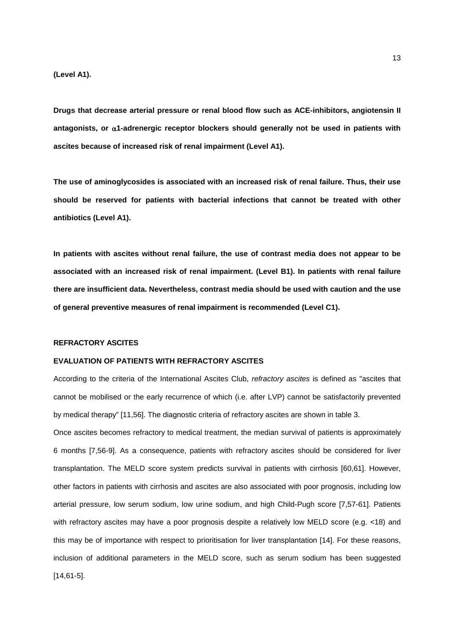**(Level A1).**

**Drugs that decrease arterial pressure or renal blood flow such as ACE-inhibitors, angiotensin II antagonists, or** α**1-adrenergic receptor blockers should generally not be used in patients with ascites because of increased risk of renal impairment (Level A1).** 

**The use of aminoglycosides is associated with an increased risk of renal failure. Thus, their use should be reserved for patients with bacterial infections that cannot be treated with other antibiotics (Level A1).**

**In patients with ascites without renal failure, the use of contrast media does not appear to be associated with an increased risk of renal impairment. (Level B1). In patients with renal failure there are insufficient data. Nevertheless, contrast media should be used with caution and the use of general preventive measures of renal impairment is recommended (Level C1).** 

# **REFRACTORY ASCITES**

# **EVALUATION OF PATIENTS WITH REFRACTORY ASCITES**

According to the criteria of the International Ascites Club, *refractory ascites* is defined as "ascites that cannot be mobilised or the early recurrence of which (i.e. after LVP) cannot be satisfactorily prevented by medical therapy" [11,56]. The diagnostic criteria of refractory ascites are shown in table 3.

Once ascites becomes refractory to medical treatment, the median survival of patients is approximately 6 months [7,56-9]. As a consequence, patients with refractory ascites should be considered for liver transplantation. The MELD score system predicts survival in patients with cirrhosis [60,61]. However, other factors in patients with cirrhosis and ascites are also associated with poor prognosis, including low arterial pressure, low serum sodium, low urine sodium, and high Child-Pugh score [7,57-61]. Patients with refractory ascites may have a poor prognosis despite a relatively low MELD score (e.g. <18) and this may be of importance with respect to prioritisation for liver transplantation [14]. For these reasons, inclusion of additional parameters in the MELD score, such as serum sodium has been suggested [14,61-5].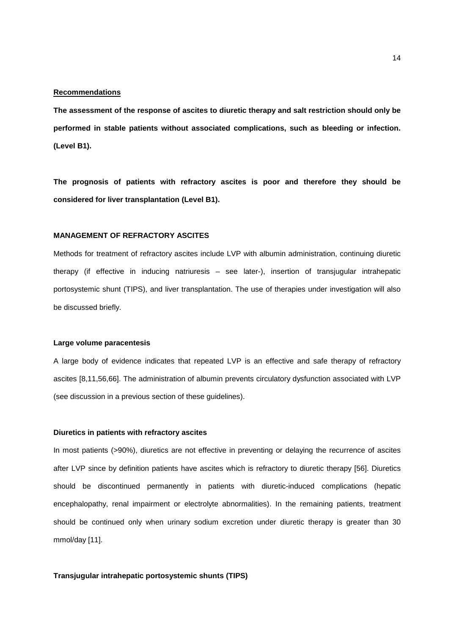#### **Recommendations**

**The assessment of the response of ascites to diuretic therapy and salt restriction should only be performed in stable patients without associated complications, such as bleeding or infection. (Level B1).**

**The prognosis of patients with refractory ascites is poor and therefore they should be considered for liver transplantation (Level B1).**

# **MANAGEMENT OF REFRACTORY ASCITES**

Methods for treatment of refractory ascites include LVP with albumin administration, continuing diuretic therapy (if effective in inducing natriuresis – see later-), insertion of transjugular intrahepatic portosystemic shunt (TIPS), and liver transplantation. The use of therapies under investigation will also be discussed briefly.

# **Large volume paracentesis**

A large body of evidence indicates that repeated LVP is an effective and safe therapy of refractory ascites [8,11,56,66]. The administration of albumin prevents circulatory dysfunction associated with LVP (see discussion in a previous section of these guidelines).

## **Diuretics in patients with refractory ascites**

In most patients (>90%), diuretics are not effective in preventing or delaying the recurrence of ascites after LVP since by definition patients have ascites which is refractory to diuretic therapy [56]. Diuretics should be discontinued permanently in patients with diuretic-induced complications (hepatic encephalopathy, renal impairment or electrolyte abnormalities). In the remaining patients, treatment should be continued only when urinary sodium excretion under diuretic therapy is greater than 30 mmol/day [11].

# **Transjugular intrahepatic portosystemic shunts (TIPS)**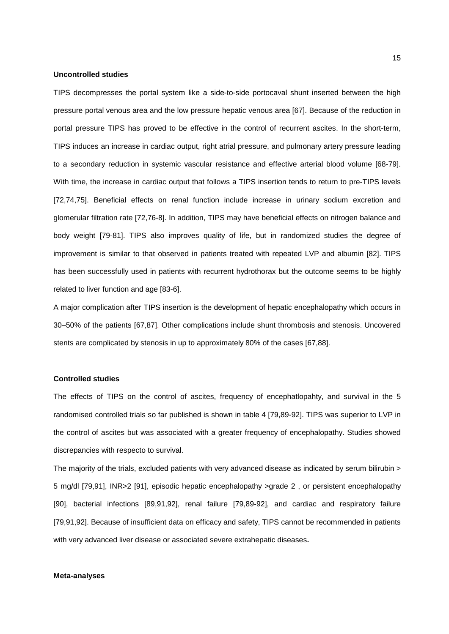# **Uncontrolled studies**

TIPS decompresses the portal system like a side-to-side portocaval shunt inserted between the high pressure portal venous area and the low pressure hepatic venous area [67]. Because of the reduction in portal pressure TIPS has proved to be effective in the control of recurrent ascites. In the short-term, TIPS induces an increase in cardiac output, right atrial pressure, and pulmonary artery pressure leading to a secondary reduction in systemic vascular resistance and effective arterial blood volume [68-79]. With time, the increase in cardiac output that follows a TIPS insertion tends to return to pre-TIPS levels [72,74,75]. Beneficial effects on renal function include increase in urinary sodium excretion and glomerular filtration rate [72,76-8]. In addition, TIPS may have beneficial effects on nitrogen balance and body weight [79-81]. TIPS also improves quality of life, but in randomized studies the degree of improvement is similar to that observed in patients treated with repeated LVP and albumin [82]. TIPS has been successfully used in patients with recurrent hydrothorax but the outcome seems to be highly related to liver function and age [83-6].

A major complication after TIPS insertion is the development of hepatic encephalopathy which occurs in 30–50% of the patients [67,87]. Other complications include shunt thrombosis and stenosis. Uncovered stents are complicated by stenosis in up to approximately 80% of the cases [67,88].

# **Controlled studies**

The effects of TIPS on the control of ascites, frequency of encephatlopahty, and survival in the 5 randomised controlled trials so far published is shown in table 4 [79,89-92]. TIPS was superior to LVP in the control of ascites but was associated with a greater frequency of encephalopathy. Studies showed discrepancies with respecto to survival.

The majority of the trials, excluded patients with very advanced disease as indicated by serum bilirubin > 5 mg/dl [79,91], INR>2 [91], episodic hepatic encephalopathy >grade 2 , or persistent encephalopathy [90], bacterial infections [89,91,92], renal failure [79,89-92], and cardiac and respiratory failure [79,91,92]. Because of insufficient data on efficacy and safety, TIPS cannot be recommended in patients with very advanced liver disease or associated severe extrahepatic diseases**.**

### **Meta-analyses**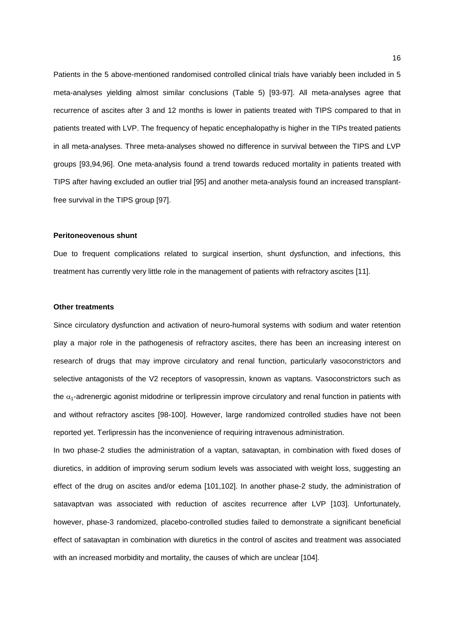Patients in the 5 above-mentioned randomised controlled clinical trials have variably been included in 5 meta-analyses yielding almost similar conclusions (Table 5) [93-97]. All meta-analyses agree that recurrence of ascites after 3 and 12 months is lower in patients treated with TIPS compared to that in patients treated with LVP. The frequency of hepatic encephalopathy is higher in the TIPs treated patients in all meta-analyses. Three meta-analyses showed no difference in survival between the TIPS and LVP groups [93,94,96]. One meta-analysis found a trend towards reduced mortality in patients treated with TIPS after having excluded an outlier trial [95] and another meta-analysis found an increased transplantfree survival in the TIPS group [97].

### **Peritoneovenous shunt**

Due to frequent complications related to surgical insertion, shunt dysfunction, and infections, this treatment has currently very little role in the management of patients with refractory ascites [11].

# **Other treatments**

Since circulatory dysfunction and activation of neuro-humoral systems with sodium and water retention play a major role in the pathogenesis of refractory ascites, there has been an increasing interest on research of drugs that may improve circulatory and renal function, particularly vasoconstrictors and selective antagonists of the V2 receptors of vasopressin, known as vaptans. Vasoconstrictors such as the  $\alpha_1$ -adrenergic agonist midodrine or terlipressin improve circulatory and renal function in patients with and without refractory ascites [98-100]. However, large randomized controlled studies have not been reported yet. Terlipressin has the inconvenience of requiring intravenous administration.

In two phase-2 studies the administration of a vaptan, satavaptan, in combination with fixed doses of diuretics, in addition of improving serum sodium levels was associated with weight loss, suggesting an effect of the drug on ascites and/or edema [101,102]. In another phase-2 study, the administration of satavaptvan was associated with reduction of ascites recurrence after LVP [103]. Unfortunately, however, phase-3 randomized, placebo-controlled studies failed to demonstrate a significant beneficial effect of satavaptan in combination with diuretics in the control of ascites and treatment was associated with an increased morbidity and mortality, the causes of which are unclear [104].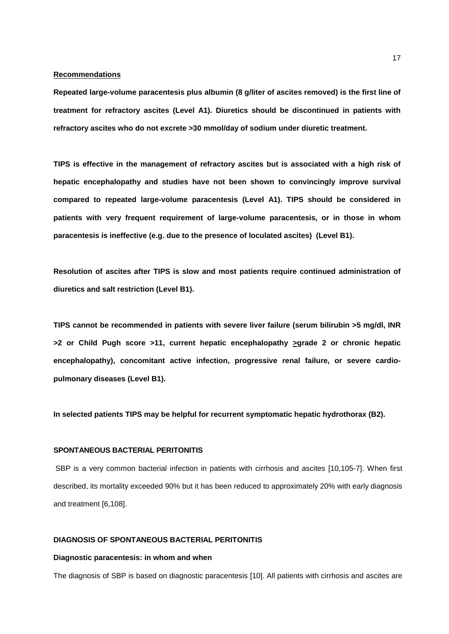# **Recommendations**

**Repeated large-volume paracentesis plus albumin (8 g/liter of ascites removed) is the first line of treatment for refractory ascites (Level A1). Diuretics should be discontinued in patients with refractory ascites who do not excrete >30 mmol/day of sodium under diuretic treatment.**

**TIPS is effective in the management of refractory ascites but is associated with a high risk of hepatic encephalopathy and studies have not been shown to convincingly improve survival compared to repeated large-volume paracentesis (Level A1). TIPS should be considered in patients with very frequent requirement of large-volume paracentesis, or in those in whom paracentesis is ineffective (e.g. due to the presence of loculated ascites) (Level B1).** 

**Resolution of ascites after TIPS is slow and most patients require continued administration of diuretics and salt restriction (Level B1).**

**TIPS cannot be recommended in patients with severe liver failure (serum bilirubin >5 mg/dl, INR >2 or Child Pugh score >11, current hepatic encephalopathy >grade 2 or chronic hepatic encephalopathy), concomitant active infection, progressive renal failure, or severe cardiopulmonary diseases (Level B1).**

**In selected patients TIPS may be helpful for recurrent symptomatic hepatic hydrothorax (B2).** 

# **SPONTANEOUS BACTERIAL PERITONITIS**

SBP is a very common bacterial infection in patients with cirrhosis and ascites [10,105-7]. When first described, its mortality exceeded 90% but it has been reduced to approximately 20% with early diagnosis and treatment [6,108].

# **DIAGNOSIS OF SPONTANEOUS BACTERIAL PERITONITIS**

# **Diagnostic paracentesis: in whom and when**

The diagnosis of SBP is based on diagnostic paracentesis [10]. All patients with cirrhosis and ascites are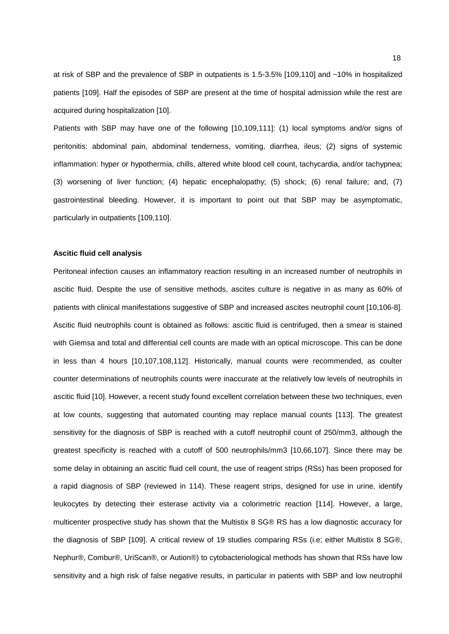at risk of SBP and the prevalence of SBP in outpatients is 1.5-3.5% [109,110] and ~10% in hospitalized patients [109]. Half the episodes of SBP are present at the time of hospital admission while the rest are acquired during hospitalization [10].

Patients with SBP may have one of the following [10,109,111]: (1) local symptoms and/or signs of peritonitis: abdominal pain, abdominal tenderness, vomiting, diarrhea, ileus; (2) signs of systemic inflammation: hyper or hypothermia, chills, altered white blood cell count, tachycardia, and/or tachypnea; (3) worsening of liver function; (4) hepatic encephalopathy; (5) shock; (6) renal failure; and, (7) gastrointestinal bleeding. However, it is important to point out that SBP may be asymptomatic, particularly in outpatients [109,110].

# **Ascitic fluid cell analysis**

Peritoneal infection causes an inflammatory reaction resulting in an increased number of neutrophils in ascitic fluid. Despite the use of sensitive methods, ascites culture is negative in as many as 60% of patients with clinical manifestations suggestive of SBP and increased ascites neutrophil count [10,106-8]. Ascitic fluid neutrophils count is obtained as follows: ascitic fluid is centrifuged, then a smear is stained with Giemsa and total and differential cell counts are made with an optical microscope. This can be done in less than 4 hours [10,107,108,112]. Historically, manual counts were recommended, as coulter counter determinations of neutrophils counts were inaccurate at the relatively low levels of neutrophils in ascitic fluid [10]. However, a recent study found excellent correlation between these two techniques, even at low counts, suggesting that automated counting may replace manual counts [113]. The greatest sensitivity for the diagnosis of SBP is reached with a cutoff neutrophil count of 250/mm3, although the greatest specificity is reached with a cutoff of 500 neutrophils/mm3 [10,66,107]. Since there may be some delay in obtaining an ascitic fluid cell count, the use of reagent strips (RSs) has been proposed for a rapid diagnosis of SBP (reviewed in 114). These reagent strips, designed for use in urine, identify leukocytes by detecting their esterase activity via a colorimetric reaction [114]. However, a large, multicenter prospective study has shown that the Multistix 8 SG® RS has a low diagnostic accuracy for the diagnosis of SBP [109]. A critical review of 19 studies comparing RSs (i.e; either Multistix 8 SG®, Nephur®, Combur®, UriScan®, or Aution®) to cytobacteriological methods has shown that RSs have low sensitivity and a high risk of false negative results, in particular in patients with SBP and low neutrophil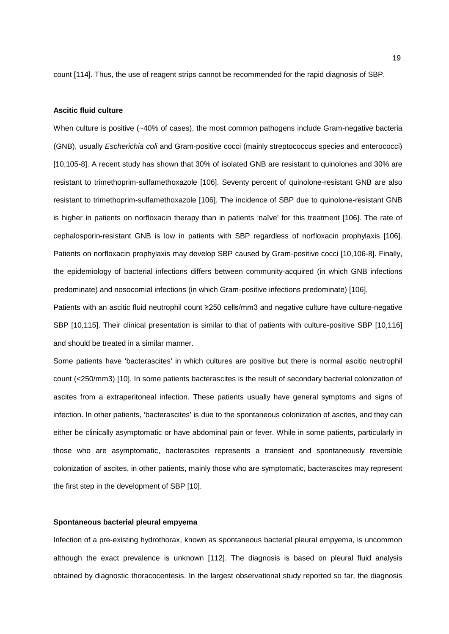count [114]. Thus, the use of reagent strips cannot be recommended for the rapid diagnosis of SBP.

# **Ascitic fluid culture**

When culture is positive (~40% of cases), the most common pathogens include Gram-negative bacteria (GNB), usually *Escherichia coli* and Gram-positive cocci (mainly streptococcus species and enterococci) [10,105-8]. A recent study has shown that 30% of isolated GNB are resistant to quinolones and 30% are resistant to trimethoprim-sulfamethoxazole [106]. Seventy percent of quinolone-resistant GNB are also resistant to trimethoprim-sulfamethoxazole [106]. The incidence of SBP due to quinolone-resistant GNB is higher in patients on norfloxacin therapy than in patients 'naïve' for this treatment [106]. The rate of cephalosporin-resistant GNB is low in patients with SBP regardless of norfloxacin prophylaxis [106]. Patients on norfloxacin prophylaxis may develop SBP caused by Gram-positive cocci [10,106-8]. Finally, the epidemiology of bacterial infections differs between community-acquired (in which GNB infections predominate) and nosocomial infections (in which Gram-positive infections predominate) [106].

Patients with an ascitic fluid neutrophil count ≥250 cells/mm3 and negative culture have culture-negative SBP [10,115]. Their clinical presentation is similar to that of patients with culture-positive SBP [10,116] and should be treated in a similar manner.

Some patients have 'bacterascites' in which cultures are positive but there is normal ascitic neutrophil count (<250/mm3) [10]. In some patients bacterascites is the result of secondary bacterial colonization of ascites from a extraperitoneal infection. These patients usually have general symptoms and signs of infection. In other patients, 'bacterascites' is due to the spontaneous colonization of ascites, and they can either be clinically asymptomatic or have abdominal pain or fever. While in some patients, particularly in those who are asymptomatic, bacterascites represents a transient and spontaneously reversible colonization of ascites, in other patients, mainly those who are symptomatic, bacterascites may represent the first step in the development of SBP [10].

# **Spontaneous bacterial pleural empyema**

Infection of a pre-existing hydrothorax, known as spontaneous bacterial pleural empyema, is uncommon although the exact prevalence is unknown [112]. The diagnosis is based on pleural fluid analysis obtained by diagnostic thoracocentesis. In the largest observational study reported so far, the diagnosis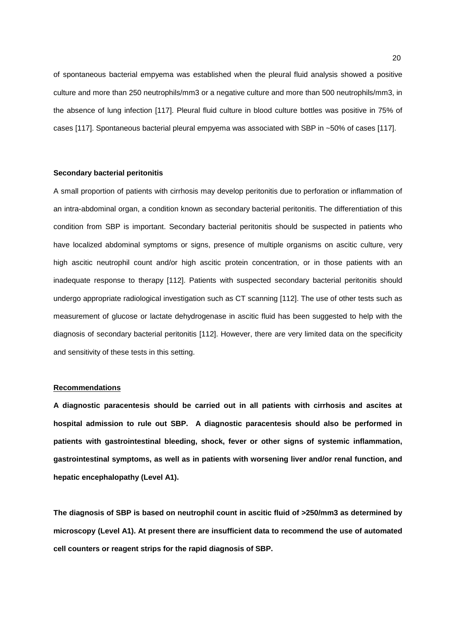of spontaneous bacterial empyema was established when the pleural fluid analysis showed a positive culture and more than 250 neutrophils/mm3 or a negative culture and more than 500 neutrophils/mm3, in the absence of lung infection [117]. Pleural fluid culture in blood culture bottles was positive in 75% of cases [117]. Spontaneous bacterial pleural empyema was associated with SBP in ~50% of cases [117].

# **Secondary bacterial peritonitis**

A small proportion of patients with cirrhosis may develop peritonitis due to perforation or inflammation of an intra-abdominal organ, a condition known as secondary bacterial peritonitis. The differentiation of this condition from SBP is important. Secondary bacterial peritonitis should be suspected in patients who have localized abdominal symptoms or signs, presence of multiple organisms on ascitic culture, very high ascitic neutrophil count and/or high ascitic protein concentration, or in those patients with an inadequate response to therapy [112]. Patients with suspected secondary bacterial peritonitis should undergo appropriate radiological investigation such as CT scanning [112]. The use of other tests such as measurement of glucose or lactate dehydrogenase in ascitic fluid has been suggested to help with the diagnosis of secondary bacterial peritonitis [112]. However, there are very limited data on the specificity and sensitivity of these tests in this setting.

#### **Recommendations**

**A diagnostic paracentesis should be carried out in all patients with cirrhosis and ascites at hospital admission to rule out SBP. A diagnostic paracentesis should also be performed in patients with gastrointestinal bleeding, shock, fever or other signs of systemic inflammation, gastrointestinal symptoms, as well as in patients with worsening liver and/or renal function, and hepatic encephalopathy (Level A1).** 

**The diagnosis of SBP is based on neutrophil count in ascitic fluid of >250/mm3 as determined by microscopy (Level A1). At present there are insufficient data to recommend the use of automated cell counters or reagent strips for the rapid diagnosis of SBP.**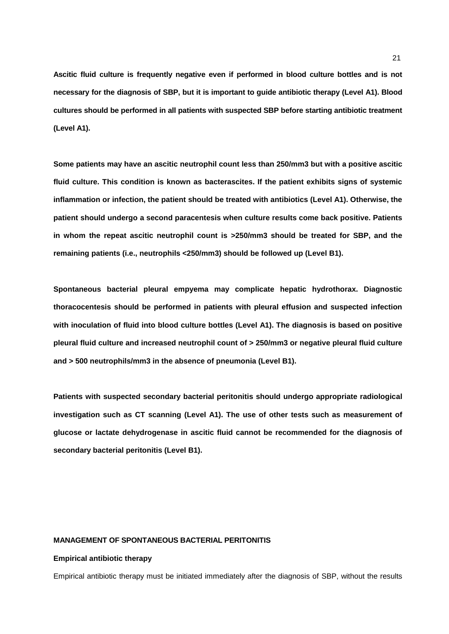**Ascitic fluid culture is frequently negative even if performed in blood culture bottles and is not necessary for the diagnosis of SBP, but it is important to guide antibiotic therapy (Level A1). Blood cultures should be performed in all patients with suspected SBP before starting antibiotic treatment (Level A1).**

**Some patients may have an ascitic neutrophil count less than 250/mm3 but with a positive ascitic fluid culture. This condition is known as bacterascites. If the patient exhibits signs of systemic inflammation or infection, the patient should be treated with antibiotics (Level A1). Otherwise, the patient should undergo a second paracentesis when culture results come back positive. Patients in whom the repeat ascitic neutrophil count is >250/mm3 should be treated for SBP, and the remaining patients (i.e., neutrophils <250/mm3) should be followed up (Level B1).**

**Spontaneous bacterial pleural empyema may complicate hepatic hydrothorax. Diagnostic thoracocentesis should be performed in patients with pleural effusion and suspected infection with inoculation of fluid into blood culture bottles (Level A1). The diagnosis is based on positive pleural fluid culture and increased neutrophil count of > 250/mm3 or negative pleural fluid culture and > 500 neutrophils/mm3 in the absence of pneumonia (Level B1).**

**Patients with suspected secondary bacterial peritonitis should undergo appropriate radiological investigation such as CT scanning (Level A1). The use of other tests such as measurement of glucose or lactate dehydrogenase in ascitic fluid cannot be recommended for the diagnosis of secondary bacterial peritonitis (Level B1).**

# **MANAGEMENT OF SPONTANEOUS BACTERIAL PERITONITIS**

# **Empirical antibiotic therapy**

Empirical antibiotic therapy must be initiated immediately after the diagnosis of SBP, without the results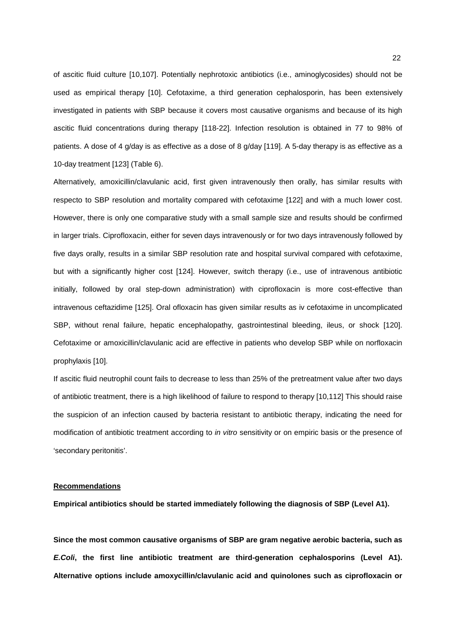of ascitic fluid culture [10,107]. Potentially nephrotoxic antibiotics (i.e., aminoglycosides) should not be used as empirical therapy [10]. Cefotaxime, a third generation cephalosporin, has been extensively investigated in patients with SBP because it covers most causative organisms and because of its high ascitic fluid concentrations during therapy [118-22]. Infection resolution is obtained in 77 to 98% of patients. A dose of 4 g/day is as effective as a dose of 8 g/day [119]. A 5-day therapy is as effective as a 10-day treatment [123] (Table 6).

Alternatively, amoxicillin/clavulanic acid, first given intravenously then orally, has similar results with respecto to SBP resolution and mortality compared with cefotaxime [122] and with a much lower cost. However, there is only one comparative study with a small sample size and results should be confirmed in larger trials. Ciprofloxacin, either for seven days intravenously or for two days intravenously followed by five days orally, results in a similar SBP resolution rate and hospital survival compared with cefotaxime, but with a significantly higher cost [124]. However, switch therapy (i.e., use of intravenous antibiotic initially, followed by oral step-down administration) with ciprofloxacin is more cost-effective than intravenous ceftazidime [125]. Oral ofloxacin has given similar results as iv cefotaxime in uncomplicated SBP, without renal failure, hepatic encephalopathy, gastrointestinal bleeding, ileus, or shock [120]. Cefotaxime or amoxicillin/clavulanic acid are effective in patients who develop SBP while on norfloxacin prophylaxis [10].

If ascitic fluid neutrophil count fails to decrease to less than 25% of the pretreatment value after two days of antibiotic treatment, there is a high likelihood of failure to respond to therapy [10,112] This should raise the suspicion of an infection caused by bacteria resistant to antibiotic therapy, indicating the need for modification of antibiotic treatment according to *in vitro* sensitivity or on empiric basis or the presence of 'secondary peritonitis'.

# **Recommendations**

**Empirical antibiotics should be started immediately following the diagnosis of SBP (Level A1).** 

**Since the most common causative organisms of SBP are gram negative aerobic bacteria, such as**  *E.Coli***, the first line antibiotic treatment are third-generation cephalosporins (Level A1). Alternative options include amoxycillin/clavulanic acid and quinolones such as ciprofloxacin or**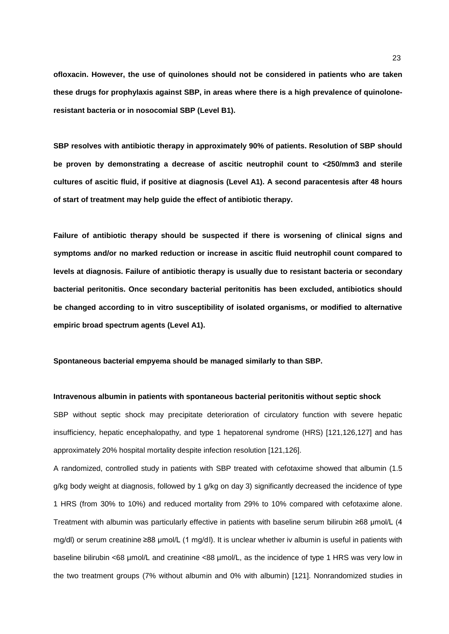**ofloxacin. However, the use of quinolones should not be considered in patients who are taken these drugs for prophylaxis against SBP, in areas where there is a high prevalence of quinoloneresistant bacteria or in nosocomial SBP (Level B1).**

**SBP resolves with antibiotic therapy in approximately 90% of patients. Resolution of SBP should be proven by demonstrating a decrease of ascitic neutrophil count to <250/mm3 and sterile cultures of ascitic fluid, if positive at diagnosis (Level A1). A second paracentesis after 48 hours of start of treatment may help guide the effect of antibiotic therapy.**

**Failure of antibiotic therapy should be suspected if there is worsening of clinical signs and symptoms and/or no marked reduction or increase in ascitic fluid neutrophil count compared to levels at diagnosis. Failure of antibiotic therapy is usually due to resistant bacteria or secondary bacterial peritonitis. Once secondary bacterial peritonitis has been excluded, antibiotics should be changed according to in vitro susceptibility of isolated organisms, or modified to alternative empiric broad spectrum agents (Level A1).**

# **Spontaneous bacterial empyema should be managed similarly to than SBP.**

#### **Intravenous albumin in patients with spontaneous bacterial peritonitis without septic shock**

SBP without septic shock may precipitate deterioration of circulatory function with severe hepatic insufficiency, hepatic encephalopathy, and type 1 hepatorenal syndrome (HRS) [121,126,127] and has approximately 20% hospital mortality despite infection resolution [121,126].

A randomized, controlled study in patients with SBP treated with cefotaxime showed that albumin (1.5 g/kg body weight at diagnosis, followed by 1 g/kg on day 3) significantly decreased the incidence of type 1 HRS (from 30% to 10%) and reduced mortality from 29% to 10% compared with cefotaxime alone. Treatment with albumin was particularly effective in patients with baseline serum bilirubin ≥68 µmol/L (4 mg/dl) or serum creatinine ≥88 µmol/L (1 mg/dl). It is unclear whether iv albumin is useful in patients with baseline bilirubin <68 µmol/L and creatinine <88 µmol/L, as the incidence of type 1 HRS was very low in the two treatment groups (7% without albumin and 0% with albumin) [121]. Nonrandomized studies in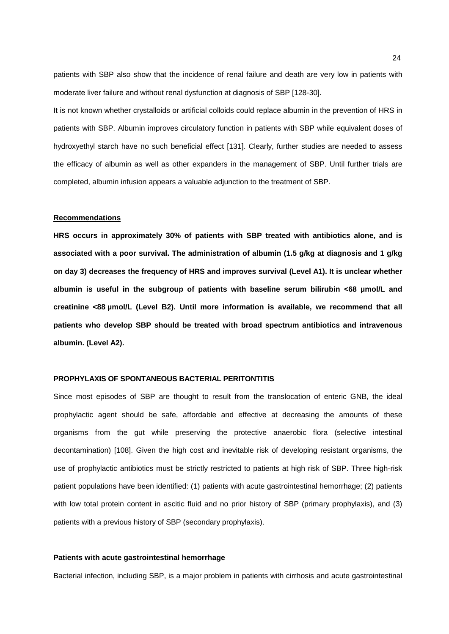patients with SBP also show that the incidence of renal failure and death are very low in patients with moderate liver failure and without renal dysfunction at diagnosis of SBP [128-30].

It is not known whether crystalloids or artificial colloids could replace albumin in the prevention of HRS in patients with SBP. Albumin improves circulatory function in patients with SBP while equivalent doses of hydroxyethyl starch have no such beneficial effect [131]. Clearly, further studies are needed to assess the efficacy of albumin as well as other expanders in the management of SBP. Until further trials are completed, albumin infusion appears a valuable adjunction to the treatment of SBP.

# **Recommendations**

**HRS occurs in approximately 30% of patients with SBP treated with antibiotics alone, and is associated with a poor survival. The administration of albumin (1.5 g/kg at diagnosis and 1 g/kg on day 3) decreases the frequency of HRS and improves survival (Level A1). It is unclear whether albumin is useful in the subgroup of patients with baseline serum bilirubin <68 µmol/L and creatinine <88 µmol/L (Level B2). Until more information is available, we recommend that all patients who develop SBP should be treated with broad spectrum antibiotics and intravenous albumin. (Level A2).**

# **PROPHYLAXIS OF SPONTANEOUS BACTERIAL PERITONTITIS**

Since most episodes of SBP are thought to result from the translocation of enteric GNB, the ideal prophylactic agent should be safe, affordable and effective at decreasing the amounts of these organisms from the gut while preserving the protective anaerobic flora (selective intestinal decontamination) [108]. Given the high cost and inevitable risk of developing resistant organisms, the use of prophylactic antibiotics must be strictly restricted to patients at high risk of SBP. Three high-risk patient populations have been identified: (1) patients with acute gastrointestinal hemorrhage; (2) patients with low total protein content in ascitic fluid and no prior history of SBP (primary prophylaxis), and (3) patients with a previous history of SBP (secondary prophylaxis).

# **Patients with acute gastrointestinal hemorrhage**

Bacterial infection, including SBP, is a major problem in patients with cirrhosis and acute gastrointestinal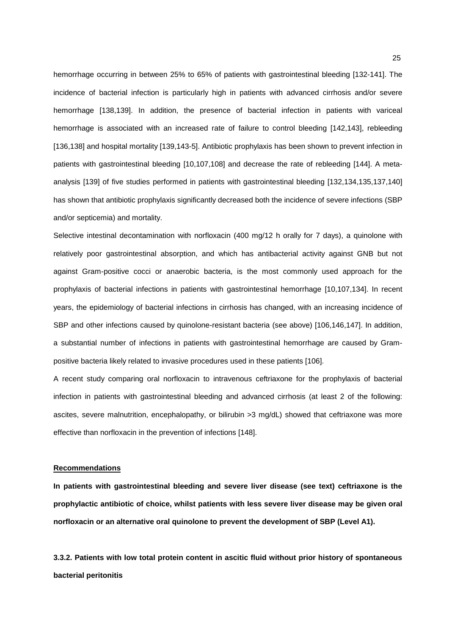hemorrhage occurring in between 25% to 65% of patients with gastrointestinal bleeding [132-141]. The incidence of bacterial infection is particularly high in patients with advanced cirrhosis and/or severe hemorrhage [138,139]. In addition, the presence of bacterial infection in patients with variceal hemorrhage is associated with an increased rate of failure to control bleeding [142,143], rebleeding [136,138] and hospital mortality [139,143-5]. Antibiotic prophylaxis has been shown to prevent infection in patients with gastrointestinal bleeding [10,107,108] and decrease the rate of rebleeding [144]. A metaanalysis [139] of five studies performed in patients with gastrointestinal bleeding [132,134,135,137,140] has shown that antibiotic prophylaxis significantly decreased both the incidence of severe infections (SBP and/or septicemia) and mortality.

Selective intestinal decontamination with norfloxacin (400 mg/12 h orally for 7 days), a quinolone with relatively poor gastrointestinal absorption, and which has antibacterial activity against GNB but not against Gram-positive cocci or anaerobic bacteria, is the most commonly used approach for the prophylaxis of bacterial infections in patients with gastrointestinal hemorrhage [10,107,134]. In recent years, the epidemiology of bacterial infections in cirrhosis has changed, with an increasing incidence of SBP and other infections caused by quinolone-resistant bacteria (see above) [106,146,147]. In addition, a substantial number of infections in patients with gastrointestinal hemorrhage are caused by Grampositive bacteria likely related to invasive procedures used in these patients [106].

A recent study comparing oral norfloxacin to intravenous ceftriaxone for the prophylaxis of bacterial infection in patients with gastrointestinal bleeding and advanced cirrhosis (at least 2 of the following: ascites, severe malnutrition, encephalopathy, or bilirubin >3 mg/dL) showed that ceftriaxone was more effective than norfloxacin in the prevention of infections [148].

#### **Recommendations**

**In patients with gastrointestinal bleeding and severe liver disease (see text) ceftriaxone is the prophylactic antibiotic of choice, whilst patients with less severe liver disease may be given oral norfloxacin or an alternative oral quinolone to prevent the development of SBP (Level A1).**

**3.3.2. Patients with low total protein content in ascitic fluid without prior history of spontaneous bacterial peritonitis**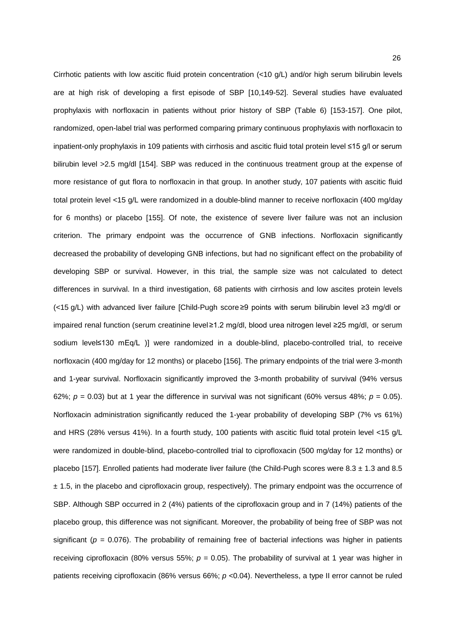Cirrhotic patients with low ascitic fluid protein concentration (<10 g/L) and/or high serum bilirubin levels are at high risk of developing a first episode of SBP [10,149-52]. Several studies have evaluated prophylaxis with norfloxacin in patients without prior history of SBP (Table 6) [153-157]. One pilot, randomized, open-label trial was performed comparing primary continuous prophylaxis with norfloxacin to inpatient-only prophylaxis in 109 patients with cirrhosis and ascitic fluid total protein level ≤15 g/l or serum bilirubin level >2.5 mg/dl [154]. SBP was reduced in the continuous treatment group at the expense of more resistance of gut flora to norfloxacin in that group. In another study, 107 patients with ascitic fluid total protein level <15 g/L were randomized in a double-blind manner to receive norfloxacin (400 mg/day for 6 months) or placebo [155]. Of note, the existence of severe liver failure was not an inclusion criterion. The primary endpoint was the occurrence of GNB infections. Norfloxacin significantly decreased the probability of developing GNB infections, but had no significant effect on the probability of developing SBP or survival. However, in this trial, the sample size was not calculated to detect differences in survival. In a third investigation, 68 patients with cirrhosis and low ascites protein levels (<15 g/L) with advanced liver failure [Child-Pugh score ≥9 points with serum bilirubin level ≥3 mg/dl or impaired renal function (serum creatinine level ≥1.2 mg/dl, blood urea nitrogen level ≥25 mg/dl, or serum sodium level≤130 mEq/L)] were randomized in a double-blind, placebo-controlled trial, to receive norfloxacin (400 mg/day for 12 months) or placebo [156]. The primary endpoints of the trial were 3-month and 1-year survival. Norfloxacin significantly improved the 3-month probability of survival (94% versus 62%;  $p = 0.03$ ) but at 1 year the difference in survival was not significant (60% versus 48%;  $p = 0.05$ ). Norfloxacin administration significantly reduced the 1-year probability of developing SBP (7% vs 61%) and HRS (28% versus 41%). In a fourth study, 100 patients with ascitic fluid total protein level <15 g/L were randomized in double-blind, placebo-controlled trial to ciprofloxacin (500 mg/day for 12 months) or placebo [157]. Enrolled patients had moderate liver failure (the Child-Pugh scores were  $8.3 \pm 1.3$  and  $8.5$ )  $\pm$  1.5, in the placebo and ciprofloxacin group, respectively). The primary endpoint was the occurrence of SBP. Although SBP occurred in 2 (4%) patients of the ciprofloxacin group and in 7 (14%) patients of the placebo group, this difference was not significant. Moreover, the probability of being free of SBP was not significant ( $p = 0.076$ ). The probability of remaining free of bacterial infections was higher in patients receiving ciprofloxacin (80% versus 55%;  $p = 0.05$ ). The probability of survival at 1 year was higher in patients receiving ciprofloxacin (86% versus 66%;  $p < 0.04$ ). Nevertheless, a type II error cannot be ruled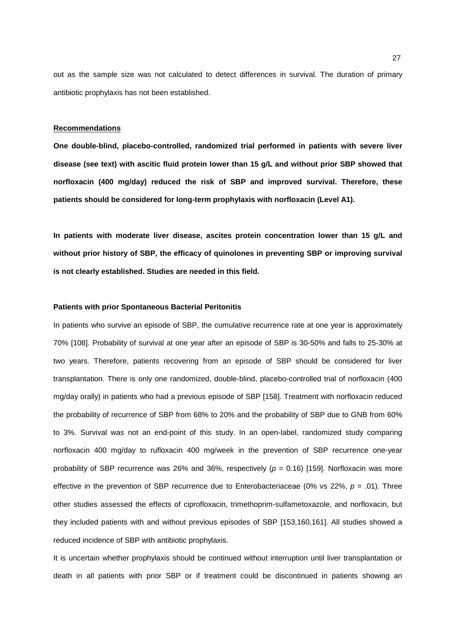out as the sample size was not calculated to detect differences in survival. The duration of primary antibiotic prophylaxis has not been established.

# **Recommendations**

**One double-blind, placebo-controlled, randomized trial performed in patients with severe liver disease (see text) with ascitic fluid protein lower than 15 g/L and without prior SBP showed that norfloxacin (400 mg/day) reduced the risk of SBP and improved survival. Therefore, these patients should be considered for long-term prophylaxis with norfloxacin (Level A1).**

**In patients with moderate liver disease, ascites protein concentration lower than 15 g/L and without prior history of SBP, the efficacy of quinolones in preventing SBP or improving survival is not clearly established. Studies are needed in this field.**

#### **Patients with prior Spontaneous Bacterial Peritonitis**

In patients who survive an episode of SBP, the cumulative recurrence rate at one year is approximately 70% [108]. Probability of survival at one year after an episode of SBP is 30-50% and falls to 25-30% at two years. Therefore, patients recovering from an episode of SBP should be considered for liver transplantation. There is only one randomized, double-blind, placebo-controlled trial of norfloxacin (400 mg/day orally) in patients who had a previous episode of SBP [158]. Treatment with norfloxacin reduced the probability of recurrence of SBP from 68% to 20% and the probability of SBP due to GNB from 60% to 3%. Survival was not an end-point of this study. In an open-label, randomized study comparing norfloxacin 400 mg/day to rufloxacin 400 mg/week in the prevention of SBP recurrence one-year probability of SBP recurrence was 26% and 36%, respectively (*p* = 0.16) [159]. Norfloxacin was more effective in the prevention of SBP recurrence due to Enterobacteriaceae (0% vs 22%, *p* = .01). Three other studies assessed the effects of ciprofloxacin, trimethoprim-sulfametoxazole, and norfloxacin, but they included patients with and without previous episodes of SBP [153,160,161]. All studies showed a reduced incidence of SBP with antibiotic prophylaxis.

It is uncertain whether prophylaxis should be continued without interruption until liver transplantation or death in all patients with prior SBP or if treatment could be discontinued in patients showing an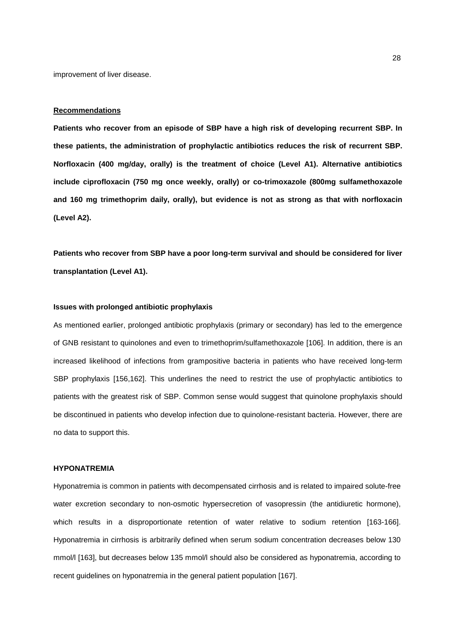improvement of liver disease.

# **Recommendations**

**Patients who recover from an episode of SBP have a high risk of developing recurrent SBP. In these patients, the administration of prophylactic antibiotics reduces the risk of recurrent SBP. Norfloxacin (400 mg/day, orally) is the treatment of choice (Level A1). Alternative antibiotics include ciprofloxacin (750 mg once weekly, orally) or co-trimoxazole (800mg sulfamethoxazole and 160 mg trimethoprim daily, orally), but evidence is not as strong as that with norfloxacin (Level A2).** 

**Patients who recover from SBP have a poor long-term survival and should be considered for liver transplantation (Level A1).**

# **Issues with prolonged antibiotic prophylaxis**

As mentioned earlier, prolonged antibiotic prophylaxis (primary or secondary) has led to the emergence of GNB resistant to quinolones and even to trimethoprim/sulfamethoxazole [106]. In addition, there is an increased likelihood of infections from grampositive bacteria in patients who have received long-term SBP prophylaxis [156,162]. This underlines the need to restrict the use of prophylactic antibiotics to patients with the greatest risk of SBP. Common sense would suggest that quinolone prophylaxis should be discontinued in patients who develop infection due to quinolone-resistant bacteria. However, there are no data to support this.

# **HYPONATREMIA**

Hyponatremia is common in patients with decompensated cirrhosis and is related to impaired solute-free water excretion secondary to non-osmotic hypersecretion of vasopressin (the antidiuretic hormone), which results in a disproportionate retention of water relative to sodium retention [163-166]. Hyponatremia in cirrhosis is arbitrarily defined when serum sodium concentration decreases below 130 mmol/l [163], but decreases below 135 mmol/l should also be considered as hyponatremia, according to recent guidelines on hyponatremia in the general patient population [167].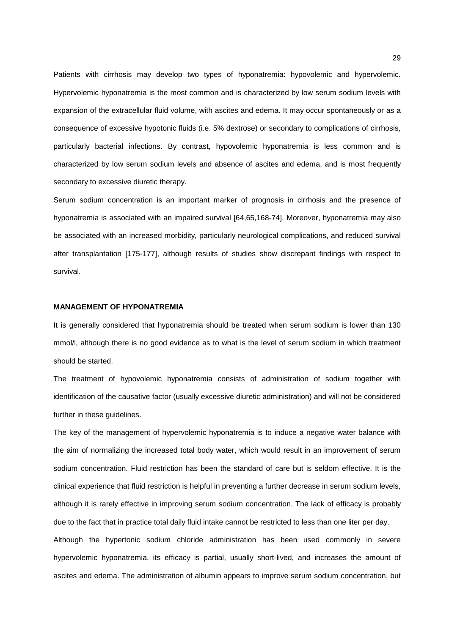Patients with cirrhosis may develop two types of hyponatremia: hypovolemic and hypervolemic. Hypervolemic hyponatremia is the most common and is characterized by low serum sodium levels with expansion of the extracellular fluid volume, with ascites and edema. It may occur spontaneously or as a consequence of excessive hypotonic fluids (i.e. 5% dextrose) or secondary to complications of cirrhosis, particularly bacterial infections. By contrast, hypovolemic hyponatremia is less common and is characterized by low serum sodium levels and absence of ascites and edema, and is most frequently secondary to excessive diuretic therapy.

Serum sodium concentration is an important marker of prognosis in cirrhosis and the presence of hyponatremia is associated with an impaired survival [64,65,168-74]. Moreover, hyponatremia may also be associated with an increased morbidity, particularly neurological complications, and reduced survival after transplantation [175-177], although results of studies show discrepant findings with respect to survival.

### **MANAGEMENT OF HYPONATREMIA**

It is generally considered that hyponatremia should be treated when serum sodium is lower than 130 mmol/l, although there is no good evidence as to what is the level of serum sodium in which treatment should be started.

The treatment of hypovolemic hyponatremia consists of administration of sodium together with identification of the causative factor (usually excessive diuretic administration) and will not be considered further in these guidelines.

The key of the management of hypervolemic hyponatremia is to induce a negative water balance with the aim of normalizing the increased total body water, which would result in an improvement of serum sodium concentration. Fluid restriction has been the standard of care but is seldom effective. It is the clinical experience that fluid restriction is helpful in preventing a further decrease in serum sodium levels, although it is rarely effective in improving serum sodium concentration. The lack of efficacy is probably due to the fact that in practice total daily fluid intake cannot be restricted to less than one liter per day.

Although the hypertonic sodium chloride administration has been used commonly in severe hypervolemic hyponatremia, its efficacy is partial, usually short-lived, and increases the amount of ascites and edema. The administration of albumin appears to improve serum sodium concentration, but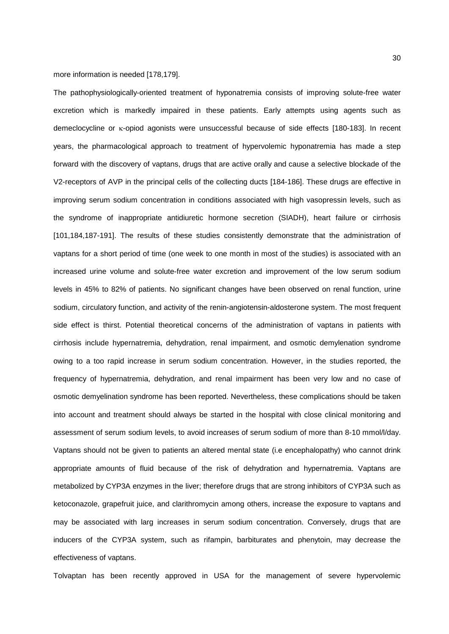more information is needed [178,179].

The pathophysiologically-oriented treatment of hyponatremia consists of improving solute-free water excretion which is markedly impaired in these patients. Early attempts using agents such as demeclocycline or κ-opiod agonists were unsuccessful because of side effects [180-183]. In recent years, the pharmacological approach to treatment of hypervolemic hyponatremia has made a step forward with the discovery of vaptans, drugs that are active orally and cause a selective blockade of the V2-receptors of AVP in the principal cells of the collecting ducts [184-186]. These drugs are effective in improving serum sodium concentration in conditions associated with high vasopressin levels, such as the syndrome of inappropriate antidiuretic hormone secretion (SIADH), heart failure or cirrhosis [101,184,187-191]. The results of these studies consistently demonstrate that the administration of vaptans for a short period of time (one week to one month in most of the studies) is associated with an increased urine volume and solute-free water excretion and improvement of the low serum sodium levels in 45% to 82% of patients. No significant changes have been observed on renal function, urine sodium, circulatory function, and activity of the renin-angiotensin-aldosterone system. The most frequent side effect is thirst. Potential theoretical concerns of the administration of vaptans in patients with cirrhosis include hypernatremia, dehydration, renal impairment, and osmotic demylenation syndrome owing to a too rapid increase in serum sodium concentration. However, in the studies reported, the frequency of hypernatremia, dehydration, and renal impairment has been very low and no case of osmotic demyelination syndrome has been reported. Nevertheless, these complications should be taken into account and treatment should always be started in the hospital with close clinical monitoring and assessment of serum sodium levels, to avoid increases of serum sodium of more than 8-10 mmol/l/day. Vaptans should not be given to patients an altered mental state (i.e encephalopathy) who cannot drink appropriate amounts of fluid because of the risk of dehydration and hypernatremia. Vaptans are metabolized by CYP3A enzymes in the liver; therefore drugs that are strong inhibitors of CYP3A such as ketoconazole, grapefruit juice, and clarithromycin among others, increase the exposure to vaptans and may be associated with larg increases in serum sodium concentration. Conversely, drugs that are inducers of the CYP3A system, such as rifampin, barbiturates and phenytoin, may decrease the effectiveness of vaptans.

Tolvaptan has been recently approved in USA for the management of severe hypervolemic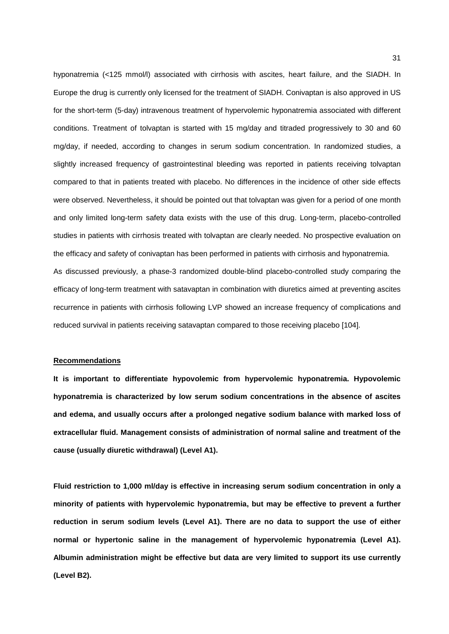hyponatremia (<125 mmol/l) associated with cirrhosis with ascites, heart failure, and the SIADH. In Europe the drug is currently only licensed for the treatment of SIADH. Conivaptan is also approved in US for the short-term (5-day) intravenous treatment of hypervolemic hyponatremia associated with different conditions. Treatment of tolvaptan is started with 15 mg/day and titraded progressively to 30 and 60 mg/day, if needed, according to changes in serum sodium concentration. In randomized studies, a slightly increased frequency of gastrointestinal bleeding was reported in patients receiving tolvaptan compared to that in patients treated with placebo. No differences in the incidence of other side effects were observed. Nevertheless, it should be pointed out that tolvaptan was given for a period of one month and only limited long-term safety data exists with the use of this drug. Long-term, placebo-controlled studies in patients with cirrhosis treated with tolvaptan are clearly needed. No prospective evaluation on the efficacy and safety of conivaptan has been performed in patients with cirrhosis and hyponatremia. As discussed previously, a phase-3 randomized double-blind placebo-controlled study comparing the efficacy of long-term treatment with satavaptan in combination with diuretics aimed at preventing ascites recurrence in patients with cirrhosis following LVP showed an increase frequency of complications and

reduced survival in patients receiving satavaptan compared to those receiving placebo [104].

# **Recommendations**

**It is important to differentiate hypovolemic from hypervolemic hyponatremia. Hypovolemic hyponatremia is characterized by low serum sodium concentrations in the absence of ascites and edema, and usually occurs after a prolonged negative sodium balance with marked loss of extracellular fluid. Management consists of administration of normal saline and treatment of the cause (usually diuretic withdrawal) (Level A1).** 

**Fluid restriction to 1,000 ml/day is effective in increasing serum sodium concentration in only a minority of patients with hypervolemic hyponatremia, but may be effective to prevent a further reduction in serum sodium levels (Level A1). There are no data to support the use of either normal or hypertonic saline in the management of hypervolemic hyponatremia (Level A1). Albumin administration might be effective but data are very limited to support its use currently (Level B2).**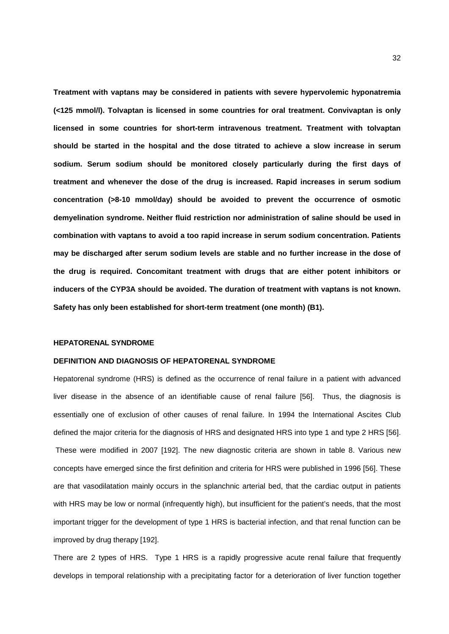**Treatment with vaptans may be considered in patients with severe hypervolemic hyponatremia (<125 mmol/l). Tolvaptan is licensed in some countries for oral treatment. Convivaptan is only licensed in some countries for short-term intravenous treatment. Treatment with tolvaptan should be started in the hospital and the dose titrated to achieve a slow increase in serum sodium. Serum sodium should be monitored closely particularly during the first days of treatment and whenever the dose of the drug is increased. Rapid increases in serum sodium concentration (>8-10 mmol/day) should be avoided to prevent the occurrence of osmotic demyelination syndrome. Neither fluid restriction nor administration of saline should be used in combination with vaptans to avoid a too rapid increase in serum sodium concentration. Patients may be discharged after serum sodium levels are stable and no further increase in the dose of the drug is required. Concomitant treatment with drugs that are either potent inhibitors or inducers of the CYP3A should be avoided. The duration of treatment with vaptans is not known. Safety has only been established for short-term treatment (one month) (B1).**

# **HEPATORENAL SYNDROME**

# **DEFINITION AND DIAGNOSIS OF HEPATORENAL SYNDROME**

Hepatorenal syndrome (HRS) is defined as the occurrence of renal failure in a patient with advanced liver disease in the absence of an identifiable cause of renal failure [56]. Thus, the diagnosis is essentially one of exclusion of other causes of renal failure. In 1994 the International Ascites Club defined the major criteria for the diagnosis of HRS and designated HRS into type 1 and type 2 HRS [56]. These were modified in 2007 [192]. The new diagnostic criteria are shown in table 8. Various new concepts have emerged since the first definition and criteria for HRS were published in 1996 [56]. These are that vasodilatation mainly occurs in the splanchnic arterial bed, that the cardiac output in patients with HRS may be low or normal (infrequently high), but insufficient for the patient's needs, that the most important trigger for the development of type 1 HRS is bacterial infection, and that renal function can be improved by drug therapy [192].

There are 2 types of HRS. Type 1 HRS is a rapidly progressive acute renal failure that frequently develops in temporal relationship with a precipitating factor for a deterioration of liver function together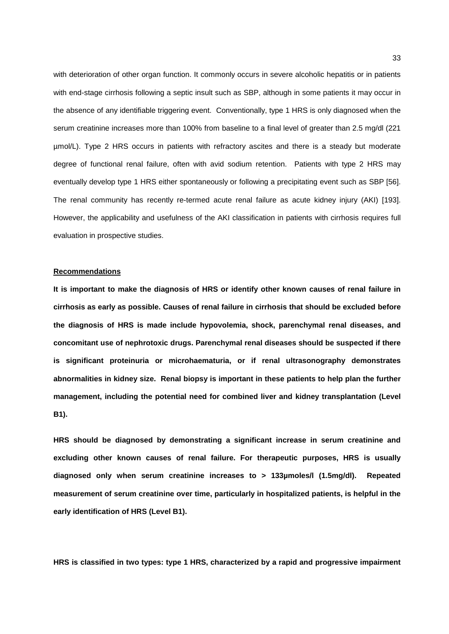with deterioration of other organ function. It commonly occurs in severe alcoholic hepatitis or in patients with end-stage cirrhosis following a septic insult such as SBP, although in some patients it may occur in the absence of any identifiable triggering event. Conventionally, type 1 HRS is only diagnosed when the serum creatinine increases more than 100% from baseline to a final level of greater than 2.5 mg/dl (221 µmol/L). Type 2 HRS occurs in patients with refractory ascites and there is a steady but moderate degree of functional renal failure, often with avid sodium retention. Patients with type 2 HRS may eventually develop type 1 HRS either spontaneously or following a precipitating event such as SBP [56]. The renal community has recently re-termed acute renal failure as acute kidney injury (AKI) [193]. However, the applicability and usefulness of the AKI classification in patients with cirrhosis requires full evaluation in prospective studies.

# **Recommendations**

**It is important to make the diagnosis of HRS or identify other known causes of renal failure in cirrhosis as early as possible. Causes of renal failure in cirrhosis that should be excluded before the diagnosis of HRS is made include hypovolemia, shock, parenchymal renal diseases, and concomitant use of nephrotoxic drugs. Parenchymal renal diseases should be suspected if there is significant proteinuria or microhaematuria, or if renal ultrasonography demonstrates abnormalities in kidney size. Renal biopsy is important in these patients to help plan the further management, including the potential need for combined liver and kidney transplantation (Level B1).**

**HRS should be diagnosed by demonstrating a significant increase in serum creatinine and excluding other known causes of renal failure. For therapeutic purposes, HRS is usually diagnosed only when serum creatinine increases to > 133µmoles/l (1.5mg/dl). Repeated measurement of serum creatinine over time, particularly in hospitalized patients, is helpful in the early identification of HRS (Level B1).** 

**HRS is classified in two types: type 1 HRS, characterized by a rapid and progressive impairment**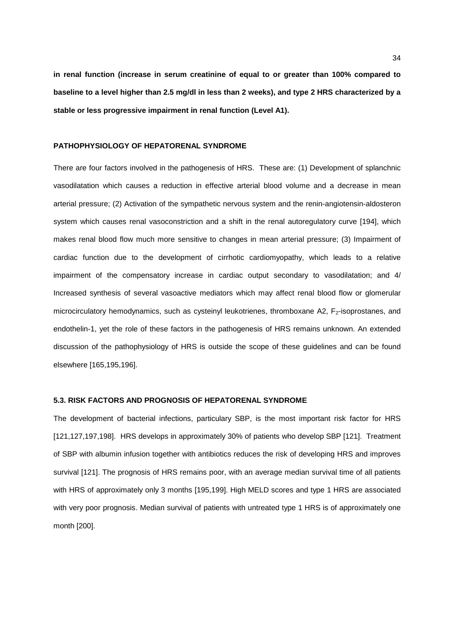**in renal function (increase in serum creatinine of equal to or greater than 100% compared to baseline to a level higher than 2.5 mg/dl in less than 2 weeks), and type 2 HRS characterized by a stable or less progressive impairment in renal function (Level A1).**

### **PATHOPHYSIOLOGY OF HEPATORENAL SYNDROME**

There are four factors involved in the pathogenesis of HRS. These are: (1) Development of splanchnic vasodilatation which causes a reduction in effective arterial blood volume and a decrease in mean arterial pressure; (2) Activation of the sympathetic nervous system and the renin-angiotensin-aldosteron system which causes renal vasoconstriction and a shift in the renal autoregulatory curve [194], which makes renal blood flow much more sensitive to changes in mean arterial pressure; (3) Impairment of cardiac function due to the development of cirrhotic cardiomyopathy, which leads to a relative impairment of the compensatory increase in cardiac output secondary to vasodilatation; and 4/ Increased synthesis of several vasoactive mediators which may affect renal blood flow or glomerular microcirculatory hemodynamics, such as cysteinyl leukotrienes, thromboxane A2,  $F_2$ -isoprostanes, and endothelin-1, yet the role of these factors in the pathogenesis of HRS remains unknown. An extended discussion of the pathophysiology of HRS is outside the scope of these guidelines and can be found elsewhere [165,195,196].

# **5.3. RISK FACTORS AND PROGNOSIS OF HEPATORENAL SYNDROME**

The development of bacterial infections, particulary SBP, is the most important risk factor for HRS [121,127,197,198]. HRS develops in approximately 30% of patients who develop SBP [121]. Treatment of SBP with albumin infusion together with antibiotics reduces the risk of developing HRS and improves survival [121]. The prognosis of HRS remains poor, with an average median survival time of all patients with HRS of approximately only 3 months [195,199]. High MELD scores and type 1 HRS are associated with very poor prognosis. Median survival of patients with untreated type 1 HRS is of approximately one month [200].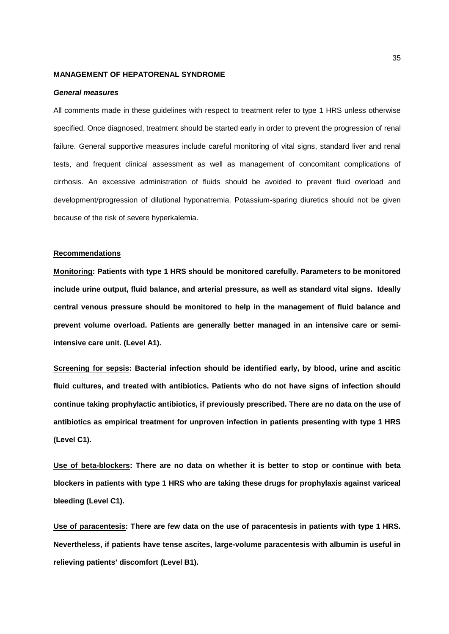#### **MANAGEMENT OF HEPATORENAL SYNDROME**

#### *General measures*

All comments made in these guidelines with respect to treatment refer to type 1 HRS unless otherwise specified. Once diagnosed, treatment should be started early in order to prevent the progression of renal failure. General supportive measures include careful monitoring of vital signs, standard liver and renal tests, and frequent clinical assessment as well as management of concomitant complications of cirrhosis. An excessive administration of fluids should be avoided to prevent fluid overload and development/progression of dilutional hyponatremia. Potassium-sparing diuretics should not be given because of the risk of severe hyperkalemia.

# **Recommendations**

**Monitoring: Patients with type 1 HRS should be monitored carefully. Parameters to be monitored include urine output, fluid balance, and arterial pressure, as well as standard vital signs. Ideally central venous pressure should be monitored to help in the management of fluid balance and prevent volume overload. Patients are generally better managed in an intensive care or semiintensive care unit. (Level A1).** 

**Screening for sepsis: Bacterial infection should be identified early, by blood, urine and ascitic fluid cultures, and treated with antibiotics. Patients who do not have signs of infection should continue taking prophylactic antibiotics, if previously prescribed. There are no data on the use of antibiotics as empirical treatment for unproven infection in patients presenting with type 1 HRS (Level C1).**

**Use of beta-blockers: There are no data on whether it is better to stop or continue with beta blockers in patients with type 1 HRS who are taking these drugs for prophylaxis against variceal bleeding (Level C1).** 

**Use of paracentesis: There are few data on the use of paracentesis in patients with type 1 HRS. Nevertheless, if patients have tense ascites, large-volume paracentesis with albumin is useful in relieving patients' discomfort (Level B1).**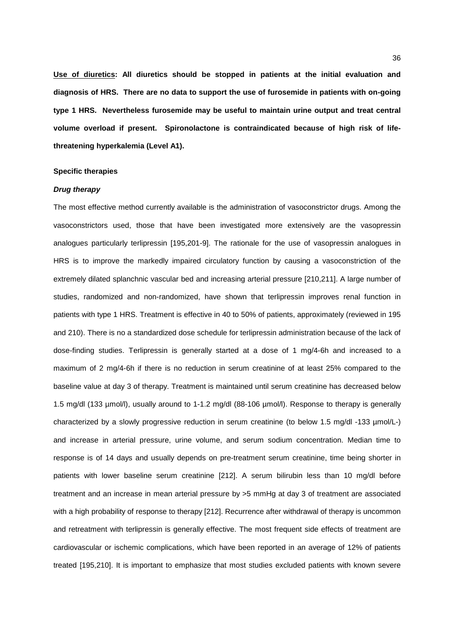**Use of diuretics: All diuretics should be stopped in patients at the initial evaluation and diagnosis of HRS. There are no data to support the use of furosemide in patients with on-going type 1 HRS. Nevertheless furosemide may be useful to maintain urine output and treat central volume overload if present. Spironolactone is contraindicated because of high risk of lifethreatening hyperkalemia (Level A1).** 

# **Specific therapies**

#### *Drug therapy*

The most effective method currently available is the administration of vasoconstrictor drugs. Among the vasoconstrictors used, those that have been investigated more extensively are the vasopressin analogues particularly terlipressin [195,201-9]. The rationale for the use of vasopressin analogues in HRS is to improve the markedly impaired circulatory function by causing a vasoconstriction of the extremely dilated splanchnic vascular bed and increasing arterial pressure [210,211]. A large number of studies, randomized and non-randomized, have shown that terlipressin improves renal function in patients with type 1 HRS. Treatment is effective in 40 to 50% of patients, approximately (reviewed in 195 and 210). There is no a standardized dose schedule for terlipressin administration because of the lack of dose-finding studies. Terlipressin is generally started at a dose of 1 mg/4-6h and increased to a maximum of 2 mg/4-6h if there is no reduction in serum creatinine of at least 25% compared to the baseline value at day 3 of therapy. Treatment is maintained until serum creatinine has decreased below 1.5 mg/dl (133 µmol/l), usually around to 1-1.2 mg/dl (88-106 µmol/l). Response to therapy is generally characterized by a slowly progressive reduction in serum creatinine (to below 1.5 mg/dl -133 µmol/L-) and increase in arterial pressure, urine volume, and serum sodium concentration. Median time to response is of 14 days and usually depends on pre-treatment serum creatinine, time being shorter in patients with lower baseline serum creatinine [212]. A serum bilirubin less than 10 mg/dl before treatment and an increase in mean arterial pressure by >5 mmHg at day 3 of treatment are associated with a high probability of response to therapy [212]. Recurrence after withdrawal of therapy is uncommon and retreatment with terlipressin is generally effective. The most frequent side effects of treatment are cardiovascular or ischemic complications, which have been reported in an average of 12% of patients treated [195,210]. It is important to emphasize that most studies excluded patients with known severe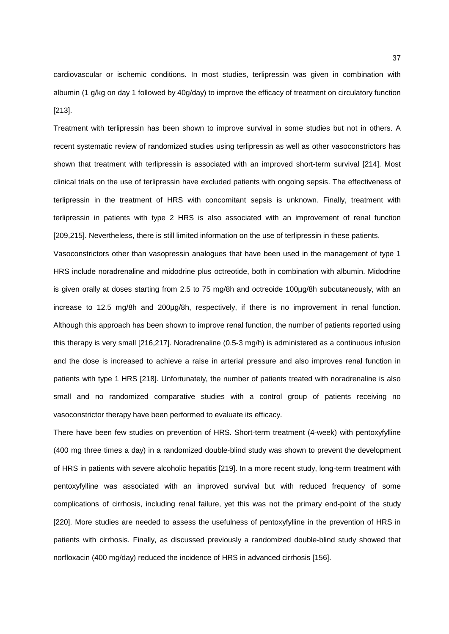cardiovascular or ischemic conditions. In most studies, terlipressin was given in combination with albumin (1 g/kg on day 1 followed by 40g/day) to improve the efficacy of treatment on circulatory function [213].

Treatment with terlipressin has been shown to improve survival in some studies but not in others. A recent systematic review of randomized studies using terlipressin as well as other vasoconstrictors has shown that treatment with terlipressin is associated with an improved short-term survival [214]. Most clinical trials on the use of terlipressin have excluded patients with ongoing sepsis. The effectiveness of terlipressin in the treatment of HRS with concomitant sepsis is unknown. Finally, treatment with terlipressin in patients with type 2 HRS is also associated with an improvement of renal function [209,215]. Nevertheless, there is still limited information on the use of terlipressin in these patients.

Vasoconstrictors other than vasopressin analogues that have been used in the management of type 1 HRS include noradrenaline and midodrine plus octreotide, both in combination with albumin. Midodrine is given orally at doses starting from 2.5 to 75 mg/8h and octreoide 100µg/8h subcutaneously, with an increase to 12.5 mg/8h and 200µg/8h, respectively, if there is no improvement in renal function. Although this approach has been shown to improve renal function, the number of patients reported using this therapy is very small [216,217]. Noradrenaline (0.5-3 mg/h) is administered as a continuous infusion and the dose is increased to achieve a raise in arterial pressure and also improves renal function in patients with type 1 HRS [218]. Unfortunately, the number of patients treated with noradrenaline is also small and no randomized comparative studies with a control group of patients receiving no vasoconstrictor therapy have been performed to evaluate its efficacy.

There have been few studies on prevention of HRS. Short-term treatment (4-week) with pentoxyfylline (400 mg three times a day) in a randomized double-blind study was shown to prevent the development of HRS in patients with severe alcoholic hepatitis [219]. In a more recent study, long-term treatment with pentoxyfylline was associated with an improved survival but with reduced frequency of some complications of cirrhosis, including renal failure, yet this was not the primary end-point of the study [220]. More studies are needed to assess the usefulness of pentoxyfylline in the prevention of HRS in patients with cirrhosis. Finally, as discussed previously a randomized double-blind study showed that norfloxacin (400 mg/day) reduced the incidence of HRS in advanced cirrhosis [156].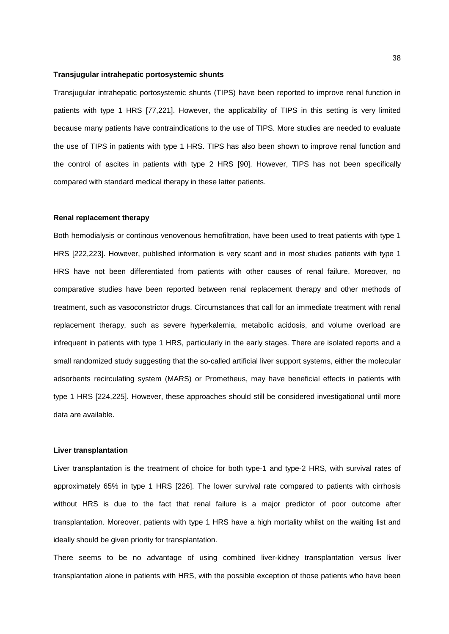#### **Transjugular intrahepatic portosystemic shunts**

Transjugular intrahepatic portosystemic shunts (TIPS) have been reported to improve renal function in patients with type 1 HRS [77,221]. However, the applicability of TIPS in this setting is very limited because many patients have contraindications to the use of TIPS. More studies are needed to evaluate the use of TIPS in patients with type 1 HRS. TIPS has also been shown to improve renal function and the control of ascites in patients with type 2 HRS [90]. However, TIPS has not been specifically compared with standard medical therapy in these latter patients.

# **Renal replacement therapy**

Both hemodialysis or continous venovenous hemofiltration, have been used to treat patients with type 1 HRS [222,223]. However, published information is very scant and in most studies patients with type 1 HRS have not been differentiated from patients with other causes of renal failure. Moreover, no comparative studies have been reported between renal replacement therapy and other methods of treatment, such as vasoconstrictor drugs. Circumstances that call for an immediate treatment with renal replacement therapy, such as severe hyperkalemia, metabolic acidosis, and volume overload are infrequent in patients with type 1 HRS, particularly in the early stages. There are isolated reports and a small randomized study suggesting that the so-called artificial liver support systems, either the molecular adsorbents recirculating system (MARS) or Prometheus, may have beneficial effects in patients with type 1 HRS [224,225]. However, these approaches should still be considered investigational until more data are available.

### **Liver transplantation**

Liver transplantation is the treatment of choice for both type-1 and type-2 HRS, with survival rates of approximately 65% in type 1 HRS [226]. The lower survival rate compared to patients with cirrhosis without HRS is due to the fact that renal failure is a major predictor of poor outcome after transplantation. Moreover, patients with type 1 HRS have a high mortality whilst on the waiting list and ideally should be given priority for transplantation.

There seems to be no advantage of using combined liver-kidney transplantation versus liver transplantation alone in patients with HRS, with the possible exception of those patients who have been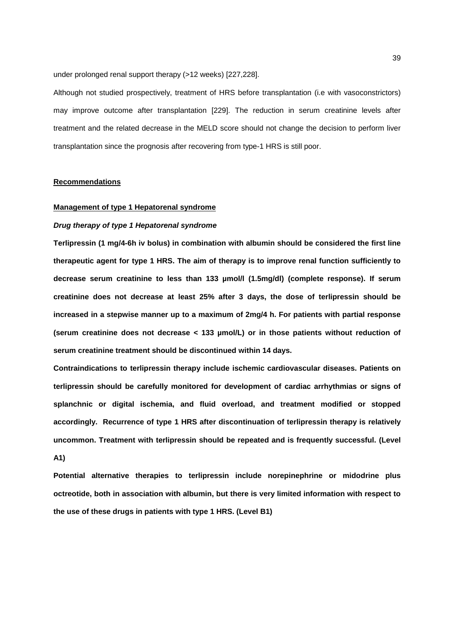under prolonged renal support therapy (>12 weeks) [227,228].

Although not studied prospectively, treatment of HRS before transplantation (i.e with vasoconstrictors) may improve outcome after transplantation [229]. The reduction in serum creatinine levels after treatment and the related decrease in the MELD score should not change the decision to perform liver transplantation since the prognosis after recovering from type-1 HRS is still poor.

# **Recommendations**

### **Management of type 1 Hepatorenal syndrome**

# *Drug therapy of type 1 Hepatorenal syndrome*

**Terlipressin (1 mg/4-6h iv bolus) in combination with albumin should be considered the first line therapeutic agent for type 1 HRS. The aim of therapy is to improve renal function sufficiently to decrease serum creatinine to less than 133 µmol/l (1.5mg/dl) (complete response). If serum creatinine does not decrease at least 25% after 3 days, the dose of terlipressin should be increased in a stepwise manner up to a maximum of 2mg/4 h. For patients with partial response (serum creatinine does not decrease < 133 µmol/L) or in those patients without reduction of serum creatinine treatment should be discontinued within 14 days.**

**Contraindications to terlipressin therapy include ischemic cardiovascular diseases. Patients on terlipressin should be carefully monitored for development of cardiac arrhythmias or signs of splanchnic or digital ischemia, and fluid overload, and treatment modified or stopped accordingly. Recurrence of type 1 HRS after discontinuation of terlipressin therapy is relatively uncommon. Treatment with terlipressin should be repeated and is frequently successful. (Level** 

**A1)**

**Potential alternative therapies to terlipressin include norepinephrine or midodrine plus octreotide, both in association with albumin, but there is very limited information with respect to the use of these drugs in patients with type 1 HRS. (Level B1)**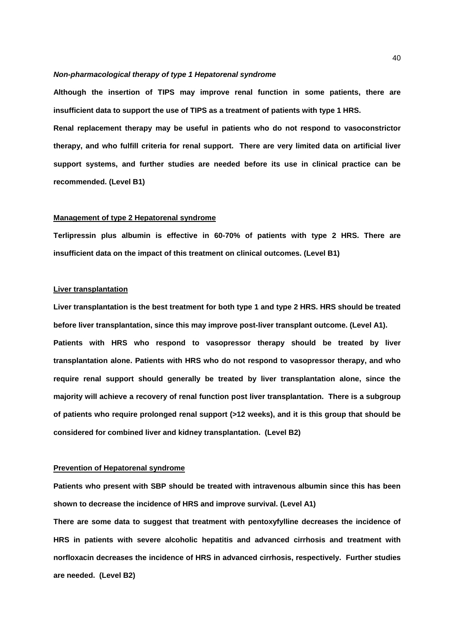#### *Non-pharmacological therapy of type 1 Hepatorenal syndrome*

**Although the insertion of TIPS may improve renal function in some patients, there are insufficient data to support the use of TIPS as a treatment of patients with type 1 HRS. Renal replacement therapy may be useful in patients who do not respond to vasoconstrictor**

**therapy, and who fulfill criteria for renal support. There are very limited data on artificial liver support systems, and further studies are needed before its use in clinical practice can be recommended. (Level B1)**

# **Management of type 2 Hepatorenal syndrome**

**Terlipressin plus albumin is effective in 60-70% of patients with type 2 HRS. There are insufficient data on the impact of this treatment on clinical outcomes. (Level B1)**

#### **Liver transplantation**

**Liver transplantation is the best treatment for both type 1 and type 2 HRS. HRS should be treated before liver transplantation, since this may improve post-liver transplant outcome. (Level A1).**

**Patients with HRS who respond to vasopressor therapy should be treated by liver transplantation alone. Patients with HRS who do not respond to vasopressor therapy, and who require renal support should generally be treated by liver transplantation alone, since the majority will achieve a recovery of renal function post liver transplantation. There is a subgroup of patients who require prolonged renal support (>12 weeks), and it is this group that should be considered for combined liver and kidney transplantation. (Level B2)**

# **Prevention of Hepatorenal syndrome**

**Patients who present with SBP should be treated with intravenous albumin since this has been shown to decrease the incidence of HRS and improve survival. (Level A1)**

**There are some data to suggest that treatment with pentoxyfylline decreases the incidence of HRS in patients with severe alcoholic hepatitis and advanced cirrhosis and treatment with norfloxacin decreases the incidence of HRS in advanced cirrhosis, respectively. Further studies are needed. (Level B2)**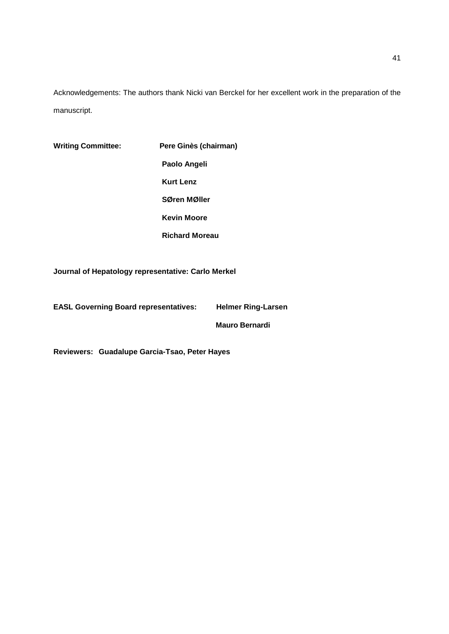Acknowledgements: The authors thank Nicki van Berckel for her excellent work in the preparation of the manuscript.

**Writing Committee: Pere Ginès (chairman) Paolo Angeli Kurt Lenz SØren MØller Kevin Moore Richard Moreau**

**Journal of Hepatology representative: Carlo Merkel**

**EASL Governing Board representatives: Helmer Ring-Larsen Mauro Bernardi**

**Reviewers: Guadalupe Garcia-Tsao, Peter Hayes**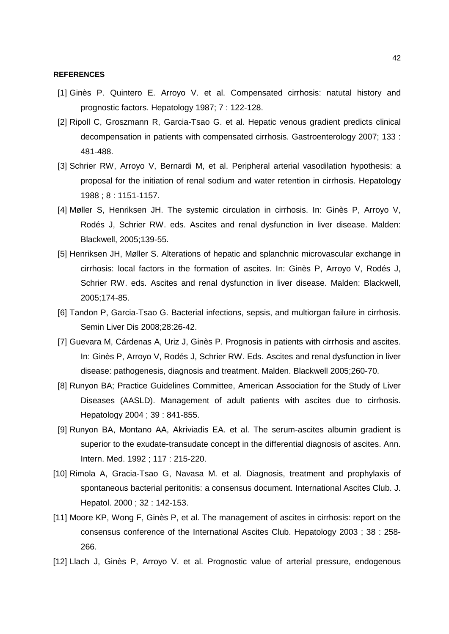### **REFERENCES**

- [1] Ginès P. Quintero E. Arroyo V. et al. Compensated cirrhosis: natutal history and prognostic factors. Hepatology 1987; 7 : 122-128.
- [2] Ripoll C, Groszmann R, Garcia-Tsao G. et al. Hepatic venous gradient predicts clinical decompensation in patients with compensated cirrhosis. Gastroenterology 2007; 133 : 481-488.
- [3] Schrier RW, Arroyo V, Bernardi M, et al. Peripheral arterial vasodilation hypothesis: a proposal for the initiation of renal sodium and water retention in cirrhosis. Hepatology 1988 ; 8 : 1151-1157.
- [4] Møller S, Henriksen JH. The systemic circulation in cirrhosis. In: Ginès P, Arroyo V, Rodés J, Schrier RW. eds. Ascites and renal dysfunction in liver disease. Malden: Blackwell, 2005;139-55.
- [5] Henriksen JH, Møller S. Alterations of hepatic and splanchnic microvascular exchange in cirrhosis: local factors in the formation of ascites. In: Ginès P, Arroyo V, Rodés J, Schrier RW. eds. Ascites and renal dysfunction in liver disease. Malden: Blackwell, 2005;174-85.
- [6] Tandon P, Garcia-Tsao G. Bacterial infections, sepsis, and multiorgan failure in cirrhosis. Semin Liver Dis 2008;28:26-42.
- [7] Guevara M, Cárdenas A, Uriz J, Ginès P. Prognosis in patients with cirrhosis and ascites. In: Ginès P, Arroyo V, Rodés J, Schrier RW. Eds. Ascites and renal dysfunction in liver disease: pathogenesis, diagnosis and treatment. Malden. Blackwell 2005;260-70.
- [8] Runyon BA; Practice Guidelines Committee, American Association for the Study of Liver Diseases (AASLD). Management of adult patients with ascites due to cirrhosis. Hepatology 2004 ; 39 : 841-855.
- [9] Runyon BA, Montano AA, Akriviadis EA. et al. The serum-ascites albumin gradient is superior to the exudate-transudate concept in the differential diagnosis of ascites. Ann. Intern. Med. 1992 ; 117 : 215-220.
- [10] Rimola A, Gracia-Tsao G, Navasa M. et al. Diagnosis, treatment and prophylaxis of spontaneous bacterial peritonitis: a consensus document. International Ascites Club. J. Hepatol. 2000 ; 32 : 142-153.
- [11] Moore KP, Wong F, Ginès P, et al. The management of ascites in cirrhosis: report on the consensus conference of the International Ascites Club. Hepatology 2003 ; 38 : 258- 266.
- [12] Llach J, Ginès P, Arroyo V. et al. Prognostic value of arterial pressure, endogenous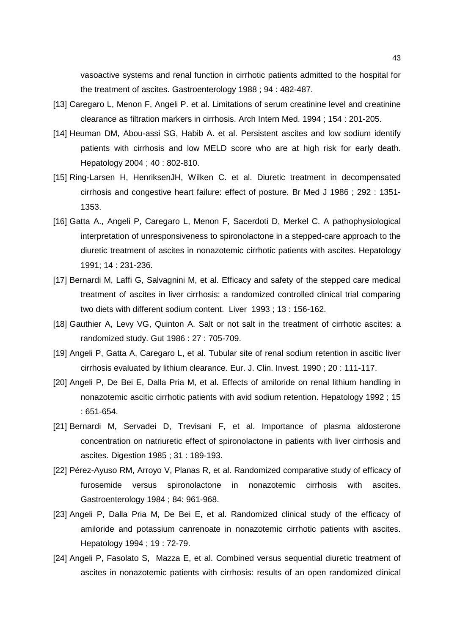vasoactive systems and renal function in cirrhotic patients admitted to the hospital for the treatment of ascites. Gastroenterology 1988 ; 94 : 482-487.

- [13] Caregaro L, Menon F, Angeli P. et al. Limitations of serum creatinine level and creatinine clearance as filtration markers in cirrhosis. Arch Intern Med. 1994 ; 154 : 201-205.
- [14] Heuman DM, Abou-assi SG, Habib A. et al. Persistent ascites and low sodium identify patients with cirrhosis and low MELD score who are at high risk for early death. Hepatology 2004 ; 40 : 802-810.
- [15] Ring-Larsen H, HenriksenJH, Wilken C. et al. Diuretic treatment in decompensated cirrhosis and congestive heart failure: effect of posture. Br Med J 1986 ; 292 : 1351- 1353.
- [16] Gatta A., Angeli P, Caregaro L, Menon F, Sacerdoti D, Merkel C. A pathophysiological interpretation of unresponsiveness to spironolactone in a stepped-care approach to the diuretic treatment of ascites in nonazotemic cirrhotic patients with ascites. Hepatology 1991; 14 : 231-236.
- [17] Bernardi M, Laffi G, Salvagnini M, et al. Efficacy and safety of the stepped care medical treatment of ascites in liver cirrhosis: a randomized controlled clinical trial comparing two diets with different sodium content. Liver 1993 ; 13 : 156-162.
- [18] Gauthier A, Levy VG, Quinton A. Salt or not salt in the treatment of cirrhotic ascites: a randomized study. Gut 1986 : 27 : 705-709.
- [19] Angeli P, Gatta A, Caregaro L, et al. Tubular site of renal sodium retention in ascitic liver cirrhosis evaluated by lithium clearance. Eur. J. Clin. Invest. 1990 ; 20 : 111-117.
- [20] Angeli P, De Bei E, Dalla Pria M, et al. Effects of amiloride on renal lithium handling in nonazotemic ascitic cirrhotic patients with avid sodium retention. Hepatology 1992 ; 15 : 651-654.
- [21] Bernardi M, Servadei D, Trevisani F, et al. Importance of plasma aldosterone concentration on natriuretic effect of spironolactone in patients with liver cirrhosis and ascites. Digestion 1985 ; 31 : 189-193.
- [22] Pérez-Ayuso RM, Arroyo V, Planas R, et al. Randomized comparative study of efficacy of furosemide versus spironolactone in nonazotemic cirrhosis with ascites. Gastroenterology 1984 ; 84: 961-968.
- [23] Angeli P, Dalla Pria M, De Bei E, et al. Randomized clinical study of the efficacy of amiloride and potassium canrenoate in nonazotemic cirrhotic patients with ascites. Hepatology 1994 ; 19 : 72-79.
- [24] Angeli P, Fasolato S, Mazza E, et al. Combined versus sequential diuretic treatment of ascites in nonazotemic patients with cirrhosis: results of an open randomized clinical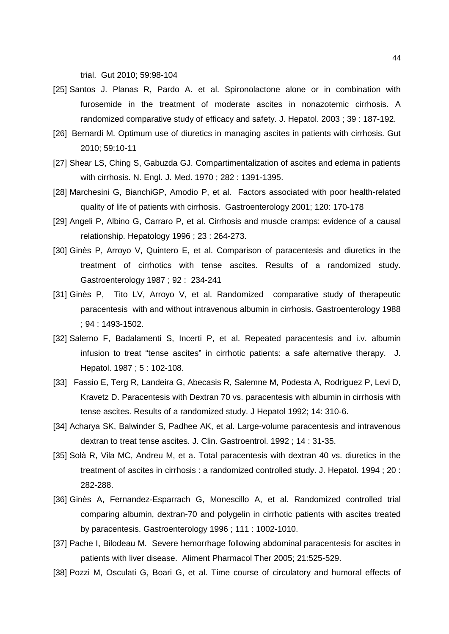trial. Gut 2010; 59:98-104

- [25] Santos J. Planas R, Pardo A. et al. Spironolactone alone or in combination with furosemide in the treatment of moderate ascites in nonazotemic cirrhosis. A randomized comparative study of efficacy and safety. J. Hepatol. 2003 ; 39 : 187-192.
- [26] Bernardi M. Optimum use of diuretics in managing ascites in patients with cirrhosis. Gut 2010; 59:10-11
- [27] Shear LS, Ching S, Gabuzda GJ. Compartimentalization of ascites and edema in patients with cirrhosis. N. Engl. J. Med. 1970 ; 282 : 1391-1395.
- [28] Marchesini G, BianchiGP, Amodio P, et al. Factors associated with poor health-related quality of life of patients with cirrhosis. Gastroenterology 2001; 120: 170-178
- [29] Angeli P, Albino G, Carraro P, et al. Cirrhosis and muscle cramps: evidence of a causal relationship. Hepatology 1996 ; 23 : 264-273.
- [30] Ginès P, Arroyo V, Quintero E, et al. Comparison of paracentesis and diuretics in the treatment of cirrhotics with tense ascites. Results of a randomized study. Gastroenterology 1987 ; 92 : 234-241
- [31] Ginès P, Tito LV, Arroyo V, et al. Randomized comparative study of therapeutic paracentesis with and without intravenous albumin in cirrhosis. Gastroenterology 1988 ; 94 : 1493-1502.
- [32] Salerno F, Badalamenti S, Incerti P, et al. Repeated paracentesis and i.v. albumin infusion to treat "tense ascites" in cirrhotic patients: a safe alternative therapy. J. Hepatol. 1987 ; 5 : 102-108.
- [33] Fassio E, Terg R, Landeira G, Abecasis R, Salemne M, Podesta A, Rodriguez P, Levi D, Kravetz D. Paracentesis with Dextran 70 vs. paracentesis with albumin in cirrhosis with tense ascites. Results of a randomized study. J Hepatol 1992; 14: 310-6.
- [34] Acharya SK, Balwinder S, Padhee AK, et al. Large-volume paracentesis and intravenous dextran to treat tense ascites. J. Clin. Gastroentrol. 1992 ; 14 : 31-35.
- [35] Solà R, Vila MC, Andreu M, et a. Total paracentesis with dextran 40 vs. diuretics in the treatment of ascites in cirrhosis : a randomized controlled study. J. Hepatol. 1994 ; 20 : 282-288.
- [36] Ginès A, Fernandez-Esparrach G, Monescillo A, et al. Randomized controlled trial comparing albumin, dextran-70 and polygelin in cirrhotic patients with ascites treated by paracentesis. Gastroenterology 1996 ; 111 : 1002-1010.
- [37] Pache I, Bilodeau M. Severe hemorrhage following abdominal paracentesis for ascites in patients with liver disease. Aliment Pharmacol Ther 2005; 21:525-529.
- [38] Pozzi M, Osculati G, Boari G, et al. Time course of circulatory and humoral effects of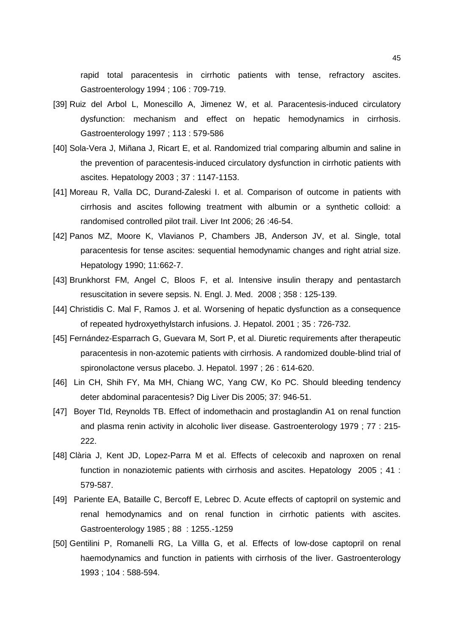rapid total paracentesis in cirrhotic patients with tense, refractory ascites. Gastroenterology 1994 ; 106 : 709-719.

- [39] Ruiz del Arbol L, Monescillo A, Jimenez W, et al. Paracentesis-induced circulatory dysfunction: mechanism and effect on hepatic hemodynamics in cirrhosis. Gastroenterology 1997 ; 113 : 579-586
- [40] Sola-Vera J, Miñana J, Ricart E, et al. Randomized trial comparing albumin and saline in the prevention of paracentesis-induced circulatory dysfunction in cirrhotic patients with ascites. Hepatology 2003 ; 37 : 1147-1153.
- [41] Moreau R, Valla DC, Durand-Zaleski I. et al. Comparison of outcome in patients with cirrhosis and ascites following treatment with albumin or a synthetic colloid: a randomised controlled pilot trail. Liver Int 2006; 26 :46-54.
- [42] Panos MZ, Moore K, Vlavianos P, Chambers JB, Anderson JV, et al. Single, total paracentesis for tense ascites: sequential hemodynamic changes and right atrial size. Hepatology 1990; 11:662-7.
- [43] Brunkhorst FM, Angel C, Bloos F, et al. Intensive insulin therapy and pentastarch resuscitation in severe sepsis. N. Engl. J. Med. 2008 ; 358 : 125-139.
- [44] Christidis C. Mal F, Ramos J. et al. Worsening of hepatic dysfunction as a consequence of repeated hydroxyethylstarch infusions. J. Hepatol. 2001 ; 35 : 726-732.
- [45] Fernández-Esparrach G, Guevara M, Sort P, et al. Diuretic requirements after therapeutic paracentesis in non-azotemic patients with cirrhosis. A randomized double-blind trial of spironolactone versus placebo. J. Hepatol. 1997 ; 26 : 614-620.
- [46] Lin CH, Shih FY, Ma MH, Chiang WC, Yang CW, Ko PC. Should bleeding tendency deter abdominal paracentesis? Dig Liver Dis 2005; 37: 946-51.
- [47] Boyer TId, Reynolds TB. Effect of indomethacin and prostaglandin A1 on renal function and plasma renin activity in alcoholic liver disease. Gastroenterology 1979 ; 77 : 215- 222.
- [48] Clària J, Kent JD, Lopez-Parra M et al. Effects of celecoxib and naproxen on renal function in nonaziotemic patients with cirrhosis and ascites. Hepatology 2005 ; 41 : 579-587.
- [49] Pariente EA, Bataille C, Bercoff E, Lebrec D. Acute effects of captopril on systemic and renal hemodynamics and on renal function in cirrhotic patients with ascites. Gastroenterology 1985 ; 88 : 1255.-1259
- [50] Gentilini P, Romanelli RG, La Villla G, et al. Effects of low-dose captopril on renal haemodynamics and function in patients with cirrhosis of the liver. Gastroenterology 1993 ; 104 : 588-594.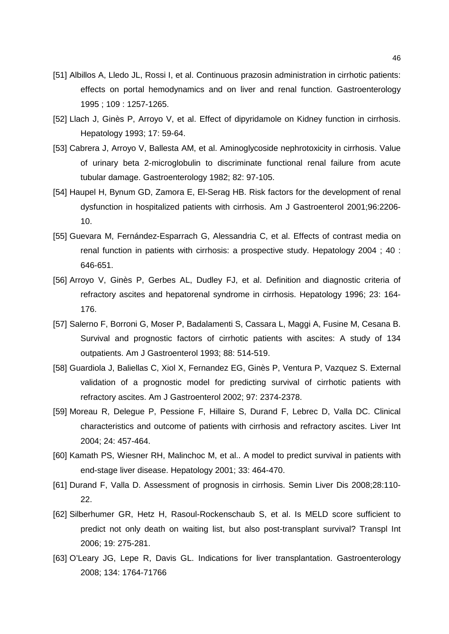- [51] Albillos A, Lledo JL, Rossi I, et al. Continuous prazosin administration in cirrhotic patients: effects on portal hemodynamics and on liver and renal function. Gastroenterology 1995 ; 109 : 1257-1265.
- [52] Llach J, Ginès P, Arroyo V, et al. Effect of dipyridamole on Kidney function in cirrhosis. Hepatology 1993; 17: 59-64.
- [53] Cabrera J, Arroyo V, Ballesta AM, et al. Aminoglycoside nephrotoxicity in cirrhosis. Value of urinary beta 2-microglobulin to discriminate functional renal failure from acute tubular damage. Gastroenterology 1982; 82: 97-105.
- [54] Haupel H, Bynum GD, Zamora E, El-Serag HB. Risk factors for the development of renal dysfunction in hospitalized patients with cirrhosis. Am J Gastroenterol 2001;96:2206- 10.
- [55] Guevara M, Fernández-Esparrach G, Alessandria C, et al. Effects of contrast media on renal function in patients with cirrhosis: a prospective study. Hepatology 2004 ; 40 : 646-651.
- [56] Arroyo V, Ginès P, Gerbes AL, Dudley FJ, et al. Definition and diagnostic criteria of refractory ascites and hepatorenal syndrome in cirrhosis. Hepatology 1996; 23: 164- 176.
- [57] Salerno F, Borroni G, Moser P, Badalamenti S, Cassara L, Maggi A, Fusine M, Cesana B. Survival and prognostic factors of cirrhotic patients with ascites: A study of 134 outpatients. Am J Gastroenterol 1993; 88: 514-519.
- [58] Guardiola J, Baliellas C, Xiol X, Fernandez EG, Ginès P, Ventura P, Vazquez S. External validation of a prognostic model for predicting survival of cirrhotic patients with refractory ascites. Am J Gastroenterol 2002; 97: 2374-2378.
- [59] Moreau R, Delegue P, Pessione F, Hillaire S, Durand F, Lebrec D, Valla DC. Clinical characteristics and outcome of patients with cirrhosis and refractory ascites. Liver Int 2004; 24: 457-464.
- [60] Kamath PS, Wiesner RH, Malinchoc M, et al.. A model to predict survival in patients with end-stage liver disease. Hepatology 2001; 33: 464-470.
- [61] Durand F, Valla D. Assessment of prognosis in cirrhosis. Semin Liver Dis 2008;28:110- 22.
- [62] Silberhumer GR, Hetz H, Rasoul-Rockenschaub S, et al. Is MELD score sufficient to predict not only death on waiting list, but also post-transplant survival? Transpl Int 2006; 19: 275-281.
- [63] O'Leary JG, Lepe R, Davis GL. Indications for liver transplantation. Gastroenterology 2008; 134: 1764-71766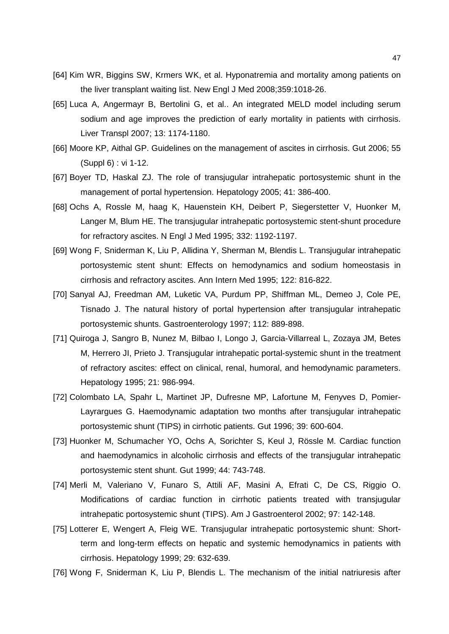- [64] Kim WR, Biggins SW, Krmers WK, et al. Hyponatremia and mortality among patients on the liver transplant waiting list. New Engl J Med 2008;359:1018-26.
- [65] Luca A, Angermayr B, Bertolini G, et al.. An integrated MELD model including serum sodium and age improves the prediction of early mortality in patients with cirrhosis. Liver Transpl 2007; 13: 1174-1180.
- [66] Moore KP, Aithal GP. Guidelines on the management of ascites in cirrhosis. Gut 2006; 55 (Suppl 6) : vi 1-12.
- [67] Boyer TD, Haskal ZJ. The role of transjugular intrahepatic portosystemic shunt in the management of portal hypertension. Hepatology 2005; 41: 386-400.
- [68] Ochs A, Rossle M, haag K, Hauenstein KH, Deibert P, Siegerstetter V, Huonker M, Langer M, Blum HE. The transjugular intrahepatic portosystemic stent-shunt procedure for refractory ascites. N Engl J Med 1995; 332: 1192-1197.
- [69] Wong F, Sniderman K, Liu P, Allidina Y, Sherman M, Blendis L. Transjugular intrahepatic portosystemic stent shunt: Effects on hemodynamics and sodium homeostasis in cirrhosis and refractory ascites. Ann Intern Med 1995; 122: 816-822.
- [70] Sanyal AJ, Freedman AM, Luketic VA, Purdum PP, Shiffman ML, Demeo J, Cole PE, Tisnado J. The natural history of portal hypertension after transjugular intrahepatic portosystemic shunts. Gastroenterology 1997; 112: 889-898.
- [71] Quiroga J, Sangro B, Nunez M, Bilbao I, Longo J, Garcia-Villarreal L, Zozaya JM, Betes M, Herrero JI, Prieto J. Transjugular intrahepatic portal-systemic shunt in the treatment of refractory ascites: effect on clinical, renal, humoral, and hemodynamic parameters. Hepatology 1995; 21: 986-994.
- [72] Colombato LA, Spahr L, Martinet JP, Dufresne MP, Lafortune M, Fenyves D, Pomier-Layrargues G. Haemodynamic adaptation two months after transjugular intrahepatic portosystemic shunt (TIPS) in cirrhotic patients. Gut 1996; 39: 600-604.
- [73] Huonker M, Schumacher YO, Ochs A, Sorichter S, Keul J, Rössle M. Cardiac function and haemodynamics in alcoholic cirrhosis and effects of the transjugular intrahepatic portosystemic stent shunt. Gut 1999; 44: 743-748.
- [74] Merli M, Valeriano V, Funaro S, Attili AF, Masini A, Efrati C, De CS, Riggio O. Modifications of cardiac function in cirrhotic patients treated with transjugular intrahepatic portosystemic shunt (TIPS). Am J Gastroenterol 2002; 97: 142-148.
- [75] Lotterer E, Wengert A, Fleig WE. Transjugular intrahepatic portosystemic shunt: Shortterm and long-term effects on hepatic and systemic hemodynamics in patients with cirrhosis. Hepatology 1999; 29: 632-639.
- [76] Wong F, Sniderman K, Liu P, Blendis L. The mechanism of the initial natriuresis after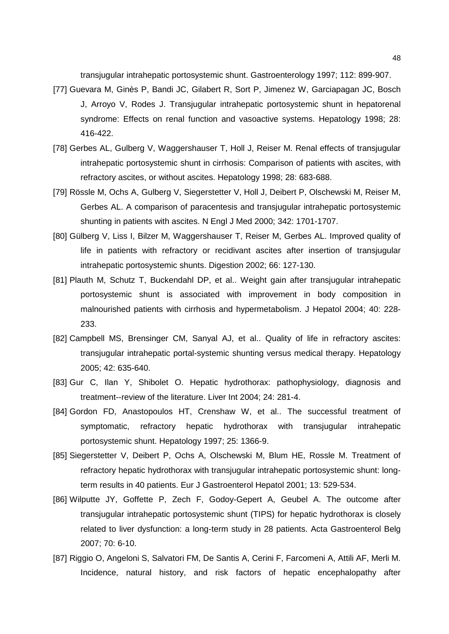transjugular intrahepatic portosystemic shunt. Gastroenterology 1997; 112: 899-907.

- [77] Guevara M, Ginès P, Bandi JC, Gilabert R, Sort P, Jimenez W, Garciapagan JC, Bosch J, Arroyo V, Rodes J. Transjugular intrahepatic portosystemic shunt in hepatorenal syndrome: Effects on renal function and vasoactive systems. Hepatology 1998; 28: 416-422.
- [78] Gerbes AL, Gulberg V, Waggershauser T, Holl J, Reiser M. Renal effects of transjugular intrahepatic portosystemic shunt in cirrhosis: Comparison of patients with ascites, with refractory ascites, or without ascites. Hepatology 1998; 28: 683-688.
- [79] Rössle M, Ochs A, Gulberg V, Siegerstetter V, Holl J, Deibert P, Olschewski M, Reiser M, Gerbes AL. A comparison of paracentesis and transjugular intrahepatic portosystemic shunting in patients with ascites. N Engl J Med 2000; 342: 1701-1707.
- [80] Gülberg V, Liss I, Bilzer M, Waggershauser T, Reiser M, Gerbes AL. Improved quality of life in patients with refractory or recidivant ascites after insertion of transjugular intrahepatic portosystemic shunts. Digestion 2002; 66: 127-130.
- [81] Plauth M, Schutz T, Buckendahl DP, et al.. Weight gain after transjugular intrahepatic portosystemic shunt is associated with improvement in body composition in malnourished patients with cirrhosis and hypermetabolism. J Hepatol 2004; 40: 228- 233.
- [82] Campbell MS, Brensinger CM, Sanyal AJ, et al.. Quality of life in refractory ascites: transjugular intrahepatic portal-systemic shunting versus medical therapy. Hepatology 2005; 42: 635-640.
- [83] Gur C, Ilan Y, Shibolet O. Hepatic hydrothorax: pathophysiology, diagnosis and treatment--review of the literature. Liver Int 2004; 24: 281-4.
- [84] Gordon FD, Anastopoulos HT, Crenshaw W, et al.. The successful treatment of symptomatic, refractory hepatic hydrothorax with transjugular intrahepatic portosystemic shunt. Hepatology 1997; 25: 1366-9.
- [85] Siegerstetter V, Deibert P, Ochs A, Olschewski M, Blum HE, Rossle M. Treatment of refractory hepatic hydrothorax with transjugular intrahepatic portosystemic shunt: longterm results in 40 patients. Eur J Gastroenterol Hepatol 2001; 13: 529-534.
- [86] Wilputte JY, Goffette P, Zech F, Godoy-Gepert A, Geubel A. The outcome after transjugular intrahepatic portosystemic shunt (TIPS) for hepatic hydrothorax is closely related to liver dysfunction: a long-term study in 28 patients. Acta Gastroenterol Belg 2007; 70: 6-10.
- [87] Riggio O, Angeloni S, Salvatori FM, De Santis A, Cerini F, Farcomeni A, Attili AF, Merli M. Incidence, natural history, and risk factors of hepatic encephalopathy after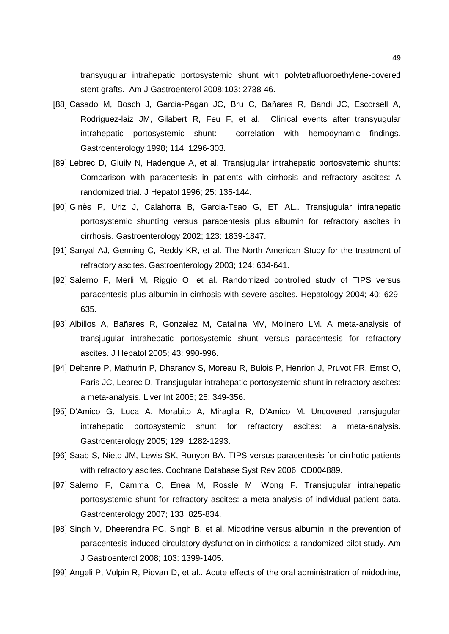transyugular intrahepatic portosystemic shunt with polytetrafluoroethylene-covered stent grafts. Am J Gastroenterol 2008;103: 2738-46.

- [88] Casado M, Bosch J, Garcia-Pagan JC, Bru C, Bañares R, Bandi JC, Escorsell A, Rodriguez-laiz JM, Gilabert R, Feu F, et al. Clinical events after transyugular intrahepatic portosystemic shunt: correlation with hemodynamic findings. Gastroenterology 1998; 114: 1296-303.
- [89] Lebrec D, Giuily N, Hadengue A, et al. Transjugular intrahepatic portosystemic shunts: Comparison with paracentesis in patients with cirrhosis and refractory ascites: A randomized trial. J Hepatol 1996; 25: 135-144.
- [90] Ginès P, Uriz J, Calahorra B, Garcia-Tsao G, ET AL.. Transjugular intrahepatic portosystemic shunting versus paracentesis plus albumin for refractory ascites in cirrhosis. Gastroenterology 2002; 123: 1839-1847.
- [91] Sanyal AJ, Genning C, Reddy KR, et al. The North American Study for the treatment of refractory ascites. Gastroenterology 2003; 124: 634-641.
- [92] Salerno F, Merli M, Riggio O, et al. Randomized controlled study of TIPS versus paracentesis plus albumin in cirrhosis with severe ascites. Hepatology 2004; 40: 629- 635.
- [93] Albillos A, Bañares R, Gonzalez M, Catalina MV, Molinero LM. A meta-analysis of transjugular intrahepatic portosystemic shunt versus paracentesis for refractory ascites. J Hepatol 2005; 43: 990-996.
- [94] Deltenre P, Mathurin P, Dharancy S, Moreau R, Bulois P, Henrion J, Pruvot FR, Ernst O, Paris JC, Lebrec D. Transjugular intrahepatic portosystemic shunt in refractory ascites: a meta-analysis. Liver Int 2005; 25: 349-356.
- [95] D'Amico G, Luca A, Morabito A, Miraglia R, D'Amico M. Uncovered transjugular intrahepatic portosystemic shunt for refractory ascites: a meta-analysis. Gastroenterology 2005; 129: 1282-1293.
- [96] Saab S, Nieto JM, Lewis SK, Runyon BA. TIPS versus paracentesis for cirrhotic patients with refractory ascites. Cochrane Database Syst Rev 2006; CD004889.
- [97] Salerno F, Camma C, Enea M, Rossle M, Wong F. Transjugular intrahepatic portosystemic shunt for refractory ascites: a meta-analysis of individual patient data. Gastroenterology 2007; 133: 825-834.
- [98] Singh V, Dheerendra PC, Singh B, et al. Midodrine versus albumin in the prevention of paracentesis-induced circulatory dysfunction in cirrhotics: a randomized pilot study. Am J Gastroenterol 2008; 103: 1399-1405.

[99] Angeli P, Volpin R, Piovan D, et al.. Acute effects of the oral administration of midodrine,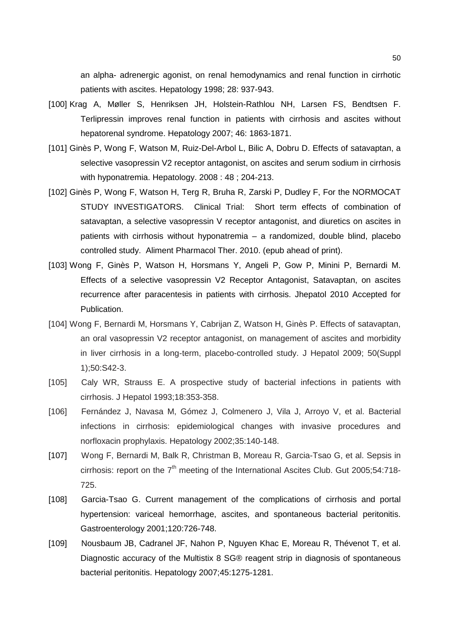an alpha- adrenergic agonist, on renal hemodynamics and renal function in cirrhotic patients with ascites. Hepatology 1998; 28: 937-943.

- [100] Krag A, Møller S, Henriksen JH, Holstein-Rathlou NH, Larsen FS, Bendtsen F. Terlipressin improves renal function in patients with cirrhosis and ascites without hepatorenal syndrome. Hepatology 2007; 46: 1863-1871.
- [101] Ginès P, Wong F, Watson M, Ruiz-Del-Arbol L, Bilic A, Dobru D. Effects of satavaptan, a selective vasopressin V2 receptor antagonist, on ascites and serum sodium in cirrhosis with hyponatremia. Hepatology. 2008 : 48 ; 204-213.
- [102] Ginès P, Wong F, Watson H, Terg R, Bruha R, Zarski P, Dudley F, For the NORMOCAT STUDY INVESTIGATORS. Clinical Trial: Short term effects of combination of satavaptan, a selective vasopressin V receptor antagonist, and diuretics on ascites in patients with cirrhosis without hyponatremia – a randomized, double blind, placebo controlled study. Aliment Pharmacol Ther. 2010. (epub ahead of print).
- [103] Wong F, Ginès P, Watson H, Horsmans Y, Angeli P, Gow P, Minini P, Bernardi M. Effects of a selective vasopressin V2 Receptor Antagonist, Satavaptan, on ascites recurrence after paracentesis in patients with cirrhosis. Jhepatol 2010 Accepted for Publication.
- [104] Wong F, Bernardi M, Horsmans Y, Cabrijan Z, Watson H, Ginès P. Effects of satavaptan, an oral vasopressin V2 receptor antagonist, on management of ascites and morbidity in liver cirrhosis in a long-term, placebo-controlled study. J Hepatol 2009; 50(Suppl 1);50:S42-3.
- [105] Caly WR, Strauss E. A prospective study of bacterial infections in patients with cirrhosis. J Hepatol 1993;18:353-358.
- [106] Fernández J, Navasa M, Gómez J, Colmenero J, Vila J, Arroyo V, et al. Bacterial infections in cirrhosis: epidemiological changes with invasive procedures and norfloxacin prophylaxis. Hepatology 2002;35:140-148.
- [107] Wong F, Bernardi M, Balk R, Christman B, Moreau R, Garcia-Tsao G, et al. Sepsis in cirrhosis: report on the  $7<sup>th</sup>$  meeting of the International Ascites Club. Gut 2005;54:718-725.
- [108] Garcia-Tsao G. Current management of the complications of cirrhosis and portal hypertension: variceal hemorrhage, ascites, and spontaneous bacterial peritonitis. Gastroenterology 2001;120:726-748.
- [109] Nousbaum JB, Cadranel JF, Nahon P, Nguyen Khac E, Moreau R, Thévenot T, et al. Diagnostic accuracy of the Multistix 8 SG® reagent strip in diagnosis of spontaneous bacterial peritonitis. Hepatology 2007;45:1275-1281.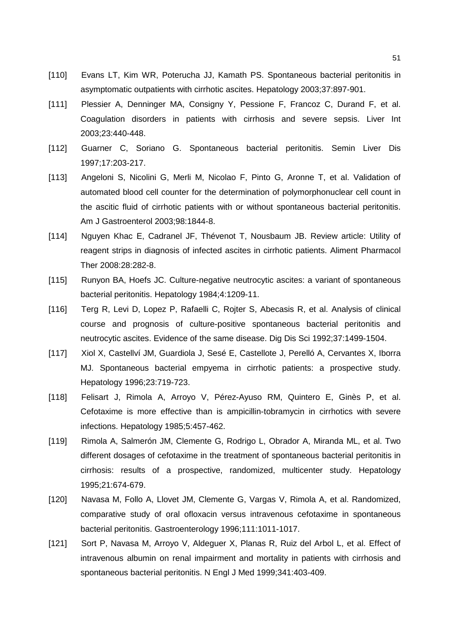- [110] Evans LT, Kim WR, Poterucha JJ, Kamath PS. Spontaneous bacterial peritonitis in asymptomatic outpatients with cirrhotic ascites. Hepatology 2003;37:897-901.
- [111] Plessier A, Denninger MA, Consigny Y, Pessione F, Francoz C, Durand F, et al. Coagulation disorders in patients with cirrhosis and severe sepsis. Liver Int 2003;23:440-448.
- [112] Guarner C, Soriano G. Spontaneous bacterial peritonitis. Semin Liver Dis 1997;17:203-217.
- [113] Angeloni S, Nicolini G, Merli M, Nicolao F, Pinto G, Aronne T, et al. Validation of automated blood cell counter for the determination of polymorphonuclear cell count in the ascitic fluid of cirrhotic patients with or without spontaneous bacterial peritonitis. Am J Gastroenterol 2003;98:1844-8.
- [114] Nguyen Khac E, Cadranel JF, Thévenot T, Nousbaum JB. Review article: Utility of reagent strips in diagnosis of infected ascites in cirrhotic patients. Aliment Pharmacol Ther 2008:28:282-8.
- [115] Runyon BA, Hoefs JC. Culture-negative neutrocytic ascites: a variant of spontaneous bacterial peritonitis. Hepatology 1984;4:1209-11.
- [116] Terg R, Levi D, Lopez P, Rafaelli C, Rojter S, Abecasis R, et al. Analysis of clinical course and prognosis of culture-positive spontaneous bacterial peritonitis and neutrocytic ascites. Evidence of the same disease. Dig Dis Sci 1992;37:1499-1504.
- [117] Xiol X, Castellví JM, Guardiola J, Sesé E, Castellote J, Perelló A, Cervantes X, Iborra MJ. Spontaneous bacterial empyema in cirrhotic patients: a prospective study. Hepatology 1996;23:719-723.
- [118] Felisart J, Rimola A, Arroyo V, Pérez-Ayuso RM, Quintero E, Ginès P, et al. Cefotaxime is more effective than is ampicillin-tobramycin in cirrhotics with severe infections. Hepatology 1985;5:457-462.
- [119] Rimola A, Salmerón JM, Clemente G, Rodrigo L, Obrador A, Miranda ML, et al. Two different dosages of cefotaxime in the treatment of spontaneous bacterial peritonitis in cirrhosis: results of a prospective, randomized, multicenter study. Hepatology 1995;21:674-679.
- [120] Navasa M, Follo A, Llovet JM, Clemente G, Vargas V, Rimola A, et al. Randomized, comparative study of oral ofloxacin versus intravenous cefotaxime in spontaneous bacterial peritonitis. Gastroenterology 1996;111:1011-1017.
- [121] Sort P, Navasa M, Arroyo V, Aldeguer X, Planas R, Ruiz del Arbol L, et al. Effect of intravenous albumin on renal impairment and mortality in patients with cirrhosis and spontaneous bacterial peritonitis. N Engl J Med 1999;341:403-409.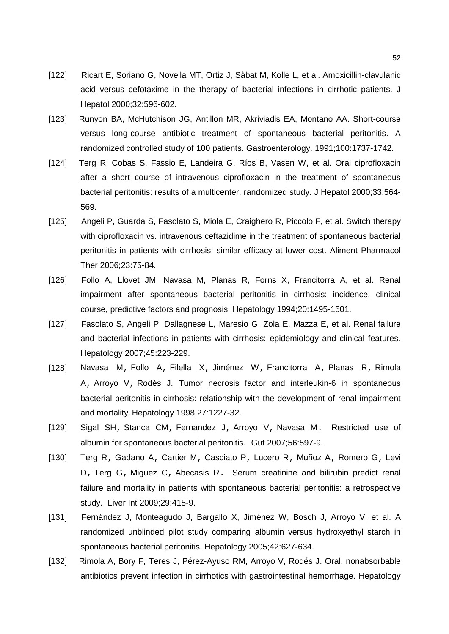- [122] Ricart E, Soriano G, Novella MT, Ortiz J, Sàbat M, Kolle L, et al. Amoxicillin-clavulanic acid versus cefotaxime in the therapy of bacterial infections in cirrhotic patients. J Hepatol 2000;32:596-602.
- [123] Runyon BA, McHutchison JG, Antillon MR, Akriviadis EA, Montano AA. Short-course versus long-course antibiotic treatment of spontaneous bacterial peritonitis. A randomized controlled study of 100 patients. Gastroenterology. 1991;100:1737-1742.
- [124] Terg R, Cobas S, Fassio E, Landeira G, Ríos B, Vasen W, et al. Oral ciprofloxacin after a short course of intravenous ciprofloxacin in the treatment of spontaneous bacterial peritonitis: results of a multicenter, randomized study. J Hepatol 2000;33:564- 569.
- [125] Angeli P, Guarda S, Fasolato S, Miola E, Craighero R, Piccolo F, et al. Switch therapy with ciprofloxacin vs. intravenous ceftazidime in the treatment of spontaneous bacterial peritonitis in patients with cirrhosis: similar efficacy at lower cost. Aliment Pharmacol Ther 2006;23:75-84.
- [126] Follo A, Llovet JM, Navasa M, Planas R, Forns X, Francitorra A, et al. Renal impairment after spontaneous bacterial peritonitis in cirrhosis: incidence, clinical course, predictive factors and prognosis. Hepatology 1994;20:1495-1501.
- [127] Fasolato S, Angeli P, Dallagnese L, Maresio G, Zola E, Mazza E, et al. Renal failure and bacterial infections in patients with cirrhosis: epidemiology and clinical features. Hepatology 2007;45:223-229.
- [128] [Navasa M](http://www.ncbi.nlm.nih.gov.gate2.inist.fr/pubmed?term=%22Navasa%20M%22%5BAuthor%5D), [Follo A](http://www.ncbi.nlm.nih.gov.gate2.inist.fr/pubmed?term=%22Follo%20A%22%5BAuthor%5D), [Filella X](http://www.ncbi.nlm.nih.gov.gate2.inist.fr/pubmed?term=%22Filella%20X%22%5BAuthor%5D), [Jiménez W](http://www.ncbi.nlm.nih.gov.gate2.inist.fr/pubmed?term=%22Jim%C3%A9nez%20W%22%5BAuthor%5D), [Francitorra A](http://www.ncbi.nlm.nih.gov.gate2.inist.fr/pubmed?term=%22Francitorra%20A%22%5BAuthor%5D), [Planas R](http://www.ncbi.nlm.nih.gov.gate2.inist.fr/pubmed?term=%22Planas%20R%22%5BAuthor%5D), [Rimola](http://www.ncbi.nlm.nih.gov.gate2.inist.fr/pubmed?term=%22Rimola%20A%22%5BAuthor%5D)  [A](http://www.ncbi.nlm.nih.gov.gate2.inist.fr/pubmed?term=%22Rimola%20A%22%5BAuthor%5D), [Arroyo V](http://www.ncbi.nlm.nih.gov.gate2.inist.fr/pubmed?term=%22Arroyo%20V%22%5BAuthor%5D), [Rodés J.](http://www.ncbi.nlm.nih.gov.gate2.inist.fr/pubmed?term=%22Rod%C3%A9s%20J%22%5BAuthor%5D) Tumor necrosis factor and interleukin-6 in spontaneous bacterial peritonitis in cirrhosis: relationship with the development of renal impairment and mortality. Hepatology 1998;27:1227-32.
- [129] [Sigal SH](http://www.ncbi.nlm.nih.gov.gate2.inist.fr/pubmed?term=%22Sigal%20SH%22%5BAuthor%5D), [Stanca CM](http://www.ncbi.nlm.nih.gov.gate2.inist.fr/pubmed?term=%22Stanca%20CM%22%5BAuthor%5D), [Fernandez J](http://www.ncbi.nlm.nih.gov.gate2.inist.fr/pubmed?term=%22Fernandez%20J%22%5BAuthor%5D), [Arroyo V](http://www.ncbi.nlm.nih.gov.gate2.inist.fr/pubmed?term=%22Arroyo%20V%22%5BAuthor%5D), [Navasa M](http://www.ncbi.nlm.nih.gov.gate2.inist.fr/pubmed?term=%22Navasa%20M%22%5BAuthor%5D). Restricted use of albumin for spontaneous bacterial peritonitis. Gut 2007;56:597-9.
- [130] [Terg R](http://www.ncbi.nlm.nih.gov.gate2.inist.fr/pubmed?term=%22Terg%20R%22%5BAuthor%5D), [Gadano A](http://www.ncbi.nlm.nih.gov.gate2.inist.fr/pubmed?term=%22Gadano%20A%22%5BAuthor%5D), [Cartier M](http://www.ncbi.nlm.nih.gov.gate2.inist.fr/pubmed?term=%22Cartier%20M%22%5BAuthor%5D), [Casciato P](http://www.ncbi.nlm.nih.gov.gate2.inist.fr/pubmed?term=%22Casciato%20P%22%5BAuthor%5D), [Lucero R](http://www.ncbi.nlm.nih.gov.gate2.inist.fr/pubmed?term=%22Lucero%20R%22%5BAuthor%5D), [Muñoz A](http://www.ncbi.nlm.nih.gov.gate2.inist.fr/pubmed?term=%22Mu%C3%B1oz%20A%22%5BAuthor%5D), [Romero G](http://www.ncbi.nlm.nih.gov.gate2.inist.fr/pubmed?term=%22Romero%20G%22%5BAuthor%5D), [Levi](http://www.ncbi.nlm.nih.gov.gate2.inist.fr/pubmed?term=%22Levi%20D%22%5BAuthor%5D)  [D](http://www.ncbi.nlm.nih.gov.gate2.inist.fr/pubmed?term=%22Levi%20D%22%5BAuthor%5D), [Terg G](http://www.ncbi.nlm.nih.gov.gate2.inist.fr/pubmed?term=%22Terg%20G%22%5BAuthor%5D), [Miguez C](http://www.ncbi.nlm.nih.gov.gate2.inist.fr/pubmed?term=%22Miguez%20C%22%5BAuthor%5D), [Abecasis R](http://www.ncbi.nlm.nih.gov.gate2.inist.fr/pubmed?term=%22Abecasis%20R%22%5BAuthor%5D). Serum creatinine and bilirubin predict renal failure and mortality in patients with spontaneous bacterial peritonitis: a retrospective study. Liver Int 2009;29:415-9.
- [131] Fernández J, Monteagudo J, Bargallo X, Jiménez W, Bosch J, Arroyo V, et al. A randomized unblinded pilot study comparing albumin versus hydroxyethyl starch in spontaneous bacterial peritonitis. Hepatology 2005;42:627-634.
- [132] Rimola A, Bory F, Teres J, Pérez-Ayuso RM, Arroyo V, Rodés J. Oral, nonabsorbable antibiotics prevent infection in cirrhotics with gastrointestinal hemorrhage. Hepatology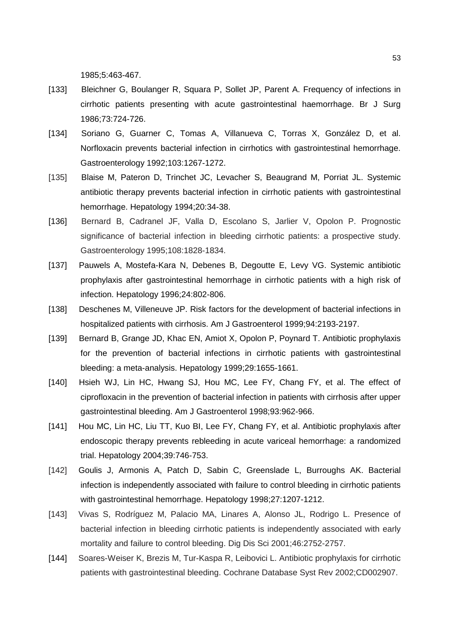1985;5:463-467.

- [133] Bleichner G, Boulanger R, Squara P, Sollet JP, Parent A. Frequency of infections in cirrhotic patients presenting with acute gastrointestinal haemorrhage. Br J Surg 1986;73:724-726.
- [134] Soriano G, Guarner C, Tomas A, Villanueva C, Torras X, González D, et al. Norfloxacin prevents bacterial infection in cirrhotics with gastrointestinal hemorrhage. Gastroenterology 1992;103:1267-1272.
- [135] Blaise M, Pateron D, Trinchet JC, Levacher S, Beaugrand M, Porriat JL. Systemic antibiotic therapy prevents bacterial infection in cirrhotic patients with gastrointestinal hemorrhage. Hepatology 1994;20:34-38.
- [136] Bernard B, Cadranel JF, Valla D, Escolano S, Jarlier V, Opolon P. Prognostic significance of bacterial infection in bleeding cirrhotic patients: a prospective study. Gastroenterology 1995;108:1828-1834.
- [137] Pauwels A, Mostefa-Kara N, Debenes B, Degoutte E, Levy VG. Systemic antibiotic prophylaxis after gastrointestinal hemorrhage in cirrhotic patients with a high risk of infection. Hepatology 1996;24:802-806.
- [138] Deschenes M, Villeneuve JP. Risk factors for the development of bacterial infections in hospitalized patients with cirrhosis. Am J Gastroenterol 1999;94:2193-2197.
- [139] Bernard B, Grange JD, Khac EN, Amiot X, Opolon P, Poynard T. Antibiotic prophylaxis for the prevention of bacterial infections in cirrhotic patients with gastrointestinal bleeding: a meta-analysis. Hepatology 1999;29:1655-1661.
- [140] Hsieh WJ, Lin HC, Hwang SJ, Hou MC, Lee FY, Chang FY, et al. The effect of ciprofloxacin in the prevention of bacterial infection in patients with cirrhosis after upper gastrointestinal bleeding. Am J Gastroenterol 1998;93:962-966.
- [141] Hou MC, Lin HC, Liu TT, Kuo BI, Lee FY, Chang FY, et al. Antibiotic prophylaxis after endoscopic therapy prevents rebleeding in acute variceal hemorrhage: a randomized trial. Hepatology 2004;39:746-753.
- [142] Goulis J, Armonis A, Patch D, Sabin C, Greenslade L, Burroughs AK. Bacterial infection is independently associated with failure to control bleeding in cirrhotic patients with gastrointestinal hemorrhage. Hepatology 1998;27:1207-1212.
- [143] Vivas S, Rodríguez M, Palacio MA, Linares A, Alonso JL, Rodrigo L. Presence of bacterial infection in bleeding cirrhotic patients is independently associated with early mortality and failure to control bleeding. Dig Dis Sci 2001;46:2752-2757.
- [144] Soares-Weiser K, Brezis M, Tur-Kaspa R, Leibovici L. Antibiotic prophylaxis for cirrhotic patients with gastrointestinal bleeding. Cochrane Database Syst Rev 2002;CD002907.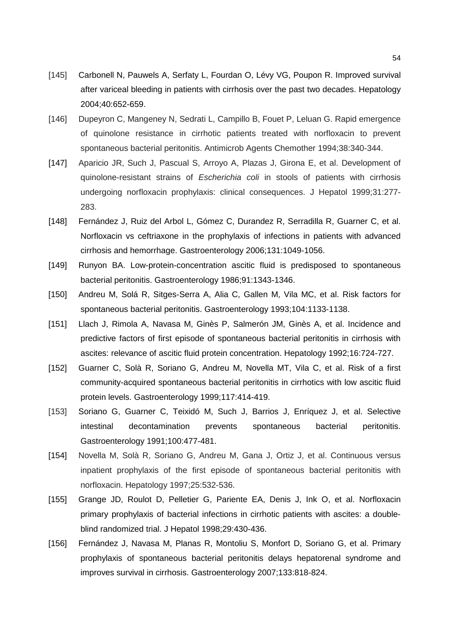- [145] Carbonell N, Pauwels A, Serfaty L, Fourdan O, Lévy VG, Poupon R. Improved survival after variceal bleeding in patients with cirrhosis over the past two decades. Hepatology 2004;40:652-659.
- [146] Dupeyron C, Mangeney N, Sedrati L, Campillo B, Fouet P, Leluan G. Rapid emergence of quinolone resistance in cirrhotic patients treated with norfloxacin to prevent spontaneous bacterial peritonitis. Antimicrob Agents Chemother 1994;38:340-344.
- [147] Aparicio JR, Such J, Pascual S, Arroyo A, Plazas J, Girona E, et al. Development of quinolone-resistant strains of *Escherichia coli* in stools of patients with cirrhosis undergoing norfloxacin prophylaxis: clinical consequences. J Hepatol 1999;31:277- 283.
- [148] Fernández J, Ruiz del Arbol L, Gómez C, Durandez R, Serradilla R, Guarner C, et al. Norfloxacin vs ceftriaxone in the prophylaxis of infections in patients with advanced cirrhosis and hemorrhage. Gastroenterology 2006;131:1049-1056.
- [149] Runyon BA. Low-protein-concentration ascitic fluid is predisposed to spontaneous bacterial peritonitis. Gastroenterology 1986;91:1343-1346.
- [150] Andreu M, Solá R, Sitges-Serra A, Alia C, Gallen M, Vila MC, et al. Risk factors for spontaneous bacterial peritonitis. Gastroenterology 1993;104:1133-1138.
- [151] Llach J, Rimola A, Navasa M, Ginès P, Salmerón JM, Ginès A, et al. Incidence and predictive factors of first episode of spontaneous bacterial peritonitis in cirrhosis with ascites: relevance of ascitic fluid protein concentration. Hepatology 1992;16:724-727.
- [152] Guarner C, Solà R, Soriano G, Andreu M, Novella MT, Vila C, et al. Risk of a first community-acquired spontaneous bacterial peritonitis in cirrhotics with low ascitic fluid protein levels. Gastroenterology 1999;117:414-419.
- [153] Soriano G, Guarner C, Teixidó M, Such J, Barrios J, Enríquez J, et al. Selective intestinal decontamination prevents spontaneous bacterial peritonitis. Gastroenterology 1991;100:477-481.
- [154] Novella M, Solà R, Soriano G, Andreu M, Gana J, Ortiz J, et al. Continuous versus inpatient prophylaxis of the first episode of spontaneous bacterial peritonitis with norfloxacin. Hepatology 1997;25:532-536.
- [155] Grange JD, Roulot D, Pelletier G, Pariente EA, Denis J, Ink O, et al. Norfloxacin primary prophylaxis of bacterial infections in cirrhotic patients with ascites: a doubleblind randomized trial. J Hepatol 1998;29:430-436.
- [156] Fernández J, Navasa M, Planas R, Montoliu S, Monfort D, Soriano G, et al. Primary prophylaxis of spontaneous bacterial peritonitis delays hepatorenal syndrome and improves survival in cirrhosis. Gastroenterology 2007;133:818-824.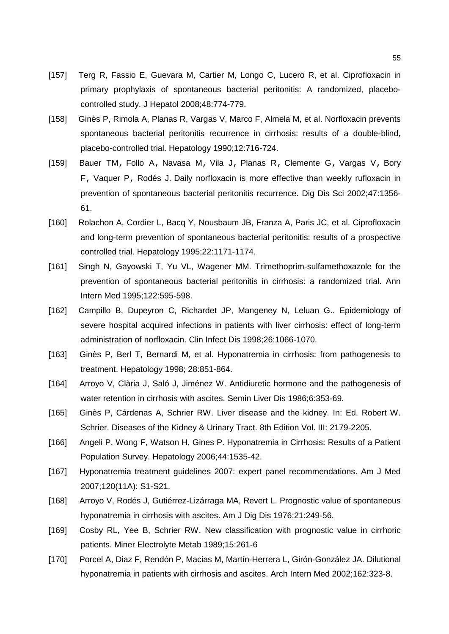- [157] Terg R, Fassio E, Guevara M, Cartier M, Longo C, Lucero R, et al. Ciprofloxacin in primary prophylaxis of spontaneous bacterial peritonitis: A randomized, placebocontrolled study. J Hepatol 2008;48:774-779.
- [158] Ginès P, Rimola A, Planas R, Vargas V, Marco F, Almela M, et al. Norfloxacin prevents spontaneous bacterial peritonitis recurrence in cirrhosis: results of a double-blind, placebo-controlled trial. Hepatology 1990;12:716-724.
- [159] [Bauer TM](http://www.ncbi.nlm.nih.gov.gate2.inist.fr/pubmed?term=%22Bauer%20TM%22%5BAuthor%5D), [Follo A](http://www.ncbi.nlm.nih.gov.gate2.inist.fr/pubmed?term=%22Follo%20A%22%5BAuthor%5D), [Navasa M](http://www.ncbi.nlm.nih.gov.gate2.inist.fr/pubmed?term=%22Navasa%20M%22%5BAuthor%5D), [Vila J](http://www.ncbi.nlm.nih.gov.gate2.inist.fr/pubmed?term=%22Vila%20J%22%5BAuthor%5D), [Planas R](http://www.ncbi.nlm.nih.gov.gate2.inist.fr/pubmed?term=%22Planas%20R%22%5BAuthor%5D), [Clemente G](http://www.ncbi.nlm.nih.gov.gate2.inist.fr/pubmed?term=%22Clemente%20G%22%5BAuthor%5D), [Vargas V](http://www.ncbi.nlm.nih.gov.gate2.inist.fr/pubmed?term=%22Vargas%20V%22%5BAuthor%5D), [Bory](http://www.ncbi.nlm.nih.gov.gate2.inist.fr/pubmed?term=%22Bory%20F%22%5BAuthor%5D)  [F](http://www.ncbi.nlm.nih.gov.gate2.inist.fr/pubmed?term=%22Bory%20F%22%5BAuthor%5D), [Vaquer P](http://www.ncbi.nlm.nih.gov.gate2.inist.fr/pubmed?term=%22Vaquer%20P%22%5BAuthor%5D), [Rodés J.](http://www.ncbi.nlm.nih.gov.gate2.inist.fr/pubmed?term=%22Rod%C3%A9s%20J%22%5BAuthor%5D) Daily norfloxacin is more effective than weekly rufloxacin in prevention of spontaneous bacterial peritonitis recurrence. Dig Dis Sci 2002;47:1356- 61.
- [160] Rolachon A, Cordier L, Bacq Y, Nousbaum JB, Franza A, Paris JC, et al. Ciprofloxacin and long-term prevention of spontaneous bacterial peritonitis: results of a prospective controlled trial. Hepatology 1995;22:1171-1174.
- [161] Singh N, Gayowski T, Yu VL, Wagener MM. Trimethoprim-sulfamethoxazole for the prevention of spontaneous bacterial peritonitis in cirrhosis: a randomized trial. Ann Intern Med 1995;122:595-598.
- [162] Campillo B, Dupeyron C, Richardet JP, Mangeney N, Leluan G.. Epidemiology of severe hospital acquired infections in patients with liver cirrhosis: effect of long-term administration of norfloxacin. Clin Infect Dis 1998;26:1066-1070.
- [163] Ginès P, Berl T, Bernardi M, et al. Hyponatremia in cirrhosis: from pathogenesis to treatment. Hepatology 1998; 28:851-864.
- [164] Arroyo V, Clària J, Saló J, Jiménez W. Antidiuretic hormone and the pathogenesis of water retention in cirrhosis with ascites. Semin Liver Dis 1986;6:353-69.
- [165] Ginès P, Cárdenas A, Schrier RW. Liver disease and the kidney. In: Ed. Robert W. Schrier. Diseases of the Kidney & Urinary Tract. 8th Edition Vol. III: 2179-2205.
- [166] Angeli P, Wong F, Watson H, Gines P. Hyponatremia in Cirrhosis: Results of a Patient Population Survey. Hepatology 2006;44:1535-42.
- [167] Hyponatremia treatment guidelines 2007: expert panel recommendations. Am J Med 2007;120(11A): S1-S21.
- [168] Arroyo V, Rodés J, Gutiérrez-Lizárraga MA, Revert L. Prognostic value of spontaneous hyponatremia in cirrhosis with ascites. Am J Dig Dis 1976;21:249-56.
- [169] Cosby RL, Yee B, Schrier RW. New classification with prognostic value in cirrhoric patients. Miner Electrolyte Metab 1989;15:261-6
- [170] Porcel A, Diaz F, Rendón P, Macias M, Martín-Herrera L, Girón-González JA. Dilutional hyponatremia in patients with cirrhosis and ascites. Arch Intern Med 2002;162:323-8.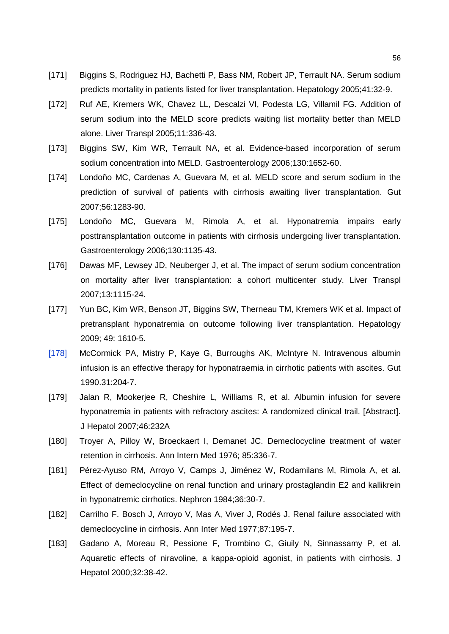- [171] Biggins S, Rodriguez HJ, Bachetti P, Bass NM, Robert JP, Terrault NA. Serum sodium predicts mortality in patients listed for liver transplantation. Hepatology 2005;41:32-9.
- [172] Ruf AE, Kremers WK, Chavez LL, Descalzi VI, Podesta LG, Villamil FG. Addition of serum sodium into the MELD score predicts waiting list mortality better than MELD alone. Liver Transpl 2005;11:336-43.
- [173] Biggins SW, Kim WR, Terrault NA, et al. Evidence-based incorporation of serum sodium concentration into MELD. Gastroenterology 2006;130:1652-60.
- [174] Londoño MC, Cardenas A, Guevara M, et al. MELD score and serum sodium in the prediction of survival of patients with cirrhosis awaiting liver transplantation. Gut 2007;56:1283-90.
- [175] Londoño MC, Guevara M, Rimola A, et al. Hyponatremia impairs early posttransplantation outcome in patients with cirrhosis undergoing liver transplantation. Gastroenterology 2006;130:1135-43.
- [176] Dawas MF, Lewsey JD, Neuberger J, et al. The impact of serum sodium concentration on mortality after liver transplantation: a cohort multicenter study. Liver Transpl 2007;13:1115-24.
- [177] Yun BC, Kim WR, Benson JT, Biggins SW, Therneau TM, Kremers WK et al. Impact of pretransplant hyponatremia on outcome following liver transplantation. Hepatology 2009; 49: 1610-5.
- [178] McCormick PA, Mistry P, Kaye G, Burroughs AK, McIntyre N. Intravenous albumin infusion is an effective therapy for hyponatraemia in cirrhotic patients with ascites. Gut 1990.31:204-7.
- [179] Jalan R, Mookerjee R, Cheshire L, Williams R, et al. Albumin infusion for severe hyponatremia in patients with refractory ascites: A randomized clinical trail. [Abstract]. J Hepatol 2007;46:232A
- [180] Trover A, Pilloy W, Broeckaert I, Demanet JC, Demeclocycline treatment of water retention in cirrhosis. Ann Intern Med 1976; 85:336-7.
- [181] Pérez-Ayuso RM, Arroyo V, Camps J, Jiménez W, Rodamilans M, Rimola A, et al. Effect of demeclocycline on renal function and urinary prostaglandin E2 and kallikrein in hyponatremic cirrhotics. Nephron 1984;36:30-7.
- [182] Carrilho F. Bosch J, Arroyo V, Mas A, Viver J, Rodés J. Renal failure associated with demeclocycline in cirrhosis. Ann Inter Med 1977;87:195-7.
- [183] Gadano A, Moreau R, Pessione F, Trombino C, Giuily N, Sinnassamy P, et al. Aquaretic effects of niravoline, a kappa-opioid agonist, in patients with cirrhosis. J Hepatol 2000;32:38-42.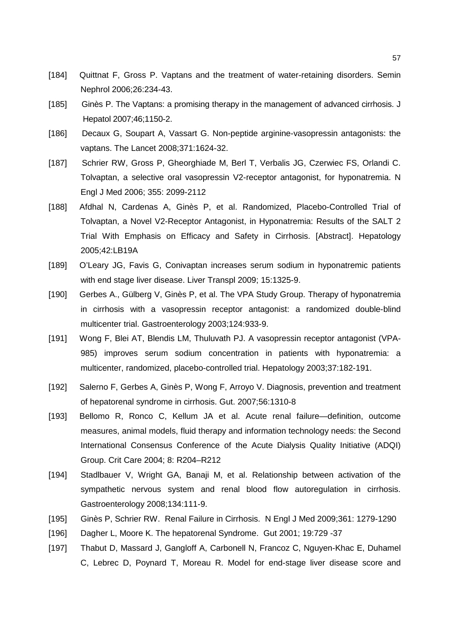- [184] Quittnat F, Gross P. Vaptans and the treatment of water-retaining disorders. Semin Nephrol 2006;26:234-43.
- [185] Ginès P. The Vaptans: a promising therapy in the management of advanced cirrhosis. J Hepatol 2007;46;1150-2.
- [186] Decaux G, Soupart A, Vassart G. Non-peptide arginine-vasopressin antagonists: the vaptans. The Lancet 2008;371:1624-32.
- [187] Schrier RW, Gross P, Gheorghiade M, Berl T, Verbalis JG, Czerwiec FS, Orlandi C. Tolvaptan, a selective oral vasopressin V2-receptor antagonist, for hyponatremia. N Engl J Med 2006; 355: 2099-2112
- [188] Afdhal N, Cardenas A, Ginès P, et al. Randomized, Placebo-Controlled Trial of Tolvaptan, a Novel V2-Receptor Antagonist, in Hyponatremia: Results of the SALT 2 Trial With Emphasis on Efficacy and Safety in Cirrhosis. [Abstract]. Hepatology 2005;42:LB19A
- [189] O'Leary JG, Favis G, Conivaptan increases serum sodium in hyponatremic patients with end stage liver disease. Liver Transpl 2009; 15:1325-9.
- [190] Gerbes A., Gülberg V, Ginès P, et al. The VPA Study Group. Therapy of hyponatremia in cirrhosis with a vasopressin receptor antagonist: a randomized double-blind multicenter trial. Gastroenterology 2003;124:933-9.
- [191] Wong F, Blei AT, Blendis LM, Thuluvath PJ. A vasopressin receptor antagonist (VPA-985) improves serum sodium concentration in patients with hyponatremia: a multicenter, randomized, placebo-controlled trial. Hepatology 2003;37:182-191.
- [192] Salerno F, Gerbes A, Ginès P, Wong F, Arroyo V. Diagnosis, prevention and treatment of hepatorenal syndrome in cirrhosis. Gut. 2007;56:1310-8
- [193] Bellomo R, Ronco C, Kellum JA et al. Acute renal failure—definition, outcome measures, animal models, fluid therapy and information technology needs: the Second International Consensus Conference of the Acute Dialysis Quality Initiative (ADQI) Group. Crit Care 2004; 8: R204–R212
- [194] Stadlbauer V, Wright GA, Banaji M, et al. Relationship between activation of the sympathetic nervous system and renal blood flow autoregulation in cirrhosis. Gastroenterology 2008;134:111-9.
- [195] Ginès P, Schrier RW. Renal Failure in Cirrhosis. N Engl J Med 2009;361: 1279-1290
- [196] Dagher L, Moore K. The hepatorenal Syndrome. Gut 2001; 19:729 -37
- [197] Thabut D, Massard J, Gangloff A, Carbonell N, Francoz C, Nguyen-Khac E, Duhamel C, Lebrec D, Poynard T, Moreau R. [Model for end-stage liver disease score and](http://www.ncbi.nlm.nih.gov/pubmed/17972337?ordinalpos=28&itool=EntrezSystem2.PEntrez.Pubmed.Pubmed_ResultsPanel.Pubmed_DefaultReportPanel.Pubmed_RVDocSum)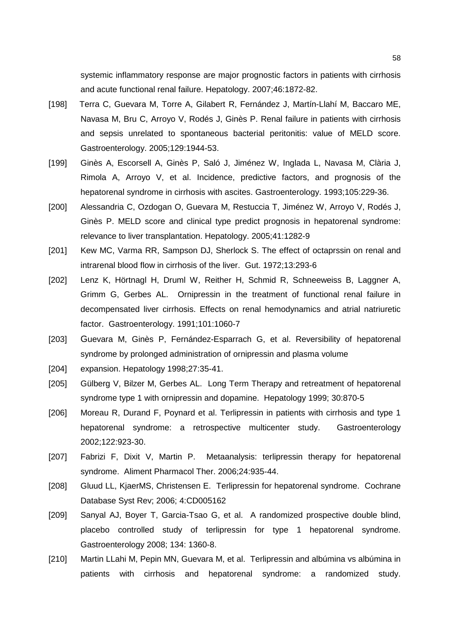systemic inflammatory response are major prognostic factors in patients with cirrhosis and acute functional renal failure. Hepatology. 2007;46:1872-82.

- [198] [Terra C,](http://www.ncbi.nlm.nih.gov/sites/entrez?Db=pubmed&Cmd=Search&Term=%22Terra%20C%22%5BAuthor%5D&itool=EntrezSystem2.PEntrez.Pubmed.Pubmed_ResultsPanel.Pubmed_DiscoveryPanel.Pubmed_RVAbstractPlus) [Guevara M,](http://www.ncbi.nlm.nih.gov/sites/entrez?Db=pubmed&Cmd=Search&Term=%22Guevara%20M%22%5BAuthor%5D&itool=EntrezSystem2.PEntrez.Pubmed.Pubmed_ResultsPanel.Pubmed_DiscoveryPanel.Pubmed_RVAbstractPlus) [Torre A,](http://www.ncbi.nlm.nih.gov/sites/entrez?Db=pubmed&Cmd=Search&Term=%22Torre%20A%22%5BAuthor%5D&itool=EntrezSystem2.PEntrez.Pubmed.Pubmed_ResultsPanel.Pubmed_DiscoveryPanel.Pubmed_RVAbstractPlus) [Gilabert R,](http://www.ncbi.nlm.nih.gov/sites/entrez?Db=pubmed&Cmd=Search&Term=%22Gilabert%20R%22%5BAuthor%5D&itool=EntrezSystem2.PEntrez.Pubmed.Pubmed_ResultsPanel.Pubmed_DiscoveryPanel.Pubmed_RVAbstractPlus) [Fernández J,](http://www.ncbi.nlm.nih.gov/sites/entrez?Db=pubmed&Cmd=Search&Term=%22Fern%C3%A1ndez%20J%22%5BAuthor%5D&itool=EntrezSystem2.PEntrez.Pubmed.Pubmed_ResultsPanel.Pubmed_DiscoveryPanel.Pubmed_RVAbstractPlus) [Martín-Llahí M,](http://www.ncbi.nlm.nih.gov/sites/entrez?Db=pubmed&Cmd=Search&Term=%22Mart%C3%ADn-Llah%C3%AD%20M%22%5BAuthor%5D&itool=EntrezSystem2.PEntrez.Pubmed.Pubmed_ResultsPanel.Pubmed_DiscoveryPanel.Pubmed_RVAbstractPlus) [Baccaro ME,](http://www.ncbi.nlm.nih.gov/sites/entrez?Db=pubmed&Cmd=Search&Term=%22Baccaro%20ME%22%5BAuthor%5D&itool=EntrezSystem2.PEntrez.Pubmed.Pubmed_ResultsPanel.Pubmed_DiscoveryPanel.Pubmed_RVAbstractPlus) [Navasa M,](http://www.ncbi.nlm.nih.gov/sites/entrez?Db=pubmed&Cmd=Search&Term=%22Navasa%20M%22%5BAuthor%5D&itool=EntrezSystem2.PEntrez.Pubmed.Pubmed_ResultsPanel.Pubmed_DiscoveryPanel.Pubmed_RVAbstractPlus) [Bru C,](http://www.ncbi.nlm.nih.gov/sites/entrez?Db=pubmed&Cmd=Search&Term=%22Bru%20C%22%5BAuthor%5D&itool=EntrezSystem2.PEntrez.Pubmed.Pubmed_ResultsPanel.Pubmed_DiscoveryPanel.Pubmed_RVAbstractPlus) [Arroyo V,](http://www.ncbi.nlm.nih.gov/sites/entrez?Db=pubmed&Cmd=Search&Term=%22Arroyo%20V%22%5BAuthor%5D&itool=EntrezSystem2.PEntrez.Pubmed.Pubmed_ResultsPanel.Pubmed_DiscoveryPanel.Pubmed_RVAbstractPlus) [Rodés J,](http://www.ncbi.nlm.nih.gov/sites/entrez?Db=pubmed&Cmd=Search&Term=%22Rod%C3%A9s%20J%22%5BAuthor%5D&itool=EntrezSystem2.PEntrez.Pubmed.Pubmed_ResultsPanel.Pubmed_DiscoveryPanel.Pubmed_RVAbstractPlus) [Ginès P.](http://www.ncbi.nlm.nih.gov/sites/entrez?Db=pubmed&Cmd=Search&Term=%22Gin%C3%A8s%20P%22%5BAuthor%5D&itool=EntrezSystem2.PEntrez.Pubmed.Pubmed_ResultsPanel.Pubmed_DiscoveryPanel.Pubmed_RVAbstractPlus) Renal failure in patients with cirrhosis and sepsis unrelated to spontaneous bacterial peritonitis: value of MELD score. [Gastroenterology.](javascript:AL_get(this,%20) 2005;129:1944-53.
- [199] Ginès A, Escorsell A, Ginès P, Saló J, Jiménez W, Inglada L, Navasa M, Clària J, Rimola A, Arroyo V, et al. [Incidence, predictive factors, and prognosis of the](http://www.ncbi.nlm.nih.gov/pubmed/8514039?ordinalpos=3&itool=EntrezSystem2.PEntrez.Pubmed.Pubmed_ResultsPanel.Pubmed_DefaultReportPanel.Pubmed_RVDocSum)  [hepatorenal syndrome in cirrhosis with ascites.](http://www.ncbi.nlm.nih.gov/pubmed/8514039?ordinalpos=3&itool=EntrezSystem2.PEntrez.Pubmed.Pubmed_ResultsPanel.Pubmed_DefaultReportPanel.Pubmed_RVDocSum) Gastroenterology. 1993;105:229-36.
- [200] [Alessandria C,](http://www.ncbi.nlm.nih.gov/sites/entrez?Db=pubmed&Cmd=Search&Term=%22Alessandria%20C%22%5BAuthor%5D&itool=EntrezSystem2.PEntrez.Pubmed.Pubmed_ResultsPanel.Pubmed_DiscoveryPanel.Pubmed_RVAbstractPlus) [Ozdogan O,](http://www.ncbi.nlm.nih.gov/sites/entrez?Db=pubmed&Cmd=Search&Term=%22Ozdogan%20O%22%5BAuthor%5D&itool=EntrezSystem2.PEntrez.Pubmed.Pubmed_ResultsPanel.Pubmed_DiscoveryPanel.Pubmed_RVAbstractPlus) [Guevara M,](http://www.ncbi.nlm.nih.gov/sites/entrez?Db=pubmed&Cmd=Search&Term=%22Guevara%20M%22%5BAuthor%5D&itool=EntrezSystem2.PEntrez.Pubmed.Pubmed_ResultsPanel.Pubmed_DiscoveryPanel.Pubmed_RVAbstractPlus) [Restuccia T,](http://www.ncbi.nlm.nih.gov/sites/entrez?Db=pubmed&Cmd=Search&Term=%22Restuccia%20T%22%5BAuthor%5D&itool=EntrezSystem2.PEntrez.Pubmed.Pubmed_ResultsPanel.Pubmed_DiscoveryPanel.Pubmed_RVAbstractPlus) [Jiménez W,](http://www.ncbi.nlm.nih.gov/sites/entrez?Db=pubmed&Cmd=Search&Term=%22Jim%C3%A9nez%20W%22%5BAuthor%5D&itool=EntrezSystem2.PEntrez.Pubmed.Pubmed_ResultsPanel.Pubmed_DiscoveryPanel.Pubmed_RVAbstractPlus) [Arroyo V,](http://www.ncbi.nlm.nih.gov/sites/entrez?Db=pubmed&Cmd=Search&Term=%22Arroyo%20V%22%5BAuthor%5D&itool=EntrezSystem2.PEntrez.Pubmed.Pubmed_ResultsPanel.Pubmed_DiscoveryPanel.Pubmed_RVAbstractPlus) [Rodés J,](http://www.ncbi.nlm.nih.gov/sites/entrez?Db=pubmed&Cmd=Search&Term=%22Rod%C3%A9s%20J%22%5BAuthor%5D&itool=EntrezSystem2.PEntrez.Pubmed.Pubmed_ResultsPanel.Pubmed_DiscoveryPanel.Pubmed_RVAbstractPlus) [Ginès P.](http://www.ncbi.nlm.nih.gov/sites/entrez?Db=pubmed&Cmd=Search&Term=%22Gin%C3%A8s%20P%22%5BAuthor%5D&itool=EntrezSystem2.PEntrez.Pubmed.Pubmed_ResultsPanel.Pubmed_DiscoveryPanel.Pubmed_RVAbstractPlus) MELD score and clinical type predict prognosis in hepatorenal syndrome: relevance to liver transplantation. [Hepatology.](javascript:AL_get(this,%20) 2005;41:1282-9
- [201] [Kew MC,](http://www.ncbi.nlm.nih.gov/sites/entrez?Db=pubmed&Cmd=Search&Term=%22Kew%20MC%22%5BAuthor%5D&itool=EntrezSystem2.PEntrez.Pubmed.Pubmed_ResultsPanel.Pubmed_DiscoveryPanel.Pubmed_RVAbstractPlus) [Varma RR,](http://www.ncbi.nlm.nih.gov/sites/entrez?Db=pubmed&Cmd=Search&Term=%22Varma%20RR%22%5BAuthor%5D&itool=EntrezSystem2.PEntrez.Pubmed.Pubmed_ResultsPanel.Pubmed_DiscoveryPanel.Pubmed_RVAbstractPlus) [Sampson DJ,](http://www.ncbi.nlm.nih.gov/sites/entrez?Db=pubmed&Cmd=Search&Term=%22Sampson%20DJ%22%5BAuthor%5D&itool=EntrezSystem2.PEntrez.Pubmed.Pubmed_ResultsPanel.Pubmed_DiscoveryPanel.Pubmed_RVAbstractPlus) [Sherlock S.](http://www.ncbi.nlm.nih.gov/sites/entrez?Db=pubmed&Cmd=Search&Term=%22Sherlock%20S%22%5BAuthor%5D&itool=EntrezSystem2.PEntrez.Pubmed.Pubmed_ResultsPanel.Pubmed_DiscoveryPanel.Pubmed_RVAbstractPlus) The effect of octaprssin on renal and intrarenal blood flow in cirrhosis of the liver. [Gut.](javascript:AL_get(this,%20) 1972;13:293-6
- [202] Lenz K, Hörtnagl H, Druml W, Reither H, Schmid R, Schneeweiss B, Laggner A, Grimm G, Gerbes AL. [Ornipressin in the treatment of functional renal failure in](http://www.ncbi.nlm.nih.gov/pubmed/1832407?ordinalpos=1&itool=EntrezSystem2.PEntrez.Pubmed.Pubmed_ResultsPanel.Pubmed_DefaultReportPanel.Pubmed_RVDocSum)  [decompensated liver cirrhosis. Effects on renal hemodynamics and atrial natriuretic](http://www.ncbi.nlm.nih.gov/pubmed/1832407?ordinalpos=1&itool=EntrezSystem2.PEntrez.Pubmed.Pubmed_ResultsPanel.Pubmed_DefaultReportPanel.Pubmed_RVDocSum)  [factor.](http://www.ncbi.nlm.nih.gov/pubmed/1832407?ordinalpos=1&itool=EntrezSystem2.PEntrez.Pubmed.Pubmed_ResultsPanel.Pubmed_DefaultReportPanel.Pubmed_RVDocSum) Gastroenterology. 1991;101:1060-7
- [203] Guevara M, Ginès P, Fernández-Esparrach G, et al. Reversibility of hepatorenal syndrome by prolonged administration of ornipressin and plasma volume
- [204] expansion. Hepatology 1998;27:35-41.
- [205] Gülberg V, Bilzer M, Gerbes AL. Long Term Therapy and retreatment of hepatorenal syndrome type 1 with ornipressin and dopamine. Hepatology 1999; 30:870-5
- [206] Moreau R, Durand F, Poynard et al. Terlipressin in patients with cirrhosis and type 1 hepatorenal syndrome: a retrospective multicenter study. Gastroenterology 2002;122:923-30.
- [207] Fabrizi F, Dixit V, Martin P. Metaanalysis: terlipressin therapy for hepatorenal syndrome. Aliment Pharmacol Ther. 2006;24:935-44.
- [208] Gluud LL, KjaerMS, Christensen E. Terlipressin for hepatorenal syndrome. Cochrane Database Syst Rev; 2006; 4:CD005162
- [209] Sanyal AJ, Boyer T, Garcia-Tsao G, et al. A randomized prospective double blind, placebo controlled study of terlipressin for type 1 hepatorenal syndrome. Gastroenterology 2008; 134: 1360-8.
- [210] Martin LLahi M, Pepin MN, Guevara M, et al. Terlipressin and albúmina vs albúmina in patients with cirrhosis and hepatorenal syndrome: a randomized study.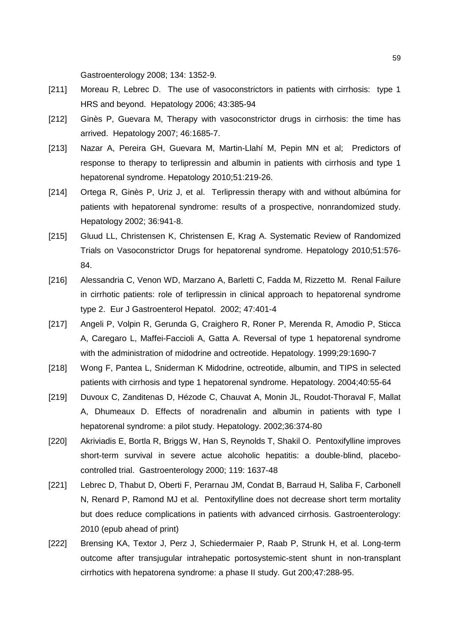Gastroenterology 2008; 134: 1352-9.

- [211] Moreau R, Lebrec D. The use of vasoconstrictors in patients with cirrhosis: type 1 HRS and beyond. Hepatology 2006; 43:385-94
- [212] Ginès P, Guevara M, Therapy with vasoconstrictor drugs in cirrhosis: the time has arrived. Hepatology 2007; 46:1685-7.
- [213] Nazar A, Pereira GH, Guevara M, Martin-Llahí M, Pepin MN et al; Predictors of response to therapy to terlipressin and albumin in patients with cirrhosis and type 1 hepatorenal syndrome. Hepatology 2010;51:219-26.
- [214] Ortega R, Ginès P, Uriz J, et al. Terlipressin therapy with and without albúmina for patients with hepatorenal syndrome: results of a prospective, nonrandomized study. Hepatology 2002; 36:941-8.
- [215] Gluud LL, Christensen K, Christensen E, Krag A. Systematic Review of Randomized Trials on Vasoconstrictor Drugs for hepatorenal syndrome. Hepatology 2010;51:576- 84.
- [216] Alessandria C, Venon WD, Marzano A, Barletti C, Fadda M, Rizzetto M. Renal Failure in cirrhotic patients: role of terlipressin in clinical approach to hepatorenal syndrome type 2. Eur J Gastroenterol Hepatol. 2002; 47:401-4
- [217] Angeli P, Volpin R, Gerunda G, Craighero R, Roner P, Merenda R, Amodio P, Sticca A, Caregaro L, Maffei-Faccioli A, Gatta A. [Reversal of type 1 hepatorenal syndrome](http://www.ncbi.nlm.nih.gov/pubmed/10347109?ordinalpos=1&itool=EntrezSystem2.PEntrez.Pubmed.Pubmed_ResultsPanel.Pubmed_DefaultReportPanel.Pubmed_RVDocSum)  [with the administration of midodrine and octreotide.](http://www.ncbi.nlm.nih.gov/pubmed/10347109?ordinalpos=1&itool=EntrezSystem2.PEntrez.Pubmed.Pubmed_ResultsPanel.Pubmed_DefaultReportPanel.Pubmed_RVDocSum) Hepatology. 1999;29:1690-7
- [218] Wong F, Pantea L, Sniderman K [Midodrine, octreotide, albumin, and TIPS in selected](http://www.ncbi.nlm.nih.gov/pubmed/15239086?ordinalpos=3&itool=EntrezSystem2.PEntrez.Pubmed.Pubmed_ResultsPanel.Pubmed_DefaultReportPanel.Pubmed_RVDocSum)  [patients with cirrhosis and type 1 hepatorenal syndrome.](http://www.ncbi.nlm.nih.gov/pubmed/15239086?ordinalpos=3&itool=EntrezSystem2.PEntrez.Pubmed.Pubmed_ResultsPanel.Pubmed_DefaultReportPanel.Pubmed_RVDocSum) Hepatology. 2004;40:55-64
- [219] Duvoux C, Zanditenas D, Hézode C, Chauvat A, Monin JL, Roudot-Thoraval F, Mallat A, Dhumeaux D. [Effects of noradrenalin and albumin in patients with type I](http://www.ncbi.nlm.nih.gov/pubmed/12143045?ordinalpos=22&itool=EntrezSystem2.PEntrez.Pubmed.Pubmed_ResultsPanel.Pubmed_DefaultReportPanel.Pubmed_RVDocSum)  [hepatorenal syndrome: a pilot study.](http://www.ncbi.nlm.nih.gov/pubmed/12143045?ordinalpos=22&itool=EntrezSystem2.PEntrez.Pubmed.Pubmed_ResultsPanel.Pubmed_DefaultReportPanel.Pubmed_RVDocSum) Hepatology. 2002;36:374-80
- [220] Akriviadis E, Bortla R, Briggs W, Han S, Reynolds T, Shakil O. Pentoxifylline improves short-term survival in severe actue alcoholic hepatitis: a double-blind, placebocontrolled trial. Gastroenterology 2000; 119: 1637-48
- [221] Lebrec D, Thabut D, Oberti F, Perarnau JM, Condat B, Barraud H, Saliba F, Carbonell N, Renard P, Ramond MJ et al. Pentoxifylline does not decrease short term mortality but does reduce complications in patients with advanced cirrhosis. Gastroenterology: 2010 (epub ahead of print)
- [222] Brensing KA, Textor J, Perz J, Schiedermaier P, Raab P, Strunk H, et al. Long-term outcome after transjugular intrahepatic portosystemic-stent shunt in non-transplant cirrhotics with hepatorena syndrome: a phase II study. Gut 200;47:288-95.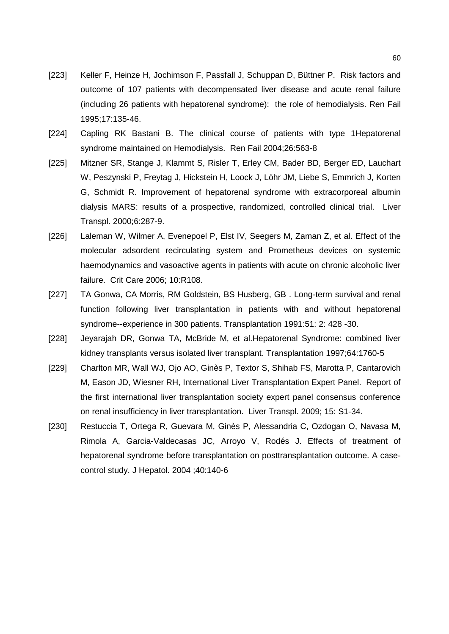- [223] Keller F, Heinze H, Jochimson F, Passfall J, Schuppan D, Büttner P. Risk factors and outcome of 107 patients with decompensated liver disease and acute renal failure (including 26 patients with hepatorenal syndrome): the role of hemodialysis. Ren Fail 1995;17:135-46.
- [224] Capling RK Bastani B. The clinical course of patients with type 1Hepatorenal syndrome maintained on Hemodialysis. Ren Fail 2004;26:563-8
- [225] [Mitzner SR,](http://www.ncbi.nlm.nih.gov/sites/entrez?Db=pubmed&Cmd=Search&Term=%22Mitzner%20SR%22%5BAuthor%5D&itool=EntrezSystem2.PEntrez.Pubmed.Pubmed_ResultsPanel.Pubmed_DiscoveryPanel.Pubmed_RVAbstractPlus) [Stange J,](http://www.ncbi.nlm.nih.gov/sites/entrez?Db=pubmed&Cmd=Search&Term=%22Stange%20J%22%5BAuthor%5D&itool=EntrezSystem2.PEntrez.Pubmed.Pubmed_ResultsPanel.Pubmed_DiscoveryPanel.Pubmed_RVAbstractPlus) [Klammt S,](http://www.ncbi.nlm.nih.gov/sites/entrez?Db=pubmed&Cmd=Search&Term=%22Klammt%20S%22%5BAuthor%5D&itool=EntrezSystem2.PEntrez.Pubmed.Pubmed_ResultsPanel.Pubmed_DiscoveryPanel.Pubmed_RVAbstractPlus) [Risler T,](http://www.ncbi.nlm.nih.gov/sites/entrez?Db=pubmed&Cmd=Search&Term=%22Risler%20T%22%5BAuthor%5D&itool=EntrezSystem2.PEntrez.Pubmed.Pubmed_ResultsPanel.Pubmed_DiscoveryPanel.Pubmed_RVAbstractPlus) [Erley CM,](http://www.ncbi.nlm.nih.gov/sites/entrez?Db=pubmed&Cmd=Search&Term=%22Erley%20CM%22%5BAuthor%5D&itool=EntrezSystem2.PEntrez.Pubmed.Pubmed_ResultsPanel.Pubmed_DiscoveryPanel.Pubmed_RVAbstractPlus) [Bader BD,](http://www.ncbi.nlm.nih.gov/sites/entrez?Db=pubmed&Cmd=Search&Term=%22Bader%20BD%22%5BAuthor%5D&itool=EntrezSystem2.PEntrez.Pubmed.Pubmed_ResultsPanel.Pubmed_DiscoveryPanel.Pubmed_RVAbstractPlus) [Berger ED,](http://www.ncbi.nlm.nih.gov/sites/entrez?Db=pubmed&Cmd=Search&Term=%22Berger%20ED%22%5BAuthor%5D&itool=EntrezSystem2.PEntrez.Pubmed.Pubmed_ResultsPanel.Pubmed_DiscoveryPanel.Pubmed_RVAbstractPlus) [Lauchart](http://www.ncbi.nlm.nih.gov/sites/entrez?Db=pubmed&Cmd=Search&Term=%22Lauchart%20W%22%5BAuthor%5D&itool=EntrezSystem2.PEntrez.Pubmed.Pubmed_ResultsPanel.Pubmed_DiscoveryPanel.Pubmed_RVAbstractPlus)  [W,](http://www.ncbi.nlm.nih.gov/sites/entrez?Db=pubmed&Cmd=Search&Term=%22Lauchart%20W%22%5BAuthor%5D&itool=EntrezSystem2.PEntrez.Pubmed.Pubmed_ResultsPanel.Pubmed_DiscoveryPanel.Pubmed_RVAbstractPlus) [Peszynski P,](http://www.ncbi.nlm.nih.gov/sites/entrez?Db=pubmed&Cmd=Search&Term=%22Peszynski%20P%22%5BAuthor%5D&itool=EntrezSystem2.PEntrez.Pubmed.Pubmed_ResultsPanel.Pubmed_DiscoveryPanel.Pubmed_RVAbstractPlus) [Freytag J,](http://www.ncbi.nlm.nih.gov/sites/entrez?Db=pubmed&Cmd=Search&Term=%22Freytag%20J%22%5BAuthor%5D&itool=EntrezSystem2.PEntrez.Pubmed.Pubmed_ResultsPanel.Pubmed_DiscoveryPanel.Pubmed_RVAbstractPlus) [Hickstein H,](http://www.ncbi.nlm.nih.gov/sites/entrez?Db=pubmed&Cmd=Search&Term=%22Hickstein%20H%22%5BAuthor%5D&itool=EntrezSystem2.PEntrez.Pubmed.Pubmed_ResultsPanel.Pubmed_DiscoveryPanel.Pubmed_RVAbstractPlus) [Loock J,](http://www.ncbi.nlm.nih.gov/sites/entrez?Db=pubmed&Cmd=Search&Term=%22Loock%20J%22%5BAuthor%5D&itool=EntrezSystem2.PEntrez.Pubmed.Pubmed_ResultsPanel.Pubmed_DiscoveryPanel.Pubmed_RVAbstractPlus) [Löhr JM,](http://www.ncbi.nlm.nih.gov/sites/entrez?Db=pubmed&Cmd=Search&Term=%22L%C3%B6hr%20JM%22%5BAuthor%5D&itool=EntrezSystem2.PEntrez.Pubmed.Pubmed_ResultsPanel.Pubmed_DiscoveryPanel.Pubmed_RVAbstractPlus) [Liebe S,](http://www.ncbi.nlm.nih.gov/sites/entrez?Db=pubmed&Cmd=Search&Term=%22Liebe%20S%22%5BAuthor%5D&itool=EntrezSystem2.PEntrez.Pubmed.Pubmed_ResultsPanel.Pubmed_DiscoveryPanel.Pubmed_RVAbstractPlus) [Emmrich J,](http://www.ncbi.nlm.nih.gov/sites/entrez?Db=pubmed&Cmd=Search&Term=%22Emmrich%20J%22%5BAuthor%5D&itool=EntrezSystem2.PEntrez.Pubmed.Pubmed_ResultsPanel.Pubmed_DiscoveryPanel.Pubmed_RVAbstractPlus) [Korten](http://www.ncbi.nlm.nih.gov/sites/entrez?Db=pubmed&Cmd=Search&Term=%22Korten%20G%22%5BAuthor%5D&itool=EntrezSystem2.PEntrez.Pubmed.Pubmed_ResultsPanel.Pubmed_DiscoveryPanel.Pubmed_RVAbstractPlus)  [G,](http://www.ncbi.nlm.nih.gov/sites/entrez?Db=pubmed&Cmd=Search&Term=%22Korten%20G%22%5BAuthor%5D&itool=EntrezSystem2.PEntrez.Pubmed.Pubmed_ResultsPanel.Pubmed_DiscoveryPanel.Pubmed_RVAbstractPlus) [Schmidt R.](http://www.ncbi.nlm.nih.gov/sites/entrez?Db=pubmed&Cmd=Search&Term=%22Schmidt%20R%22%5BAuthor%5D&itool=EntrezSystem2.PEntrez.Pubmed.Pubmed_ResultsPanel.Pubmed_DiscoveryPanel.Pubmed_RVAbstractPlus) Improvement of hepatorenal syndrome with extracorporeal albumin dialysis MARS: results of a prospective, randomized, controlled clinical trial. [Liver](http://www.ncbi.nlm.nih.gov/pubmed/10827227?ordinalpos=1&itool=EntrezSystem2.PEntrez.Pubmed.Pubmed_ResultsPanel.Pubmed_DiscoveryPanel.Pubmed_RVAbstractPlus)  [Transpl. 2000;6:287-9.](http://www.ncbi.nlm.nih.gov/pubmed/10827227?ordinalpos=1&itool=EntrezSystem2.PEntrez.Pubmed.Pubmed_ResultsPanel.Pubmed_DiscoveryPanel.Pubmed_RVAbstractPlus)
- [226] Laleman W, Wilmer A, Evenepoel P, Elst IV, Seegers M, Zaman Z, et al. Effect of the molecular adsordent recirculating system and Prometheus devices on systemic haemodynamics and vasoactive agents in patients with acute on chronic alcoholic liver failure. Crit Care 2006; 10:R108.
- [227] TA Gonwa, CA Morris, RM Goldstein, BS Husberg, GB. Long-term survival and renal function following liver transplantation in patients with and without hepatorenal syndrome--experience in 300 patients. Transplantation 1991:51: 2: 428 -30.
- [228] Jeyarajah DR, Gonwa TA, McBride M, et al.Hepatorenal Syndrome: combined liver kidney transplants versus isolated liver transplant. Transplantation 1997;64:1760-5
- [229] Charlton MR, Wall WJ, Ojo AO, Ginès P, Textor S, Shihab FS, Marotta P, Cantarovich M, Eason JD, Wiesner RH, International Liver Transplantation Expert Panel. Report of the first international liver transplantation society expert panel consensus conference on renal insufficiency in liver transplantation. Liver Transpl. 2009; 15: S1-34.
- [230] [Restuccia T,](http://www.ncbi.nlm.nih.gov/sites/entrez?Db=pubmed&Cmd=Search&Term=%22Restuccia%20T%22%5BAuthor%5D&itool=EntrezSystem2.PEntrez.Pubmed.Pubmed_ResultsPanel.Pubmed_DiscoveryPanel.Pubmed_RVAbstractPlus) [Ortega R,](http://www.ncbi.nlm.nih.gov/sites/entrez?Db=pubmed&Cmd=Search&Term=%22Ortega%20R%22%5BAuthor%5D&itool=EntrezSystem2.PEntrez.Pubmed.Pubmed_ResultsPanel.Pubmed_DiscoveryPanel.Pubmed_RVAbstractPlus) [Guevara M,](http://www.ncbi.nlm.nih.gov/sites/entrez?Db=pubmed&Cmd=Search&Term=%22Guevara%20M%22%5BAuthor%5D&itool=EntrezSystem2.PEntrez.Pubmed.Pubmed_ResultsPanel.Pubmed_DiscoveryPanel.Pubmed_RVAbstractPlus) [Ginès P,](http://www.ncbi.nlm.nih.gov/sites/entrez?Db=pubmed&Cmd=Search&Term=%22Gin%C3%A8s%20P%22%5BAuthor%5D&itool=EntrezSystem2.PEntrez.Pubmed.Pubmed_ResultsPanel.Pubmed_DiscoveryPanel.Pubmed_RVAbstractPlus) [Alessandria C,](http://www.ncbi.nlm.nih.gov/sites/entrez?Db=pubmed&Cmd=Search&Term=%22Alessandria%20C%22%5BAuthor%5D&itool=EntrezSystem2.PEntrez.Pubmed.Pubmed_ResultsPanel.Pubmed_DiscoveryPanel.Pubmed_RVAbstractPlus) [Ozdogan O,](http://www.ncbi.nlm.nih.gov/sites/entrez?Db=pubmed&Cmd=Search&Term=%22Ozdogan%20O%22%5BAuthor%5D&itool=EntrezSystem2.PEntrez.Pubmed.Pubmed_ResultsPanel.Pubmed_DiscoveryPanel.Pubmed_RVAbstractPlus) [Navasa M,](http://www.ncbi.nlm.nih.gov/sites/entrez?Db=pubmed&Cmd=Search&Term=%22Navasa%20M%22%5BAuthor%5D&itool=EntrezSystem2.PEntrez.Pubmed.Pubmed_ResultsPanel.Pubmed_DiscoveryPanel.Pubmed_RVAbstractPlus) [Rimola A,](http://www.ncbi.nlm.nih.gov/sites/entrez?Db=pubmed&Cmd=Search&Term=%22Rimola%20A%22%5BAuthor%5D&itool=EntrezSystem2.PEntrez.Pubmed.Pubmed_ResultsPanel.Pubmed_DiscoveryPanel.Pubmed_RVAbstractPlus) [Garcia-Valdecasas JC,](http://www.ncbi.nlm.nih.gov/sites/entrez?Db=pubmed&Cmd=Search&Term=%22Garcia-Valdecasas%20JC%22%5BAuthor%5D&itool=EntrezSystem2.PEntrez.Pubmed.Pubmed_ResultsPanel.Pubmed_DiscoveryPanel.Pubmed_RVAbstractPlus) [Arroyo V,](http://www.ncbi.nlm.nih.gov/sites/entrez?Db=pubmed&Cmd=Search&Term=%22Arroyo%20V%22%5BAuthor%5D&itool=EntrezSystem2.PEntrez.Pubmed.Pubmed_ResultsPanel.Pubmed_DiscoveryPanel.Pubmed_RVAbstractPlus) [Rodés J.](http://www.ncbi.nlm.nih.gov/sites/entrez?Db=pubmed&Cmd=Search&Term=%22Rod%C3%A9s%20J%22%5BAuthor%5D&itool=EntrezSystem2.PEntrez.Pubmed.Pubmed_ResultsPanel.Pubmed_DiscoveryPanel.Pubmed_RVAbstractPlus) Effects of treatment of hepatorenal syndrome before transplantation on posttransplantation outcome. A casecontrol study. [J Hepatol.](javascript:AL_get(this,%20) 2004 ;40:140-6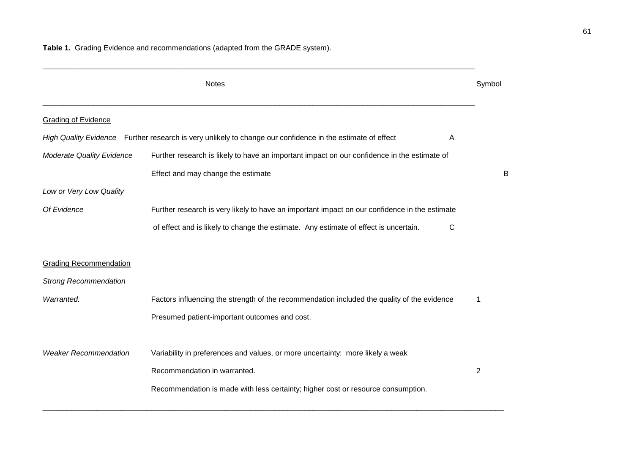**Table 1.** Grading Evidence and recommendations (adapted from the GRADE system).

| <b>Notes</b>                     |                                                                                                                 |   |  |  |  |  |  |  |  |  |
|----------------------------------|-----------------------------------------------------------------------------------------------------------------|---|--|--|--|--|--|--|--|--|
| <b>Grading of Evidence</b>       |                                                                                                                 |   |  |  |  |  |  |  |  |  |
|                                  | High Quality Evidence Further research is very unlikely to change our confidence in the estimate of effect<br>Α |   |  |  |  |  |  |  |  |  |
| <b>Moderate Quality Evidence</b> | Further research is likely to have an important impact on our confidence in the estimate of                     |   |  |  |  |  |  |  |  |  |
|                                  | Effect and may change the estimate                                                                              | B |  |  |  |  |  |  |  |  |
| Low or Very Low Quality          |                                                                                                                 |   |  |  |  |  |  |  |  |  |
| Of Evidence                      | Further research is very likely to have an important impact on our confidence in the estimate                   |   |  |  |  |  |  |  |  |  |
|                                  | $\mathsf{C}$<br>of effect and is likely to change the estimate. Any estimate of effect is uncertain.            |   |  |  |  |  |  |  |  |  |
| <b>Grading Recommendation</b>    |                                                                                                                 |   |  |  |  |  |  |  |  |  |
| <b>Strong Recommendation</b>     |                                                                                                                 |   |  |  |  |  |  |  |  |  |
| Warranted.                       | Factors influencing the strength of the recommendation included the quality of the evidence                     | 1 |  |  |  |  |  |  |  |  |
|                                  | Presumed patient-important outcomes and cost.                                                                   |   |  |  |  |  |  |  |  |  |
| <b>Weaker Recommendation</b>     | Variability in preferences and values, or more uncertainty: more likely a weak                                  |   |  |  |  |  |  |  |  |  |
|                                  | Recommendation in warranted.                                                                                    | 2 |  |  |  |  |  |  |  |  |
|                                  | Recommendation is made with less certainty; higher cost or resource consumption.                                |   |  |  |  |  |  |  |  |  |

\_\_\_\_\_\_\_\_\_\_\_\_\_\_\_\_\_\_\_\_\_\_\_\_\_\_\_\_\_\_\_\_\_\_\_\_\_\_\_\_\_\_\_\_\_\_\_\_\_\_\_\_\_\_\_\_\_\_\_\_\_\_\_\_\_\_\_\_\_\_\_\_\_\_\_\_\_\_\_\_\_\_\_\_\_\_\_\_\_\_\_\_\_\_\_\_\_\_\_\_\_\_\_\_\_\_\_\_\_\_\_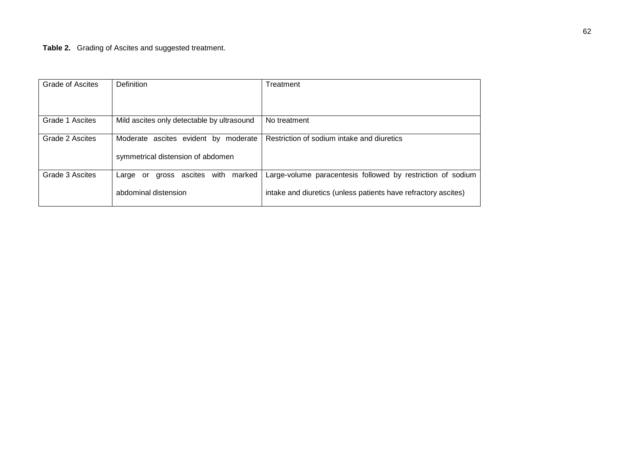| <b>Grade of Ascites</b> | <b>Definition</b>                              | Treatment                                                      |
|-------------------------|------------------------------------------------|----------------------------------------------------------------|
|                         |                                                |                                                                |
|                         |                                                |                                                                |
|                         |                                                |                                                                |
| Grade 1 Ascites         | Mild ascites only detectable by ultrasound     | No treatment                                                   |
|                         |                                                |                                                                |
| Grade 2 Ascites         | Moderate ascites evident by moderate           | Restriction of sodium intake and diuretics                     |
|                         |                                                |                                                                |
|                         | symmetrical distension of abdomen              |                                                                |
|                         |                                                |                                                                |
| Grade 3 Ascites         | marked<br>gross ascites<br>with<br>Large<br>or | Large-volume paracentesis followed by restriction of sodium    |
|                         |                                                |                                                                |
|                         | abdominal distension                           | intake and diuretics (unless patients have refractory ascites) |
|                         |                                                |                                                                |
|                         |                                                |                                                                |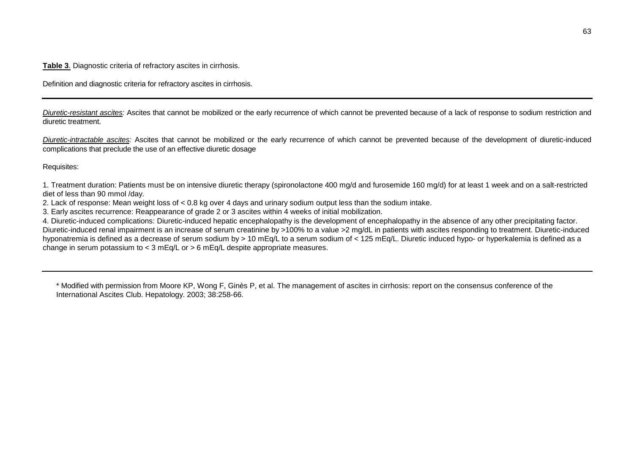**Table 3**. Diagnostic criteria of refractory ascites in cirrhosis.

Definition and diagnostic criteria for refractory ascites in cirrhosis.

*Diuretic-resistant ascites:* Ascites that cannot be mobilized or the early recurrence of which cannot be prevented because of a lack of response to sodium restriction and diuretic treatment.

*Diuretic-intractable ascites:* Ascites that cannot be mobilized or the early recurrence of which cannot be prevented because of the development of diuretic-induced complications that preclude the use of an effective diuretic dosage

Requisites:

1. Treatment duration: Patients must be on intensive diuretic therapy (spironolactone 400 mg/d and furosemide 160 mg/d) for at least 1 week and on a salt-restricted diet of less than 90 mmol /day.

2. Lack of response: Mean weight loss of < 0.8 kg over 4 days and urinary sodium output less than the sodium intake.

3. Early ascites recurrence: Reappearance of grade 2 or 3 ascites within 4 weeks of initial mobilization.

4. Diuretic-induced complications: Diuretic-induced hepatic encephalopathy is the development of encephalopathy in the absence of any other precipitating factor. Diuretic-induced renal impairment is an increase of serum creatinine by >100% to a value >2 mg/dL in patients with ascites responding to treatment. Diuretic-induced hyponatremia is defined as a decrease of serum sodium by > 10 mEq/L to a serum sodium of < 125 mEq/L. Diuretic induced hypo- or hyperkalemia is defined as a change in serum potassium to  $<$  3 mEg/L or  $>$  6 mEg/L despite appropriate measures.

\* Modified with permission from Moore KP, Wong F, Ginès P, et al. The management of ascites in cirrhosis: report on the consensus conference of the International Ascites Club. Hepatology. 2003; 38:258-66.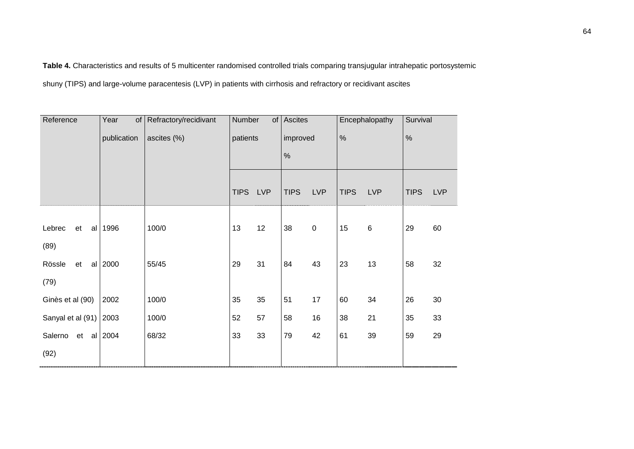**Table 4.** Characteristics and results of 5 multicenter randomised controlled trials comparing transjugular intrahepatic portosystemic shuny (TIPS) and large-volume paracentesis (LVP) in patients with cirrhosis and refractory or recidivant ascites

| Reference          | Year<br>of  | Refractory/recidivant | Number      |            | of Ascites  |            | Encephalopathy |            | Survival    |            |
|--------------------|-------------|-----------------------|-------------|------------|-------------|------------|----------------|------------|-------------|------------|
|                    | publication | ascites (%)           | patients    |            | improved    |            | $\%$           |            | $\%$        |            |
|                    |             |                       |             |            | $\%$        |            |                |            |             |            |
|                    |             |                       | <b>TIPS</b> | <b>LVP</b> | <b>TIPS</b> | <b>LVP</b> | <b>TIPS</b>    | <b>LVP</b> | <b>TIPS</b> | <b>LVP</b> |
| Lebrec<br>et<br>al | 1996        | 100/0                 | 13          | 12         | 38          | $\pmb{0}$  | 15             | $\,6$      | 29          | 60         |
| (89)               |             |                       |             |            |             |            |                |            |             |            |
| al<br>Rössle<br>et | 2000        | 55/45                 | 29          | 31         | 84          | 43         | 23             | 13         | 58          | 32         |
| (79)               |             |                       |             |            |             |            |                |            |             |            |
| Ginès et al (90)   | 2002        | 100/0                 | 35          | 35         | 51          | 17         | 60             | 34         | 26          | $30\,$     |
| Sanyal et al (91)  | 2003        | 100/0                 | 52          | 57         | 58          | 16         | 38             | 21         | 35          | 33         |
| Salerno et al      | 2004        | 68/32                 | 33          | 33         | 79          | 42         | 61             | 39         | 59          | 29         |
| (92)               |             |                       |             |            |             |            |                |            |             |            |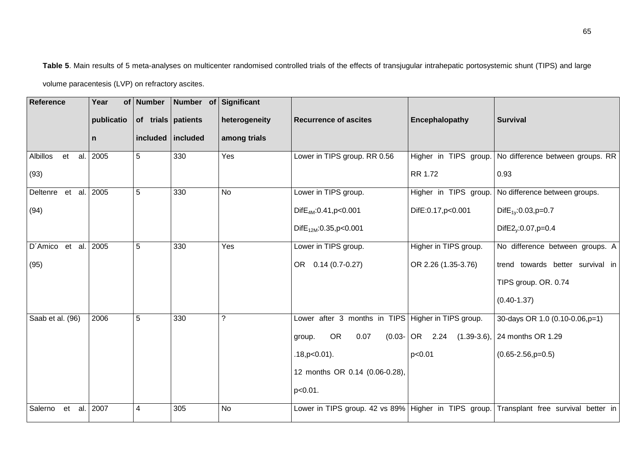**Table 5**. Main results of 5 meta-analyses on multicenter randomised controlled trials of the effects of transjugular intrahepatic portosystemic shunt (TIPS) and large volume paracentesis (LVP) on refractory ascites.

| Reference                       | Year<br>publicatio<br>$\mathsf{n}$ | of Number<br>of trials patients | Number of Significant<br>included included | heterogeneity<br>among trials | <b>Recurrence of ascites</b>                                                                                                                       | Encephalopathy                                                        | <b>Survival</b>                                                                                                |
|---------------------------------|------------------------------------|---------------------------------|--------------------------------------------|-------------------------------|----------------------------------------------------------------------------------------------------------------------------------------------------|-----------------------------------------------------------------------|----------------------------------------------------------------------------------------------------------------|
| Albillos<br>et<br>(93)          | al. 2005                           | $5\phantom{.0}$                 | 330                                        | Yes                           | Lower in TIPS group. RR 0.56                                                                                                                       | Higher in TIPS group.<br>RR 1.72                                      | No difference between groups. RR<br>0.93                                                                       |
| et al. 2005<br>Deltenre<br>(94) |                                    | 5                               | 330                                        | <b>No</b>                     | Lower in TIPS group.<br>DifE <sub>4M</sub> :0.41, p<0.001<br>DifE <sub>12M</sub> :0.35,p<0.001                                                     | Higher in TIPS group.<br>DifE:0.17, p< 0.001                          | No difference between groups.<br>DifE <sub>1v</sub> :0.03, p=0.7<br>DifE2 <sub>v</sub> :0.07,p=0.4             |
| D'Amico et al. $2005$<br>(95)   |                                    | 5                               | 330                                        | Yes                           | Lower in TIPS group.<br>OR 0.14 (0.7-0.27)                                                                                                         | Higher in TIPS group.<br>OR 2.26 (1.35-3.76)                          | No difference between groups. A<br>trend towards better survival in<br>TIPS group. OR. 0.74<br>$(0.40 - 1.37)$ |
| Saab et al. (96)                | 2006                               | 5                               | 330                                        | ?                             | Lower after 3 months in TIPS Higher in TIPS group.<br><b>OR</b><br>0.07<br>group.<br>$.18, p<0.01$ ).<br>12 months OR 0.14 (0.06-0.28),<br>p<0.01. | $(0.03 -  OR \t2.24 \t(1.39-3.6),  24 \t{ months OR } 1.29$<br>p<0.01 | 30-days OR 1.0 (0.10-0.06,p=1)<br>$(0.65 - 2.56, p = 0.5)$                                                     |
| Salerno<br>al.<br>et            | 2007                               | $\overline{4}$                  | 305                                        | <b>No</b>                     | Lower in TIPS group. 42 vs 89% Higher in TIPS group.                                                                                               |                                                                       | Transplant free survival better in                                                                             |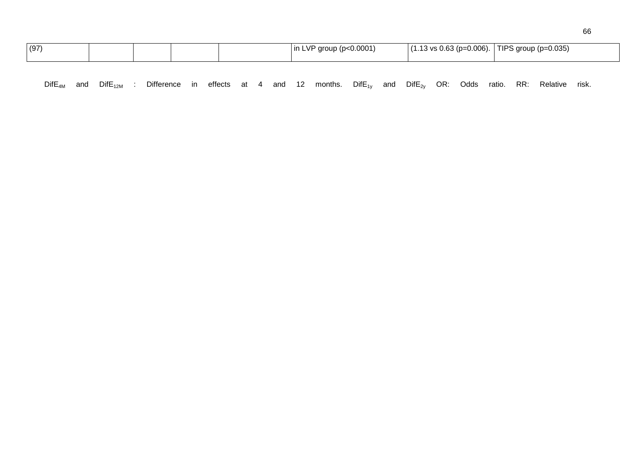| (97) |  |  | $\ln$ LVP group (p<0.0001) | $(1.13 \text{ vs } 0.63 \text{ (p=0.006)}.$ TIPS group (p=0.035) |  |
|------|--|--|----------------------------|------------------------------------------------------------------|--|
|      |  |  |                            |                                                                  |  |

| $\mathsf{DifE}_{4\mathsf{M}}$ | and | $\mathsf{DifE}_{12M}$ |  | Difference in effects at 4 and 12 months. |  |  |  |  |  |  |  | $Diff_{1v}$ |  | and $\mathsf{DifE}_{2v}$ | OR: | Odds ratio. |  |  | RR: Relative risk. |  |
|-------------------------------|-----|-----------------------|--|-------------------------------------------|--|--|--|--|--|--|--|-------------|--|--------------------------|-----|-------------|--|--|--------------------|--|
|-------------------------------|-----|-----------------------|--|-------------------------------------------|--|--|--|--|--|--|--|-------------|--|--------------------------|-----|-------------|--|--|--------------------|--|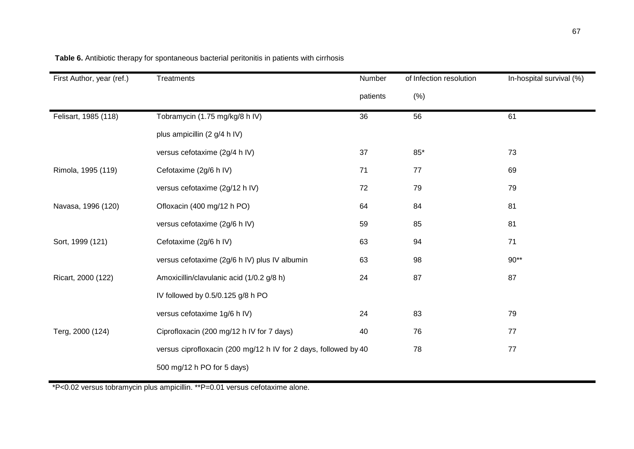| First Author, year (ref.) | Treatments                                                      |          | of Infection resolution | In-hospital survival (%) |
|---------------------------|-----------------------------------------------------------------|----------|-------------------------|--------------------------|
|                           |                                                                 | patients | (%)                     |                          |
| Felisart, 1985 (118)      | Tobramycin (1.75 mg/kg/8 h IV)                                  | 36       | 56                      | 61                       |
|                           | plus ampicillin (2 g/4 h IV)                                    |          |                         |                          |
|                           | versus cefotaxime (2g/4 h IV)                                   | 37       | $85*$                   | 73                       |
| Rimola, 1995 (119)        | Cefotaxime (2g/6 h IV)                                          | 71       | 77                      | 69                       |
|                           | versus cefotaxime (2g/12 h IV)                                  | 72       | 79                      | 79                       |
| Navasa, 1996 (120)        | Ofloxacin (400 mg/12 h PO)                                      | 64       | 84                      | 81                       |
|                           | versus cefotaxime (2g/6 h IV)                                   | 59       | 85                      | 81                       |
| Sort, 1999 (121)          | Cefotaxime (2g/6 h IV)                                          | 63       | 94                      | 71                       |
|                           | versus cefotaxime (2g/6 h IV) plus IV albumin                   | 63       | 98                      | $90**$                   |
| Ricart, 2000 (122)        | Amoxicillin/clavulanic acid (1/0.2 g/8 h)                       | 24       | 87                      | 87                       |
|                           | IV followed by 0.5/0.125 g/8 h PO                               |          |                         |                          |
|                           | versus cefotaxime 1g/6 h IV)                                    | 24       | 83                      | 79                       |
| Terg, 2000 (124)          | Ciprofloxacin (200 mg/12 h IV for 7 days)                       | 40       | 76                      | 77                       |
|                           | versus ciprofloxacin (200 mg/12 h IV for 2 days, followed by 40 |          | 78                      | 77                       |
|                           | 500 mg/12 h PO for 5 days)                                      |          |                         |                          |

**Table 6.** Antibiotic therapy for spontaneous bacterial peritonitis in patients with cirrhosis

\*P<0.02 versus tobramycin plus ampicillin. \*\*P=0.01 versus cefotaxime alone.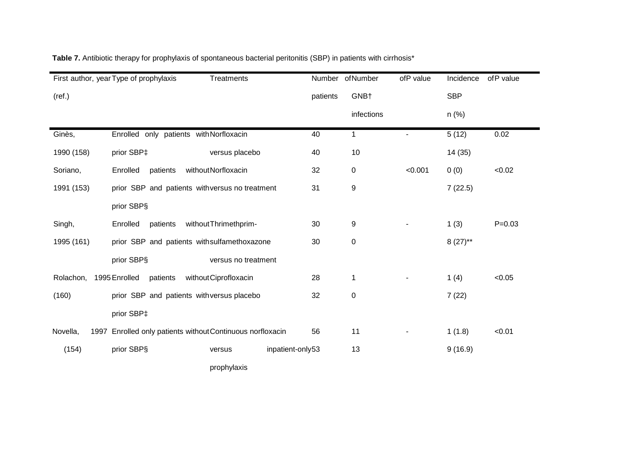|            | First author, year Type of prophylaxis<br>Treatments       | Number   | ofNumber     | ofP value | Incidence  | of P value |
|------------|------------------------------------------------------------|----------|--------------|-----------|------------|------------|
| (ref.)     |                                                            | patients | GNB+         |           | <b>SBP</b> |            |
|            |                                                            |          | infections   |           | $n$ (%)    |            |
| Ginès,     | Enrolled only patients with Norfloxacin                    | 40       | $\mathbf 1$  |           | 5(12)      | 0.02       |
| 1990 (158) | prior SBP‡<br>versus placebo                               | 40       | 10           |           | 14 (35)    |            |
| Soriano,   | patients<br>withoutNorfloxacin<br>Enrolled                 | 32       | 0            | < 0.001   | 0(0)       | < 0.02     |
| 1991 (153) | prior SBP and patients withversus no treatment             | 31       | 9            |           | 7(22.5)    |            |
|            | prior SBP§                                                 |          |              |           |            |            |
| Singh,     | without Thrimethprim-<br>Enrolled<br>patients              | 30       | 9            |           | 1(3)       | $P = 0.03$ |
| 1995 (161) | prior SBP and patients withsulfamethoxazone                | 30       | 0            |           | $8(27)$ ** |            |
|            | prior SBP§<br>versus no treatment                          |          |              |           |            |            |
| Rolachon,  | 1995 Enrolled<br>patients<br>without Ciprofloxacin         | 28       | $\mathbf{1}$ |           | 1(4)       | < 0.05     |
| (160)      | prior SBP and patients withversus placebo                  | 32       | 0            |           | 7(22)      |            |
|            | prior SBP‡                                                 |          |              |           |            |            |
| Novella,   | 1997 Enrolled only patients without Continuous norfloxacin | 56       | 11           |           | 1(1.8)     | < 0.01     |
| (154)      | prior SBP§<br>inpatient-only53<br>versus                   |          | 13           |           | 9(16.9)    |            |
|            | prophylaxis                                                |          |              |           |            |            |

**Table 7.** Antibiotic therapy for prophylaxis of spontaneous bacterial peritonitis (SBP) in patients with cirrhosis\*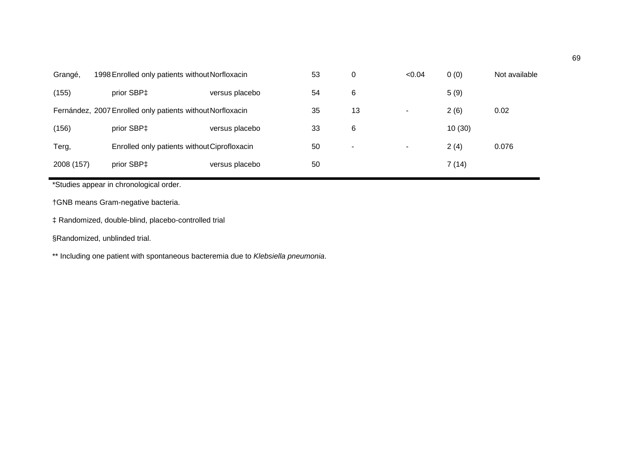| Grangé,    | 1998 Enrolled only patients without Norfloxacin            |                                              | 53 | 0                        | < 0.04 | 0(0)   | Not available |
|------------|------------------------------------------------------------|----------------------------------------------|----|--------------------------|--------|--------|---------------|
| (155)      | prior SBP‡                                                 | versus placebo                               | 54 | 6                        |        | 5(9)   |               |
|            | Fernández, 2007 Enrolled only patients without Norfloxacin |                                              | 35 | 13                       | ۰.     | 2(6)   | 0.02          |
| (156)      | prior SBP‡                                                 | versus placebo                               | 33 | 6                        |        | 10(30) |               |
| Terg,      |                                                            | Enrolled only patients without Ciprofloxacin | 50 | $\overline{\phantom{0}}$ | ۰.     | 2(4)   | 0.076         |
| 2008 (157) | prior SBP‡                                                 | versus placebo                               | 50 |                          |        | 7(14)  |               |

\*Studies appear in chronological order.

†GNB means Gram-negative bacteria.

‡ Randomized, double-blind, placebo-controlled trial

§Randomized, unblinded trial.

\*\* Including one patient with spontaneous bacteremia due to *Klebsiella pneumonia*.